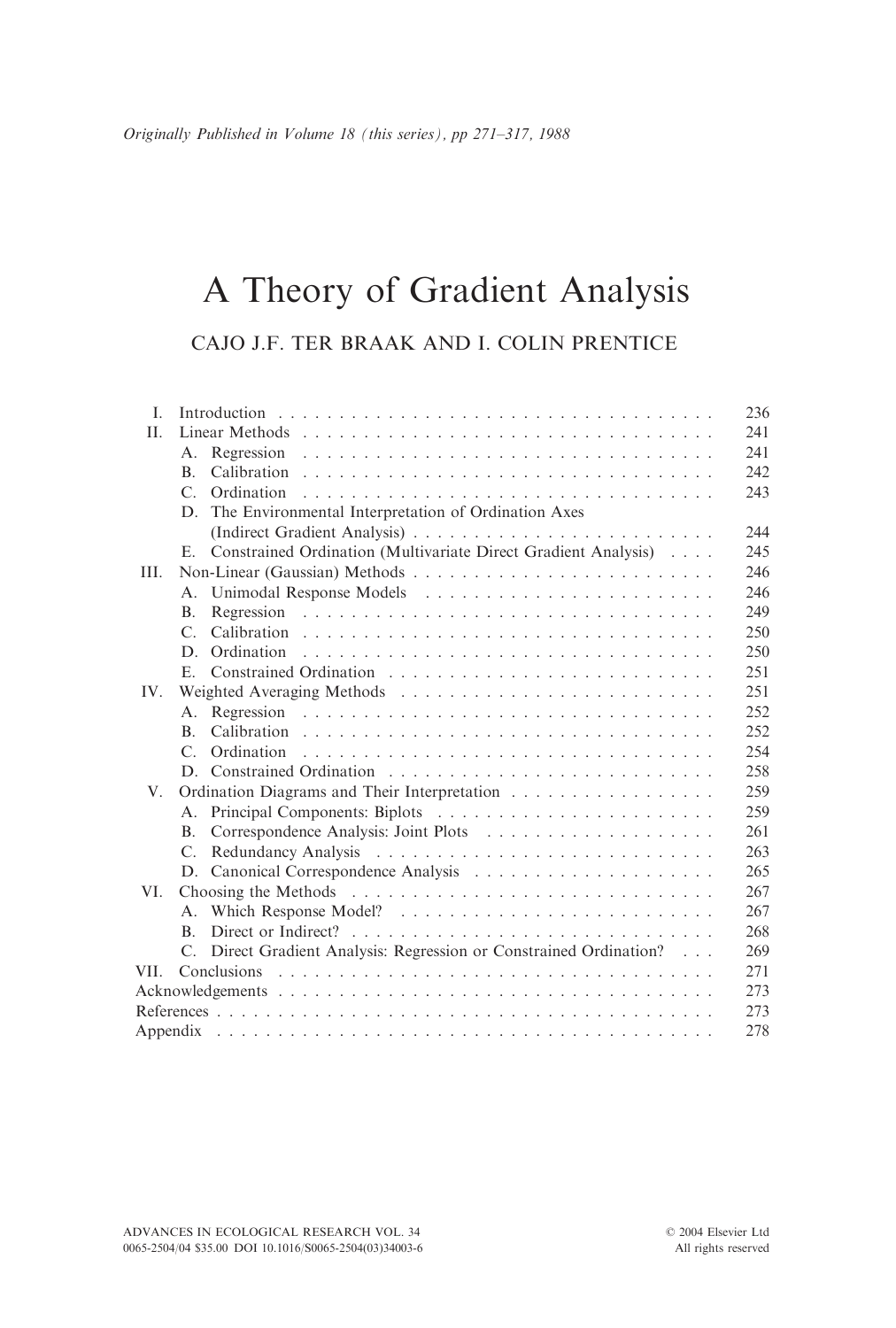# A Theory of Gradient Analysis

CAJO J.F. TER BRAAK AND I. COLIN PRENTICE

| L    |                                                                                    | 236 |
|------|------------------------------------------------------------------------------------|-----|
| H.   |                                                                                    | 241 |
|      | $\mathsf{A}$ .                                                                     | 241 |
|      | B.                                                                                 | 242 |
|      | $\mathcal{C}$                                                                      | 243 |
|      | The Environmental Interpretation of Ordination Axes<br>D.                          |     |
|      |                                                                                    | 244 |
|      | Constrained Ordination (Multivariate Direct Gradient Analysis)<br>E.               | 245 |
| III. |                                                                                    | 246 |
|      | $\mathsf{A}$ .                                                                     | 246 |
|      | B.                                                                                 | 249 |
|      | $\mathcal{C}$                                                                      | 250 |
|      | D.                                                                                 | 250 |
|      | E.                                                                                 | 251 |
| IV.  |                                                                                    | 251 |
|      | $A_{\cdot}$                                                                        | 252 |
|      | $\mathbf{B}$                                                                       | 252 |
|      | $\mathcal{C}$                                                                      | 254 |
|      | D.                                                                                 | 258 |
| V    | Ordination Diagrams and Their Interpretation                                       | 259 |
|      | $\mathsf{A}$ .                                                                     | 259 |
|      | <b>B.</b>                                                                          | 261 |
|      | $\mathcal{C}$ .                                                                    | 263 |
|      | D.                                                                                 | 265 |
| VI.  |                                                                                    | 267 |
|      | $A_{\cdot}$                                                                        | 267 |
|      | <b>B.</b>                                                                          | 268 |
|      | Direct Gradient Analysis: Regression or Constrained Ordination?<br>$\mathcal{C}$ . | 269 |
| VII. |                                                                                    | 271 |
|      |                                                                                    | 273 |
|      |                                                                                    | 273 |
|      |                                                                                    | 278 |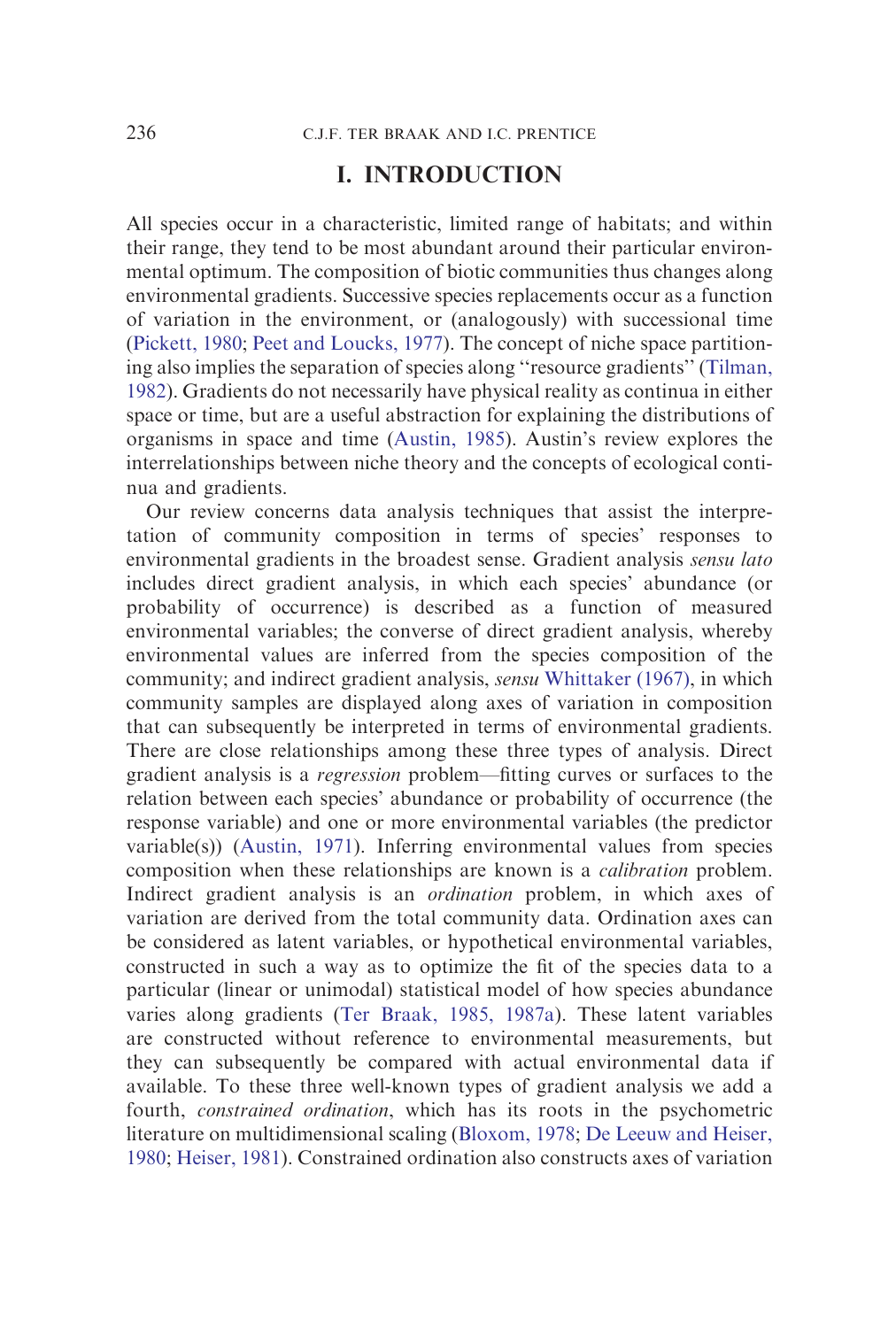# I. INTRODUCTION

All species occur in a characteristic, limited range of habitats; and within their range, they tend to be most abundant around their particular environmental optimum. The composition of biotic communities thus changes along environmental gradients. Successive species replacements occur as a function of variation in the environment, or (analogously) with successional time [\(Pickett, 1980;](#page-42-0) [Peet and Loucks, 1977](#page-42-0)). The concept of niche space partitioning also implies the separation of species along ''resource gradients'' [\(Tilman,](#page-43-0) [1982\)](#page-43-0). Gradients do not necessarily have physical reality as continua in either space or time, but are a useful abstraction for explaining the distributions of organisms in space and time ([Austin, 1985](#page-38-0)). Austin's review explores the interrelationships between niche theory and the concepts of ecological continua and gradients.

Our review concerns data analysis techniques that assist the interpretation of community composition in terms of species' responses to environmental gradients in the broadest sense. Gradient analysis sensu lato includes direct gradient analysis, in which each species' abundance (or probability of occurrence) is described as a function of measured environmental variables; the converse of direct gradient analysis, whereby environmental values are inferred from the species composition of the community; and indirect gradient analysis, sensu [Whittaker \(1967\)](#page-43-0), in which community samples are displayed along axes of variation in composition that can subsequently be interpreted in terms of environmental gradients. There are close relationships among these three types of analysis. Direct gradient analysis is a regression problem—fitting curves or surfaces to the relation between each species' abundance or probability of occurrence (the response variable) and one or more environmental variables (the predictor variable(s)) ([Austin, 1971\)](#page-38-0). Inferring environmental values from species composition when these relationships are known is a calibration problem. Indirect gradient analysis is an ordination problem, in which axes of variation are derived from the total community data. Ordination axes can be considered as latent variables, or hypothetical environmental variables, constructed in such a way as to optimize the fit of the species data to a particular (linear or unimodal) statistical model of how species abundance varies along gradients ([Ter Braak, 1985, 1987a\)](#page-42-0). These latent variables are constructed without reference to environmental measurements, but they can subsequently be compared with actual environmental data if available. To these three well-known types of gradient analysis we add a fourth, constrained ordination, which has its roots in the psychometric literature on multidimensional scaling ([Bloxom, 1978](#page-39-0); [De Leeuw and Heiser,](#page-39-0) [1980;](#page-39-0) [Heiser, 1981](#page-40-0)). Constrained ordination also constructs axes of variation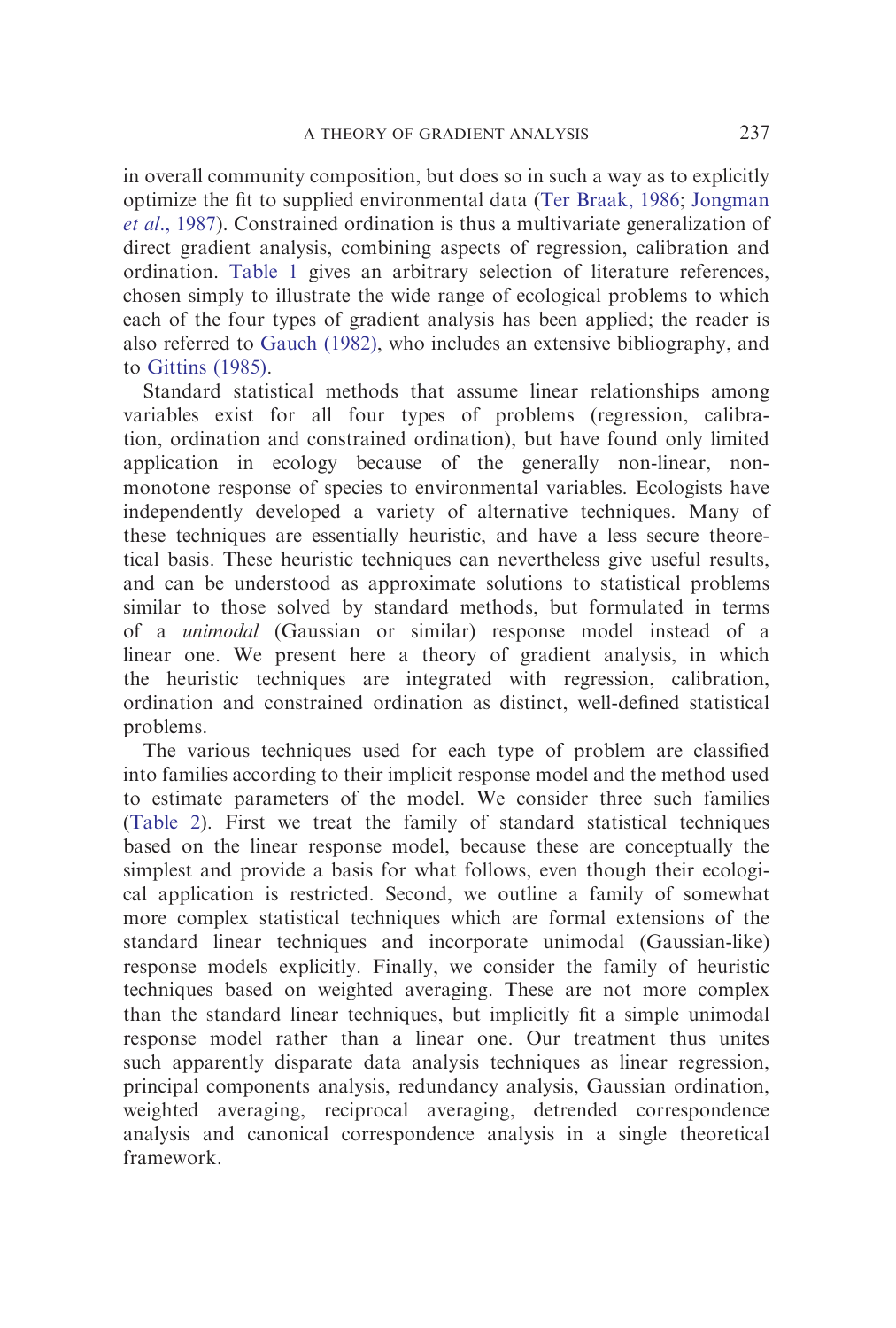in overall community composition, but does so in such a way as to explicitly optimize the fit to supplied environmental data ([Ter Braak, 1986](#page-42-0); [Jongman](#page-41-0) et al[., 1987\)](#page-41-0). Constrained ordination is thus a multivariate generalization of direct gradient analysis, combining aspects of regression, calibration and ordination. [Table 1](#page-3-0) gives an arbitrary selection of literature references, chosen simply to illustrate the wide range of ecological problems to which each of the four types of gradient analysis has been applied; the reader is also referred to [Gauch \(1982\)](#page-40-0), who includes an extensive bibliography, and to [Gittins \(1985\)](#page-40-0).

Standard statistical methods that assume linear relationships among variables exist for all four types of problems (regression, calibration, ordination and constrained ordination), but have found only limited application in ecology because of the generally non-linear, nonmonotone response of species to environmental variables. Ecologists have independently developed a variety of alternative techniques. Many of these techniques are essentially heuristic, and have a less secure theoretical basis. These heuristic techniques can nevertheless give useful results, and can be understood as approximate solutions to statistical problems similar to those solved by standard methods, but formulated in terms of a unimodal (Gaussian or similar) response model instead of a linear one. We present here a theory of gradient analysis, in which the heuristic techniques are integrated with regression, calibration, ordination and constrained ordination as distinct, well-defined statistical problems.

The various techniques used for each type of problem are classified into families according to their implicit response model and the method used to estimate parameters of the model. We consider three such families ([Table 2](#page-5-0)). First we treat the family of standard statistical techniques based on the linear response model, because these are conceptually the simplest and provide a basis for what follows, even though their ecological application is restricted. Second, we outline a family of somewhat more complex statistical techniques which are formal extensions of the standard linear techniques and incorporate unimodal (Gaussian-like) response models explicitly. Finally, we consider the family of heuristic techniques based on weighted averaging. These are not more complex than the standard linear techniques, but implicitly fit a simple unimodal response model rather than a linear one. Our treatment thus unites such apparently disparate data analysis techniques as linear regression, principal components analysis, redundancy analysis, Gaussian ordination, weighted averaging, reciprocal averaging, detrended correspondence analysis and canonical correspondence analysis in a single theoretical framework.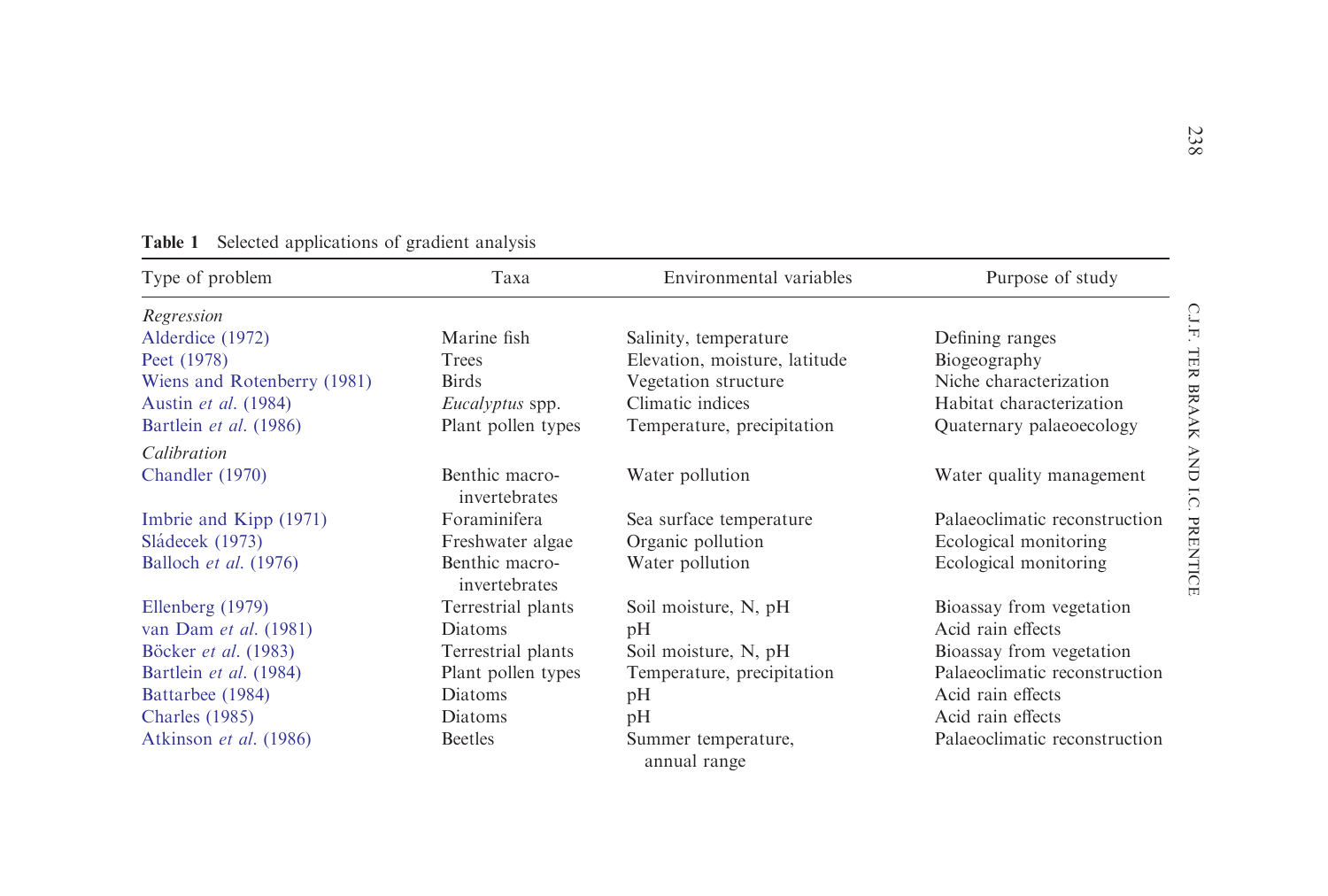| Type of problem             | Taxa                            | Environmental variables             | Purpose of study              |
|-----------------------------|---------------------------------|-------------------------------------|-------------------------------|
| Regression                  |                                 |                                     |                               |
| Alderdice (1972)            | Marine fish                     | Salinity, temperature               | Defining ranges               |
| Peet (1978)                 | Trees                           | Elevation, moisture, latitude       | Biogeography                  |
| Wiens and Rotenberry (1981) | <b>Birds</b>                    | Vegetation structure                | Niche characterization        |
| Austin <i>et al.</i> (1984) | <i>Eucalyptus</i> spp.          | Climatic indices                    | Habitat characterization      |
| Bartlein et al. (1986)      | Plant pollen types              | Temperature, precipitation          | Quaternary palaeoecology      |
| Calibration                 |                                 |                                     |                               |
| Chandler (1970)             | Benthic macro-<br>invertebrates | Water pollution                     | Water quality management      |
| Imbrie and Kipp (1971)      | Foraminifera                    | Sea surface temperature             | Palaeoclimatic reconstruction |
| Sládecek (1973)             | Freshwater algae                | Organic pollution                   | Ecological monitoring         |
| Balloch et al. (1976)       | Benthic macro-<br>invertebrates | Water pollution                     | Ecological monitoring         |
| Ellenberg (1979)            | Terrestrial plants              | Soil moisture, N, pH                | Bioassay from vegetation      |
| van Dam et al. (1981)       | Diatoms                         | pH                                  | Acid rain effects             |
| Böcker et al. (1983)        | Terrestrial plants              | Soil moisture, N, pH                | Bioassay from vegetation      |
| Bartlein et al. (1984)      | Plant pollen types              | Temperature, precipitation          | Palaeoclimatic reconstruction |
| Battarbee (1984)            | Diatoms                         | pH                                  | Acid rain effects             |
| <b>Charles</b> (1985)       | Diatoms                         | pH                                  | Acid rain effects             |
| Atkinson et al. (1986)      | <b>Beetles</b>                  | Summer temperature,<br>annual range | Palaeoclimatic reconstruction |

#### <span id="page-3-0"></span>Table 1 Selected applications of gradient analysis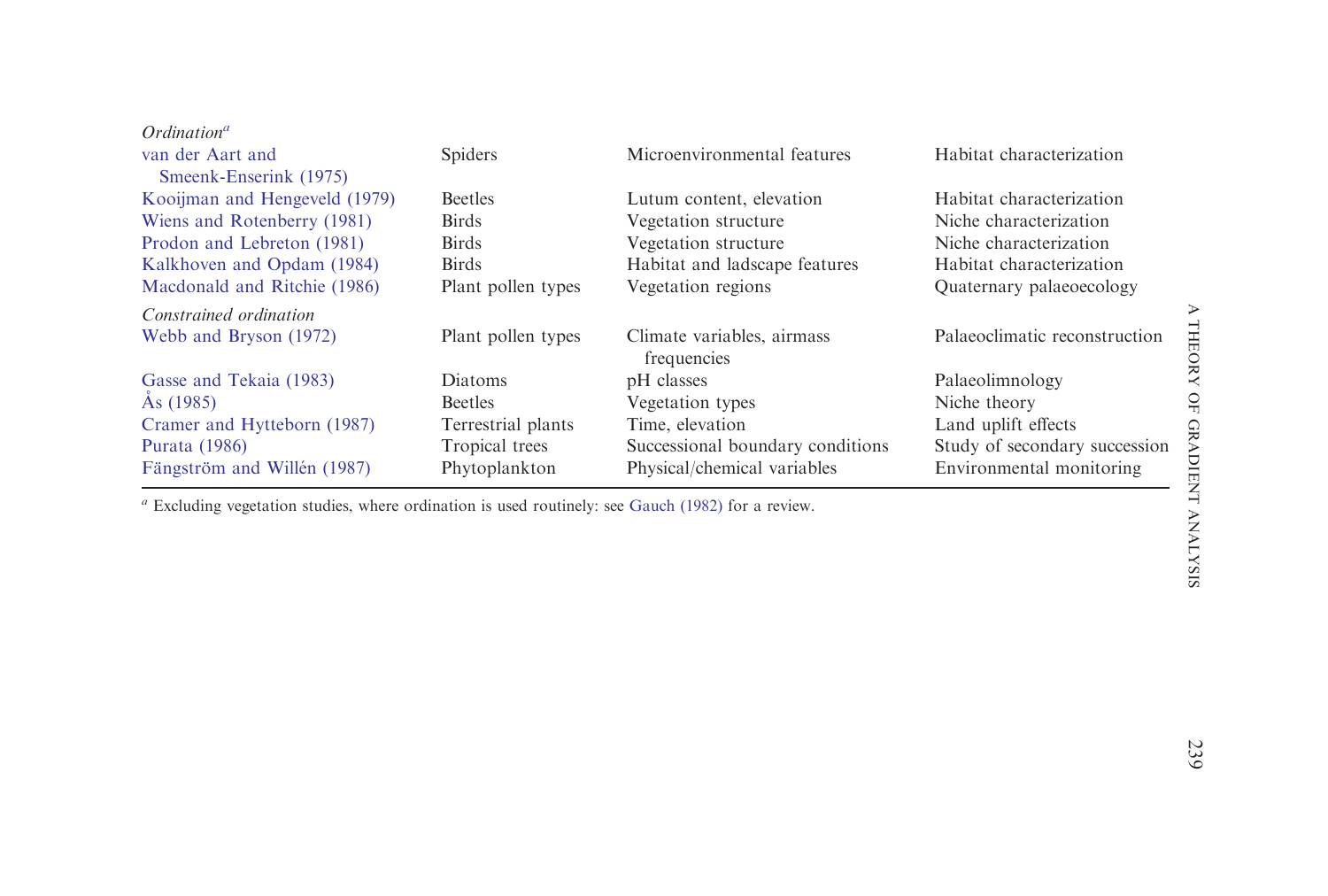| Ordination <sup>a</sup>       |                    |                                           |                               |
|-------------------------------|--------------------|-------------------------------------------|-------------------------------|
| van der Aart and              | <b>Spiders</b>     | Microenvironmental features               | Habitat characterization      |
| Smeenk-Enserink (1975)        |                    |                                           |                               |
| Kooijman and Hengeveld (1979) | <b>Beetles</b>     | Lutum content, elevation                  | Habitat characterization      |
| Wiens and Rotenberry (1981)   | <b>Birds</b>       | Vegetation structure                      | Niche characterization        |
| Prodon and Lebreton (1981)    | <b>Birds</b>       | Vegetation structure                      | Niche characterization        |
| Kalkhoven and Opdam (1984)    | <b>Birds</b>       | Habitat and ladscape features             | Habitat characterization      |
| Macdonald and Ritchie (1986)  | Plant pollen types | Vegetation regions                        | Quaternary palaeoecology      |
| Constrained ordination        |                    |                                           |                               |
| Webb and Bryson (1972)        | Plant pollen types | Climate variables, airmass<br>frequencies | Palaeoclimatic reconstruction |
| Gasse and Tekaia (1983)       | <b>Diatoms</b>     | pH classes                                | Palaeolimnology               |
| As (1985)                     | <b>Beetles</b>     | Vegetation types                          | Niche theory                  |
| Cramer and Hytteborn (1987)   | Terrestrial plants | Time, elevation                           | Land uplift effects           |
| <b>Purata</b> (1986)          | Tropical trees     | Successional boundary conditions          | Study of secondary succession |
| Fängström and Willén (1987)   | Phytoplankton      | Physical/chemical variables               | Environmental monitoring      |

 $a<sup>a</sup>$  Excluding vegetation studies, where ordination is used routinely: see Gauch [\(1982\)](#page-40-0) for a review.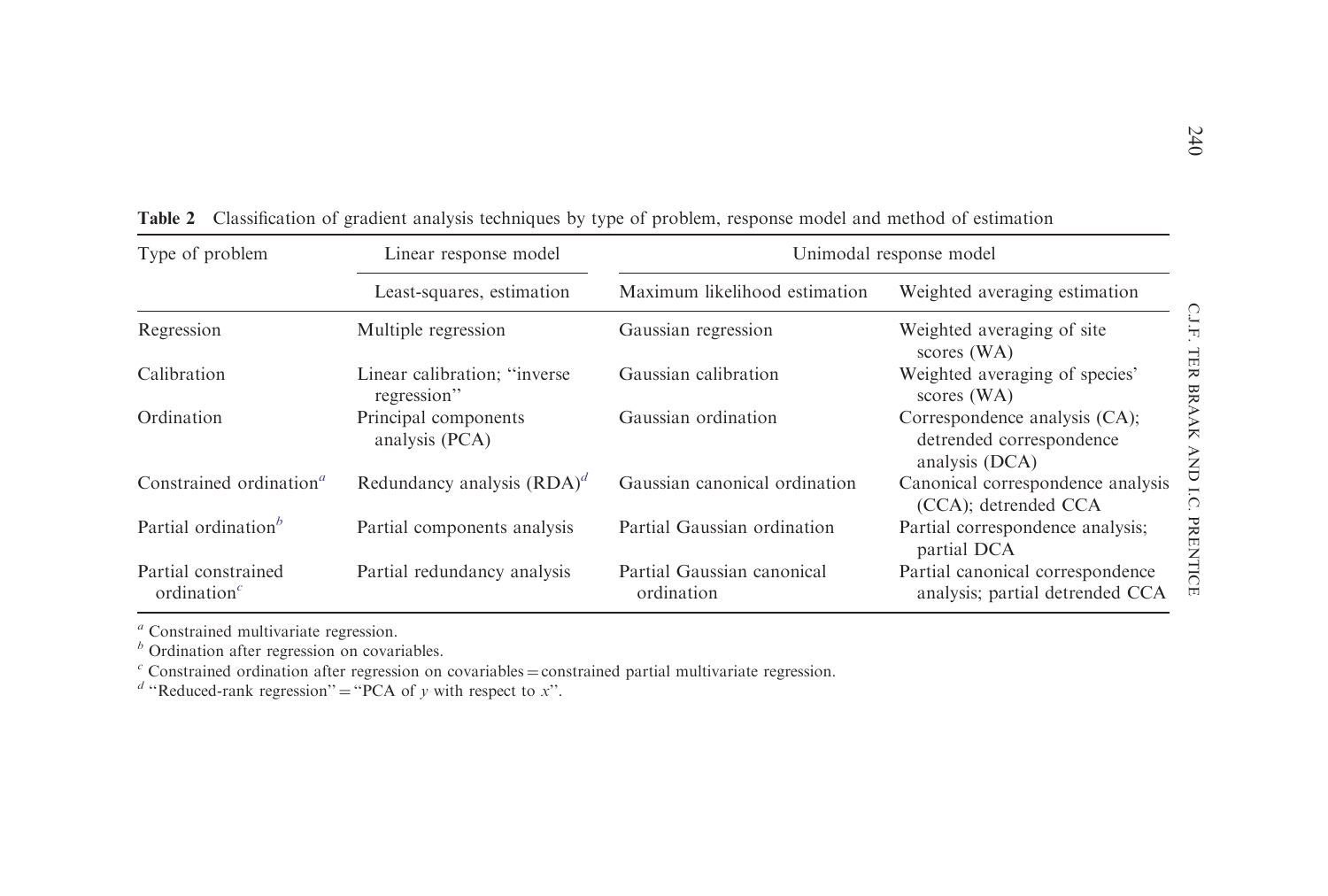| Type of problem                              | Linear response model                        | Unimodal response model                  |                                                                             |  |
|----------------------------------------------|----------------------------------------------|------------------------------------------|-----------------------------------------------------------------------------|--|
|                                              | Least-squares, estimation                    | Maximum likelihood estimation            | Weighted averaging estimation                                               |  |
| Regression                                   | Multiple regression                          | Gaussian regression                      | Weighted averaging of site.<br>scores (WA)                                  |  |
| Calibration                                  | Linear calibration; "inverse"<br>regression" | Gaussian calibration                     | Weighted averaging of species'<br>scores (WA)                               |  |
| Ordination                                   | Principal components<br>analysis (PCA)       | Gaussian ordination                      | Correspondence analysis (CA);<br>detrended correspondence<br>analysis (DCA) |  |
| Constrained ordination <sup>a</sup>          | Redundancy analysis $(RDA)^d$                | Gaussian canonical ordination            | Canonical correspondence analysis<br>(CCA); detrended CCA                   |  |
| Partial ordination <sup>b</sup>              | Partial components analysis                  | Partial Gaussian ordination              | Partial correspondence analysis;<br>partial DCA                             |  |
| Partial constrained<br>ordination $\epsilon$ | Partial redundancy analysis                  | Partial Gaussian canonical<br>ordination | Partial canonical correspondence<br>analysis; partial detrended CCA         |  |

<span id="page-5-0"></span>Table 2 Classification of gradient analysis techniques by type of problem, response model and method of estimation

a Constrained multivariate regression.<br><sup>b</sup> Ordination after regression on covariables.<br><sup>c</sup> Constrained ordination after regression on covariables = constrained partial multivariate regression.

<sup>d</sup> "Reduced-rank regression" = "PCA of y with respect to x".

C.J.F. TER BRAAK AND I.C. PRENTICE C.J.F. TER BRAAK AND I.C. PRENTICE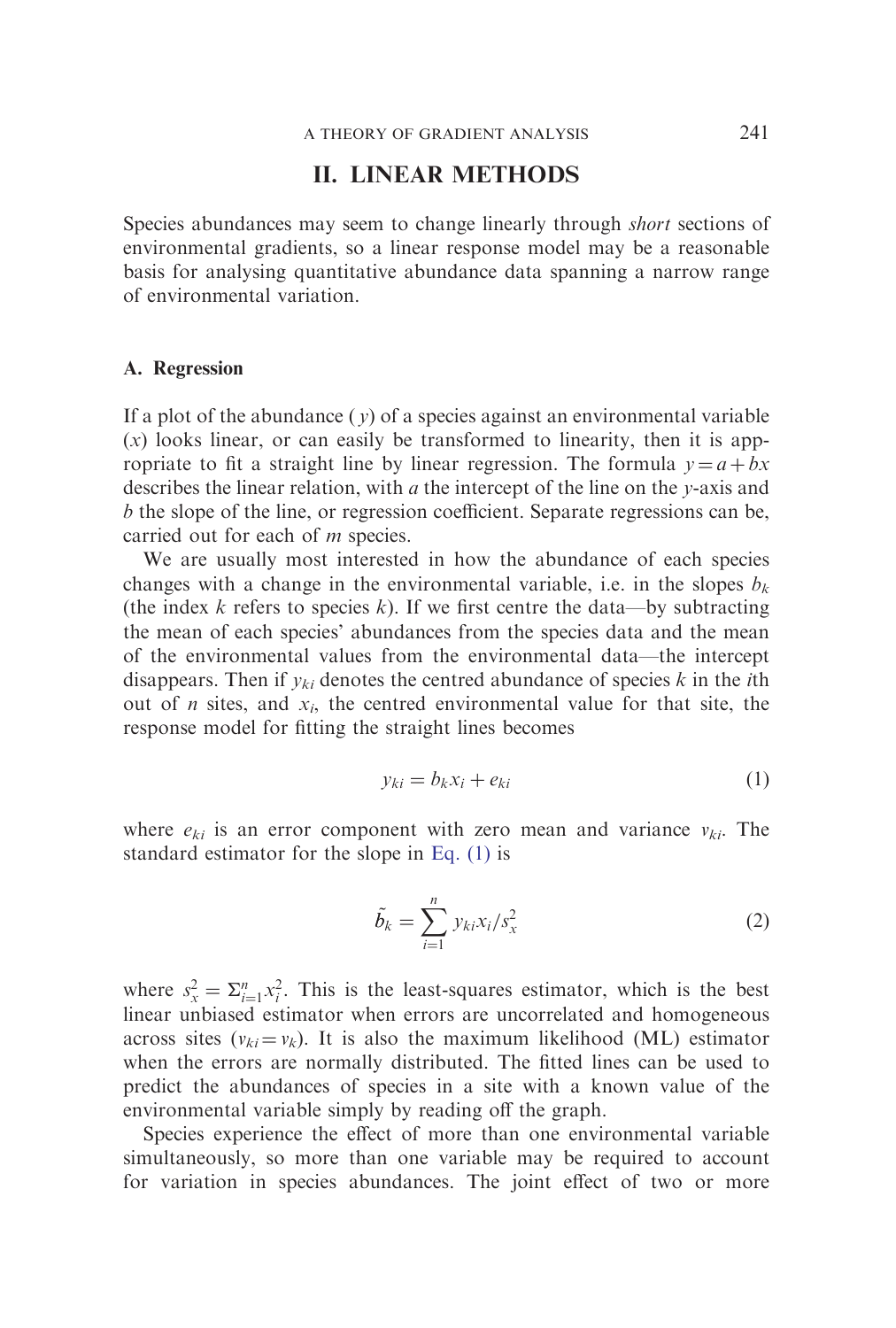# II. LINEAR METHODS

<span id="page-6-0"></span>Species abundances may seem to change linearly through short sections of environmental gradients, so a linear response model may be a reasonable basis for analysing quantitative abundance data spanning a narrow range of environmental variation.

#### A. Regression

If a plot of the abundance  $(y)$  of a species against an environmental variable  $(x)$  looks linear, or can easily be transformed to linearity, then it is appropriate to fit a straight line by linear regression. The formula  $y = a + bx$ describes the linear relation, with a the intercept of the line on the  $\nu$ -axis and  $b$  the slope of the line, or regression coefficient. Separate regressions can be, carried out for each of *m* species.

We are usually most interested in how the abundance of each species changes with a change in the environmental variable, i.e. in the slopes  $b_k$ (the index  $k$  refers to species  $k$ ). If we first centre the data—by subtracting the mean of each species' abundances from the species data and the mean of the environmental values from the environmental data—the intercept disappears. Then if  $y_{ki}$  denotes the centred abundance of species k in the *i*th out of *n* sites, and  $x_i$ , the centred environmental value for that site, the response model for fitting the straight lines becomes

$$
y_{ki} = b_k x_i + e_{ki}
$$
 (1)

where  $e_{ki}$  is an error component with zero mean and variance  $v_{ki}$ . The standard estimator for the slope in Eq. (1) is

$$
\tilde{b}_k = \sum_{i=1}^n y_{ki} x_i / s_x^2 \tag{2}
$$

where  $s_x^2 = \sum_{i=1}^n x_i^2$ . This is the least-squares estimator, which is the best linear unbiased estimator when errors are uncorrelated and homogeneous across sites  $(v_{ki} = v_k)$ . It is also the maximum likelihood (ML) estimator when the errors are normally distributed. The fitted lines can be used to predict the abundances of species in a site with a known value of the environmental variable simply by reading off the graph.

Species experience the effect of more than one environmental variable simultaneously, so more than one variable may be required to account for variation in species abundances. The joint effect of two or more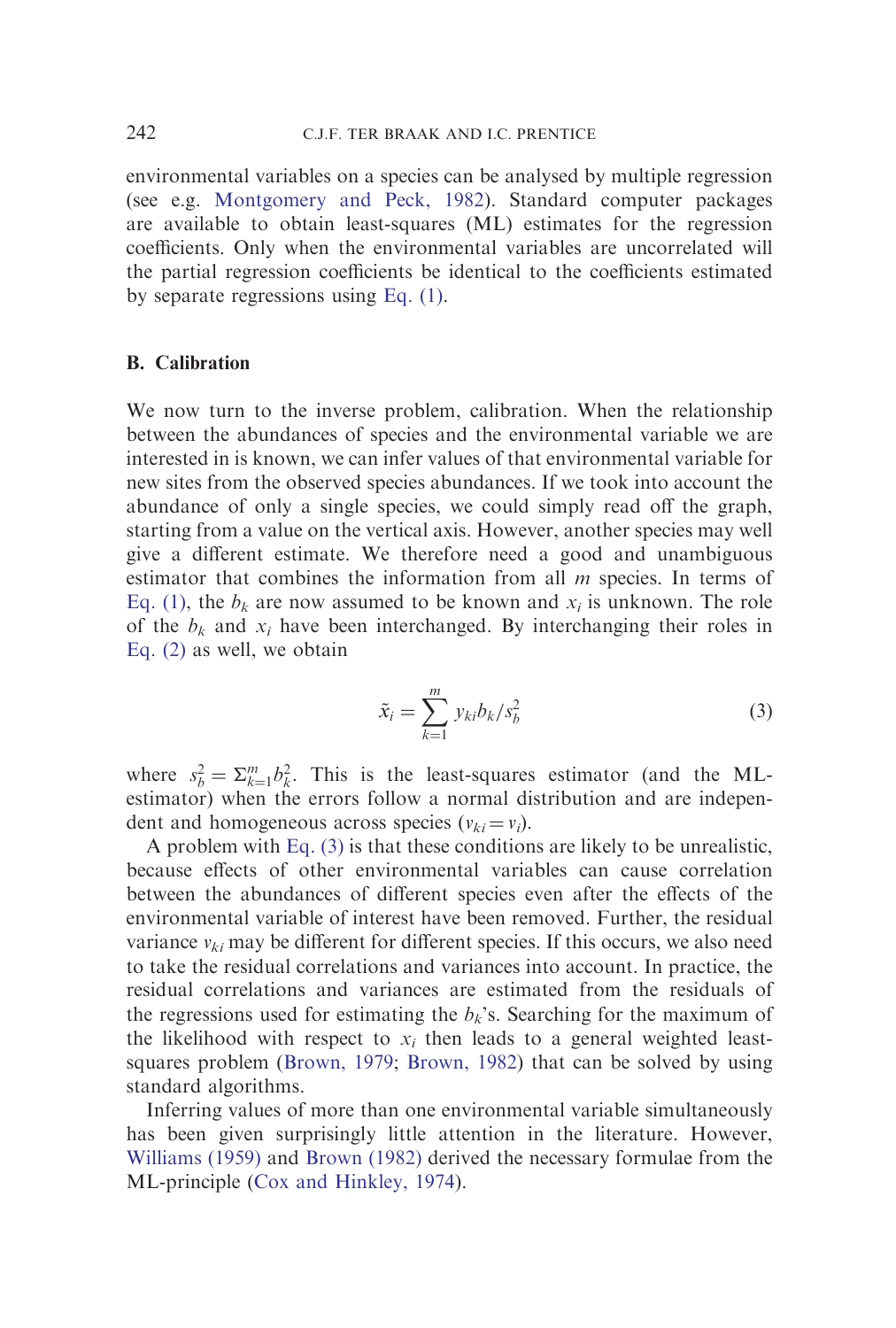environmental variables on a species can be analysed by multiple regression (see e.g. [Montgomery and Peck, 1982\)](#page-41-0). Standard computer packages are available to obtain least-squares (ML) estimates for the regression coefficients. Only when the environmental variables are uncorrelated will the partial regression coefficients be identical to the coefficients estimated by separate regressions using [Eq. \(1\)](#page-6-0).

#### B. Calibration

We now turn to the inverse problem, calibration. When the relationship between the abundances of species and the environmental variable we are interested in is known, we can infer values of that environmental variable for new sites from the observed species abundances. If we took into account the abundance of only a single species, we could simply read off the graph, starting from a value on the vertical axis. However, another species may well give a different estimate. We therefore need a good and unambiguous estimator that combines the information from all m species. In terms of [Eq. \(1\),](#page-6-0) the  $b_k$  are now assumed to be known and  $x_i$  is unknown. The role of the  $b_k$  and  $x_i$  have been interchanged. By interchanging their roles in [Eq. \(2\)](#page-6-0) as well, we obtain

$$
\tilde{x}_i = \sum_{k=1}^m y_{ki} b_k / s_b^2 \tag{3}
$$

where  $s_b^2 = \sum_{k=1}^m b_k^2$ . This is the least-squares estimator (and the MLestimator) when the errors follow a normal distribution and are independent and homogeneous across species  $(v_{ki} = v_i)$ .

A problem with Eq. (3) is that these conditions are likely to be unrealistic, because effects of other environmental variables can cause correlation between the abundances of different species even after the effects of the environmental variable of interest have been removed. Further, the residual variance  $v_{ki}$  may be different for different species. If this occurs, we also need to take the residual correlations and variances into account. In practice, the residual correlations and variances are estimated from the residuals of the regressions used for estimating the  $b_k$ 's. Searching for the maximum of the likelihood with respect to  $x_i$  then leads to a general weighted leastsquares problem [\(Brown, 1979;](#page-39-0) [Brown, 1982](#page-39-0)) that can be solved by using standard algorithms.

Inferring values of more than one environmental variable simultaneously has been given surprisingly little attention in the literature. However, [Williams \(1959\)](#page-43-0) and [Brown \(1982\)](#page-39-0) derived the necessary formulae from the ML-principle ([Cox and Hinkley, 1974](#page-39-0)).

<span id="page-7-0"></span>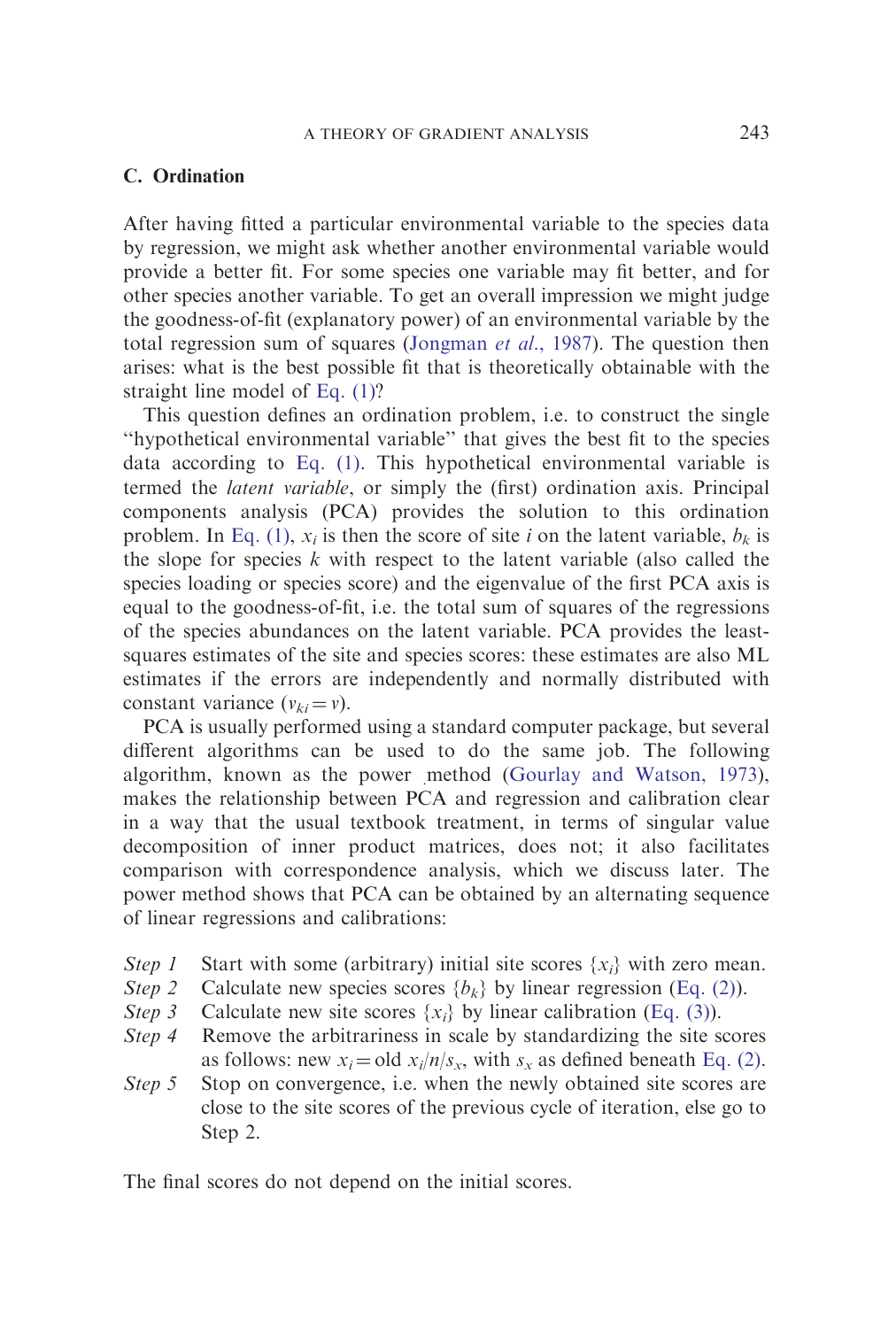#### <span id="page-8-0"></span>C. Ordination

After having fitted a particular environmental variable to the species data by regression, we might ask whether another environmental variable would provide a better fit. For some species one variable may fit better, and for other species another variable. To get an overall impression we might judge the goodness-of-fit (explanatory power) of an environmental variable by the total regression sum of squares [\(Jongman](#page-41-0) et al., 1987). The question then arises: what is the best possible fit that is theoretically obtainable with the straight line model of [Eq. \(1\)?](#page-6-0)

This question defines an ordination problem, i.e. to construct the single ''hypothetical environmental variable'' that gives the best fit to the species data according to [Eq. \(1\).](#page-6-0) This hypothetical environmental variable is termed the latent variable, or simply the (first) ordination axis. Principal components analysis (PCA) provides the solution to this ordination problem. In [Eq. \(1\),](#page-6-0)  $x_i$  is then the score of site i on the latent variable,  $b_k$  is the slope for species  $k$  with respect to the latent variable (also called the species loading or species score) and the eigenvalue of the first PCA axis is equal to the goodness-of-fit, i.e. the total sum of squares of the regressions of the species abundances on the latent variable. PCA provides the leastsquares estimates of the site and species scores: these estimates are also ML estimates if the errors are independently and normally distributed with constant variance  $(v_{ki} = v)$ .

PCA is usually performed using a standard computer package, but several different algorithms can be used to do the same job. The following algorithm, known as the power method [\(Gourlay and Watson, 1973](#page-40-0)), makes the relationship between PCA and regression and calibration clear in a way that the usual textbook treatment, in terms of singular value decomposition of inner product matrices, does not; it also facilitates comparison with correspondence analysis, which we discuss later. The power method shows that PCA can be obtained by an alternating sequence of linear regressions and calibrations:

- Step 1 Start with some (arbitrary) initial site scores  $\{x_i\}$  with zero mean.
- Step 2 Calculate new species scores  ${b_k}$  by linear regression [\(Eq. \(2\)](#page-6-0)).
- Step 3 Calculate new site scores  $\{x_i\}$  by linear calibration ([Eq. \(3\)](#page-7-0)).
- Step 4 Remove the arbitrariness in scale by standardizing the site scores as follows: new  $x_i = old \frac{x_i}{n} / s_x$ , with  $s_x$  as defined beneath [Eq. \(2\).](#page-6-0)
- Step 5 Stop on convergence, i.e. when the newly obtained site scores are close to the site scores of the previous cycle of iteration, else go to Step 2.

The final scores do not depend on the initial scores.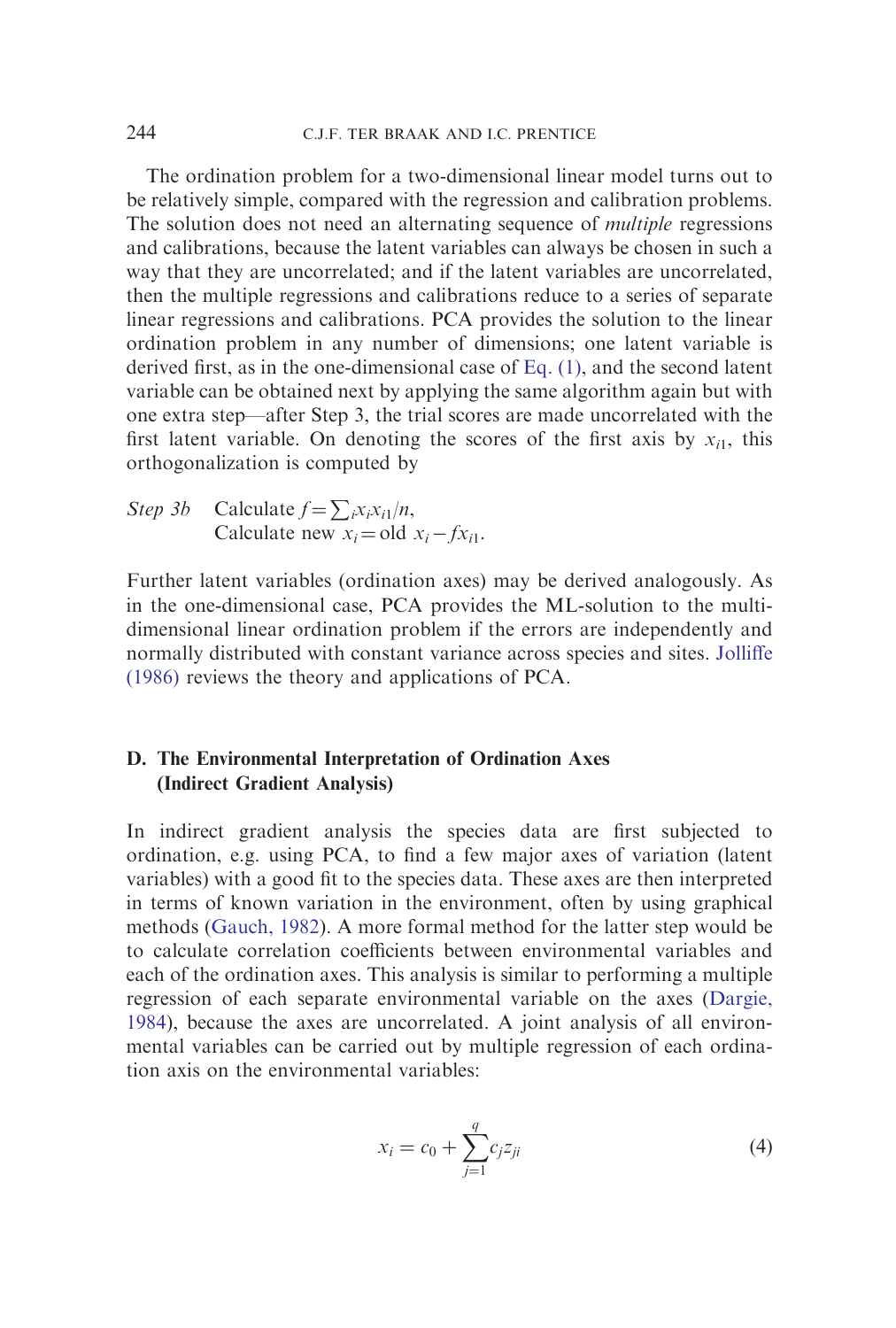The ordination problem for a two-dimensional linear model turns out to be relatively simple, compared with the regression and calibration problems. The solution does not need an alternating sequence of *multiple* regressions and calibrations, because the latent variables can always be chosen in such a way that they are uncorrelated; and if the latent variables are uncorrelated, then the multiple regressions and calibrations reduce to a series of separate linear regressions and calibrations. PCA provides the solution to the linear ordination problem in any number of dimensions; one latent variable is derived first, as in the one-dimensional case of [Eq. \(1\)](#page-6-0), and the second latent variable can be obtained next by applying the same algorithm again but with one extra step—after Step 3, the trial scores are made uncorrelated with the first latent variable. On denoting the scores of the first axis by  $x_{i1}$ , this orthogonalization is computed by

Step 3b Calculate 
$$
f = \sum_i x_i x_{i1}/n
$$
,  
Calculate new  $x_i = \text{old } x_i - fx_{i1}$ .

Further latent variables (ordination axes) may be derived analogously. As in the one-dimensional case, PCA provides the ML-solution to the multidimensional linear ordination problem if the errors are independently and normally distributed with constant variance across species and sites. [Jolliffe](#page-41-0) [\(1986\)](#page-41-0) reviews the theory and applications of PCA.

### D. The Environmental Interpretation of Ordination Axes (Indirect Gradient Analysis)

In indirect gradient analysis the species data are first subjected to ordination, e.g. using PCA, to find a few major axes of variation (latent variables) with a good fit to the species data. These axes are then interpreted in terms of known variation in the environment, often by using graphical methods [\(Gauch, 1982](#page-40-0)). A more formal method for the latter step would be to calculate correlation coefficients between environmental variables and each of the ordination axes. This analysis is similar to performing a multiple regression of each separate environmental variable on the axes [\(Dargie,](#page-39-0) [1984\)](#page-39-0), because the axes are uncorrelated. A joint analysis of all environmental variables can be carried out by multiple regression of each ordination axis on the environmental variables:

$$
x_i = c_0 + \sum_{j=1}^{q} c_j z_{ji}
$$
 (4)

<span id="page-9-0"></span>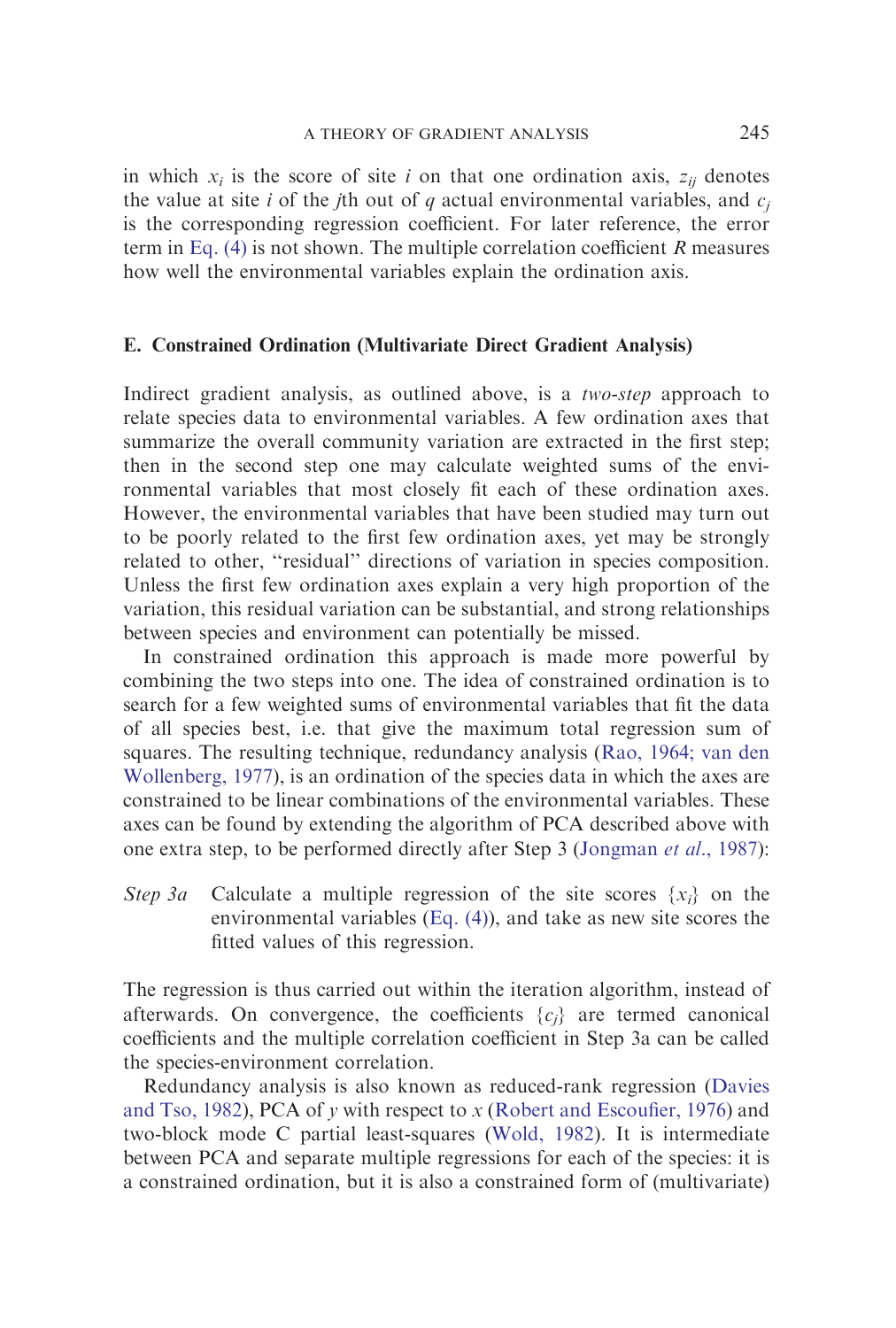<span id="page-10-0"></span>in which  $x_i$  is the score of site i on that one ordination axis,  $z_{ii}$  denotes the value at site i of the jth out of q actual environmental variables, and  $c_i$ is the corresponding regression coefficient. For later reference, the error term in Eq.  $(4)$  is not shown. The multiple correlation coefficient R measures how well the environmental variables explain the ordination axis.

#### E. Constrained Ordination (Multivariate Direct Gradient Analysis)

Indirect gradient analysis, as outlined above, is a two-step approach to relate species data to environmental variables. A few ordination axes that summarize the overall community variation are extracted in the first step; then in the second step one may calculate weighted sums of the environmental variables that most closely fit each of these ordination axes. However, the environmental variables that have been studied may turn out to be poorly related to the first few ordination axes, yet may be strongly related to other, ''residual'' directions of variation in species composition. Unless the first few ordination axes explain a very high proportion of the variation, this residual variation can be substantial, and strong relationships between species and environment can potentially be missed.

In constrained ordination this approach is made more powerful by combining the two steps into one. The idea of constrained ordination is to search for a few weighted sums of environmental variables that fit the data of all species best, i.e. that give the maximum total regression sum of squares. The resulting technique, redundancy analysis ([Rao, 1964; van den](#page-42-0) [Wollenberg, 1977](#page-42-0)), is an ordination of the species data in which the axes are constrained to be linear combinations of the environmental variables. These axes can be found by extending the algorithm of PCA described above with one extra step, to be performed directly after Step 3 ([Jongman](#page-41-0) et al., 1987):

Step 3a Calculate a multiple regression of the site scores  $\{x_i\}$  on the environmental variables [\(Eq. \(4\)\)](#page-9-0), and take as new site scores the fitted values of this regression.

The regression is thus carried out within the iteration algorithm, instead of afterwards. On convergence, the coefficients  ${c_i}$  are termed canonical coefficients and the multiple correlation coefficient in Step 3a can be called the species-environment correlation.

Redundancy analysis is also known as reduced-rank regression [\(Davies](#page-39-0) [and Tso, 1982\)](#page-39-0), PCA of y with respect to x ([Robert and Escoufier, 1976](#page-42-0)) and two-block mode C partial least-squares [\(Wold, 1982\)](#page-43-0). It is intermediate between PCA and separate multiple regressions for each of the species: it is a constrained ordination, but it is also a constrained form of (multivariate)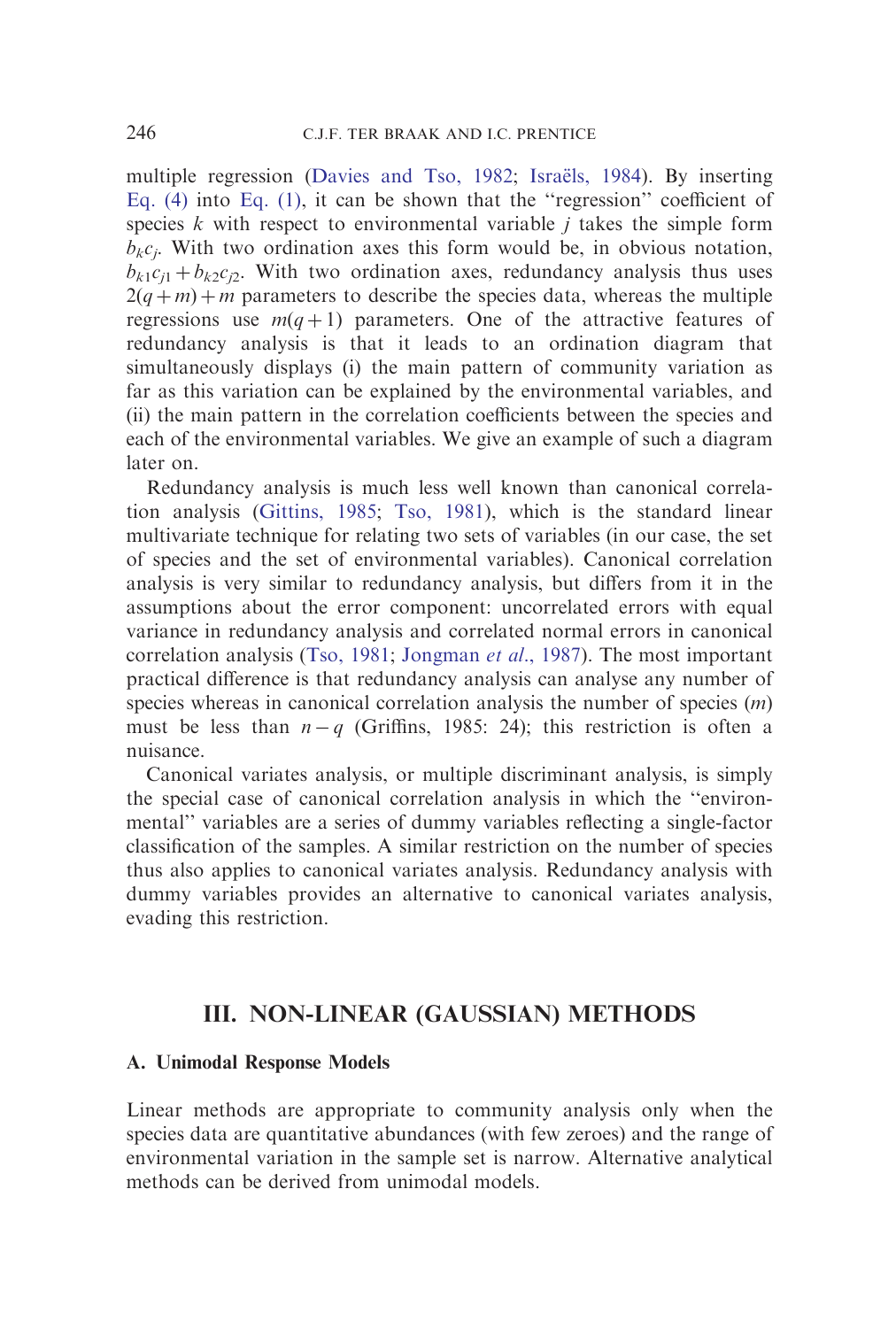multiple regression [\(Davies and Tso, 1982](#page-39-0); Israëls, 1984). By inserting [Eq. \(4\)](#page-9-0) into [Eq. \(1\)](#page-6-0), it can be shown that the ''regression'' coefficient of species  $k$  with respect to environmental variable  $i$  takes the simple form  $b_kc_i$ . With two ordination axes this form would be, in obvious notation,  $b_{k1}c_{i1} + b_{k2}c_{i2}$ . With two ordination axes, redundancy analysis thus uses  $2(q+m) + m$  parameters to describe the species data, whereas the multiple regressions use  $m(q+1)$  parameters. One of the attractive features of redundancy analysis is that it leads to an ordination diagram that simultaneously displays (i) the main pattern of community variation as far as this variation can be explained by the environmental variables, and (ii) the main pattern in the correlation coefficients between the species and each of the environmental variables. We give an example of such a diagram later on.

Redundancy analysis is much less well known than canonical correlation analysis [\(Gittins, 1985](#page-40-0); [Tso, 1981\)](#page-43-0), which is the standard linear multivariate technique for relating two sets of variables (in our case, the set of species and the set of environmental variables). Canonical correlation analysis is very similar to redundancy analysis, but differs from it in the assumptions about the error component: uncorrelated errors with equal variance in redundancy analysis and correlated normal errors in canonical correlation analysis ([Tso, 1981;](#page-43-0) [Jongman](#page-41-0) et al., 1987). The most important practical difference is that redundancy analysis can analyse any number of species whereas in canonical correlation analysis the number of species  $(m)$ must be less than  $n - q$  (Griffins, 1985: 24); this restriction is often a nuisance.

Canonical variates analysis, or multiple discriminant analysis, is simply the special case of canonical correlation analysis in which the ''environmental'' variables are a series of dummy variables reflecting a single-factor classification of the samples. A similar restriction on the number of species thus also applies to canonical variates analysis. Redundancy analysis with dummy variables provides an alternative to canonical variates analysis, evading this restriction.

### III. NON-LINEAR (GAUSSIAN) METHODS

#### A. Unimodal Response Models

Linear methods are appropriate to community analysis only when the species data are quantitative abundances (with few zeroes) and the range of environmental variation in the sample set is narrow. Alternative analytical methods can be derived from unimodal models.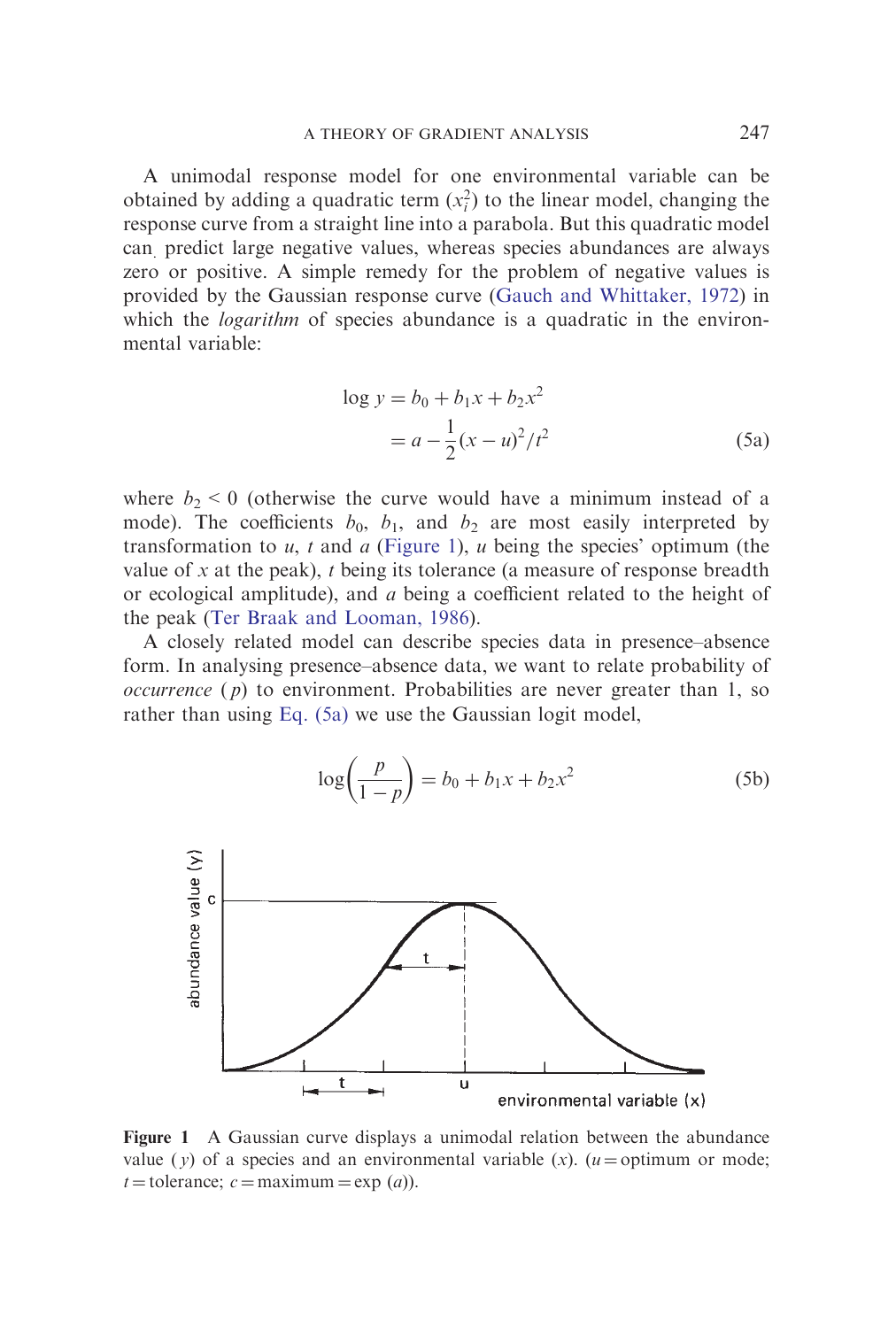<span id="page-12-0"></span>A unimodal response model for one environmental variable can be obtained by adding a quadratic term  $(x_i^2)$  to the linear model, changing the response curve from a straight line into a parabola. But this quadratic model can. predict large negative values, whereas species abundances are always zero or positive. A simple remedy for the problem of negative values is provided by the Gaussian response curve ([Gauch and Whittaker, 1972](#page-40-0)) in which the *logarithm* of species abundance is a quadratic in the environmental variable:

$$
\log y = b_0 + b_1 x + b_2 x^2
$$
  
=  $a - \frac{1}{2} (x - u)^2 / t^2$  (5a)

where  $b_2 < 0$  (otherwise the curve would have a minimum instead of a mode). The coefficients  $b_0$ ,  $b_1$ , and  $b_2$  are most easily interpreted by transformation to  $u$ ,  $t$  and  $a$  (Figure 1),  $u$  being the species' optimum (the value of x at the peak),  $t$  being its tolerance (a measure of response breadth or ecological amplitude), and a being a coefficient related to the height of the peak ([Ter Braak and Looman, 1986](#page-43-0)).

A closely related model can describe species data in presence–absence form. In analysing presence–absence data, we want to relate probability of *occurrence*  $(p)$  to environment. Probabilities are never greater than 1, so rather than using Eq. (5a) we use the Gaussian logit model,

$$
\log\left(\frac{p}{1-p}\right) = b_0 + b_1 x + b_2 x^2 \tag{5b}
$$



Figure 1 A Gaussian curve displays a unimodal relation between the abundance value ( $v$ ) of a species and an environmental variable (x). ( $u =$ optimum or mode;  $t =$  tolerance;  $c =$  maximum = exp (a)).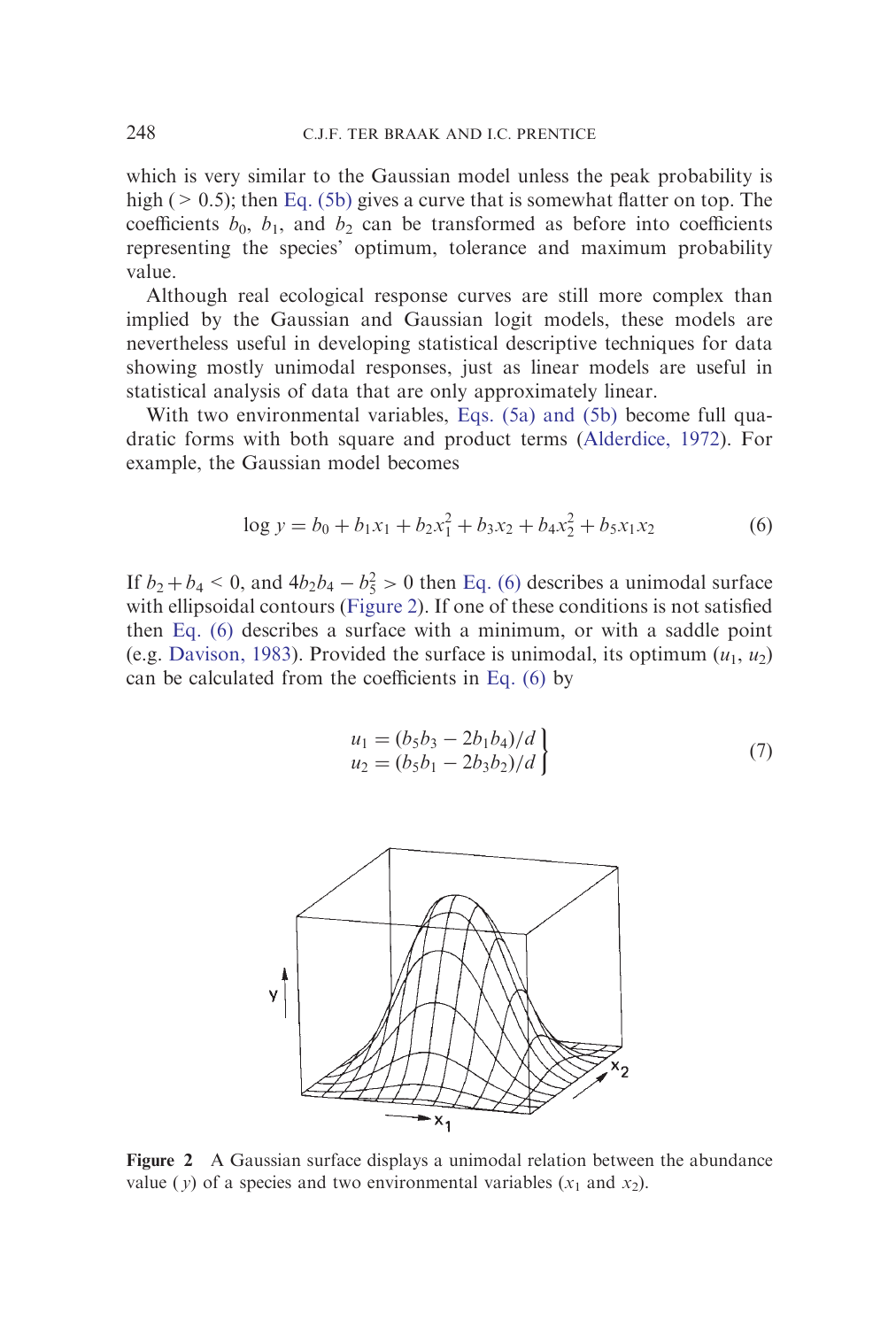which is very similar to the Gaussian model unless the peak probability is high ( $> 0.5$ ); then [Eq. \(5b\)](#page-12-0) gives a curve that is somewhat flatter on top. The coefficients  $b_0$ ,  $b_1$ , and  $b_2$  can be transformed as before into coefficients representing the species' optimum, tolerance and maximum probability value.

Although real ecological response curves are still more complex than implied by the Gaussian and Gaussian logit models, these models are nevertheless useful in developing statistical descriptive techniques for data showing mostly unimodal responses, just as linear models are useful in statistical analysis of data that are only approximately linear.

With two environmental variables, [Eqs. \(5a\) and \(5b\)](#page-12-0) become full quadratic forms with both square and product terms [\(Alderdice, 1972](#page-38-0)). For example, the Gaussian model becomes

$$
\log y = b_0 + b_1 x_1 + b_2 x_1^2 + b_3 x_2 + b_4 x_2^2 + b_5 x_1 x_2 \tag{6}
$$

If  $b_2 + b_4 < 0$ , and  $4b_2b_4 - b_5^2 > 0$  then Eq. (6) describes a unimodal surface with ellipsoidal contours (Figure 2). If one of these conditions is not satisfied then Eq. (6) describes a surface with a minimum, or with a saddle point (e.g. [Davison, 1983\)](#page-39-0). Provided the surface is unimodal, its optimum  $(u_1, u_2)$ can be calculated from the coefficients in Eq. (6) by

$$
u_1 = (b_5b_3 - 2b_1b_4)/d
$$
  
\n
$$
u_2 = (b_5b_1 - 2b_3b_2)/d
$$
\n(7)



Figure 2 A Gaussian surface displays a unimodal relation between the abundance value (*y*) of a species and two environmental variables  $(x_1$  and  $x_2$ ).

<span id="page-13-0"></span>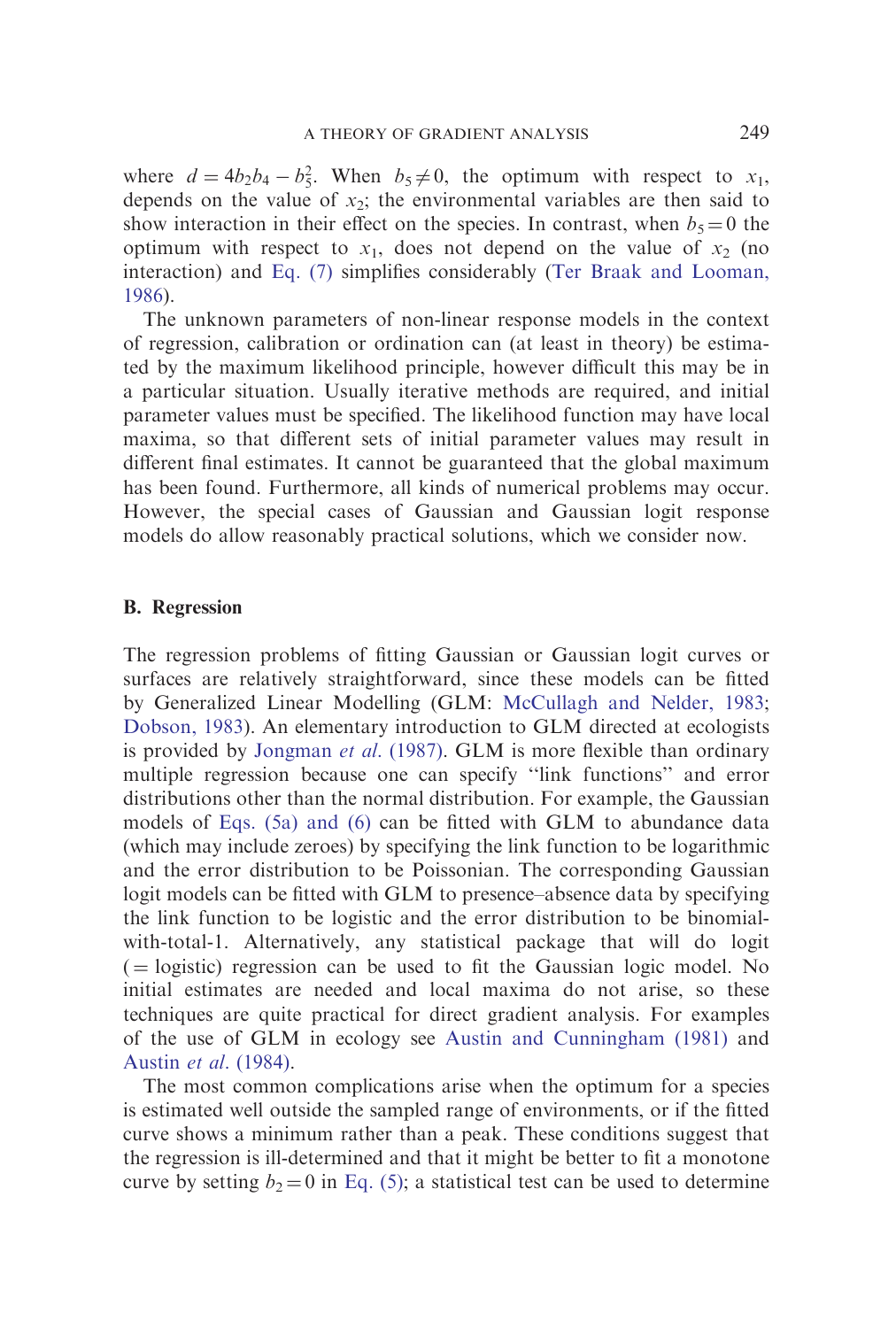where  $d = 4b_2b_4 - b_5^2$ . When  $b_5 \neq 0$ , the optimum with respect to  $x_1$ , depends on the value of  $x_2$ ; the environmental variables are then said to show interaction in their effect on the species. In contrast, when  $b_5 = 0$  the optimum with respect to  $x_1$ , does not depend on the value of  $x_2$  (no interaction) and [Eq. \(7\)](#page-13-0) simplifies considerably ([Ter Braak and Looman,](#page-43-0) [1986](#page-43-0)).

The unknown parameters of non-linear response models in the context of regression, calibration or ordination can (at least in theory) be estimated by the maximum likelihood principle, however difficult this may be in a particular situation. Usually iterative methods are required, and initial parameter values must be specified. The likelihood function may have local maxima, so that different sets of initial parameter values may result in different final estimates. It cannot be guaranteed that the global maximum has been found. Furthermore, all kinds of numerical problems may occur. However, the special cases of Gaussian and Gaussian logit response models do allow reasonably practical solutions, which we consider now.

#### B. Regression

The regression problems of fitting Gaussian or Gaussian logit curves or surfaces are relatively straightforward, since these models can be fitted by Generalized Linear Modelling (GLM: [McCullagh and Nelder, 1983;](#page-41-0) [Dobson, 1983\)](#page-39-0). An elementary introduction to GLM directed at ecologists is provided by [Jongman](#page-41-0) et al. (1987). GLM is more flexible than ordinary multiple regression because one can specify ''link functions'' and error distributions other than the normal distribution. For example, the Gaussian models of [Eqs. \(5a\) and \(6\)](#page-12-0) can be fitted with GLM to abundance data (which may include zeroes) by specifying the link function to be logarithmic and the error distribution to be Poissonian. The corresponding Gaussian logit models can be fitted with GLM to presence–absence data by specifying the link function to be logistic and the error distribution to be binomialwith-total-1. Alternatively, any statistical package that will do logit  $($  = logistic) regression can be used to fit the Gaussian logic model. No initial estimates are needed and local maxima do not arise, so these techniques are quite practical for direct gradient analysis. For examples of the use of GLM in ecology see [Austin and Cunningham \(1981\)](#page-38-0) and [Austin](#page-38-0) et al. (1984).

The most common complications arise when the optimum for a species is estimated well outside the sampled range of environments, or if the fitted curve shows a minimum rather than a peak. These conditions suggest that the regression is ill-determined and that it might be better to fit a monotone curve by setting  $b_2 = 0$  in [Eq. \(5\)](#page-12-0); a statistical test can be used to determine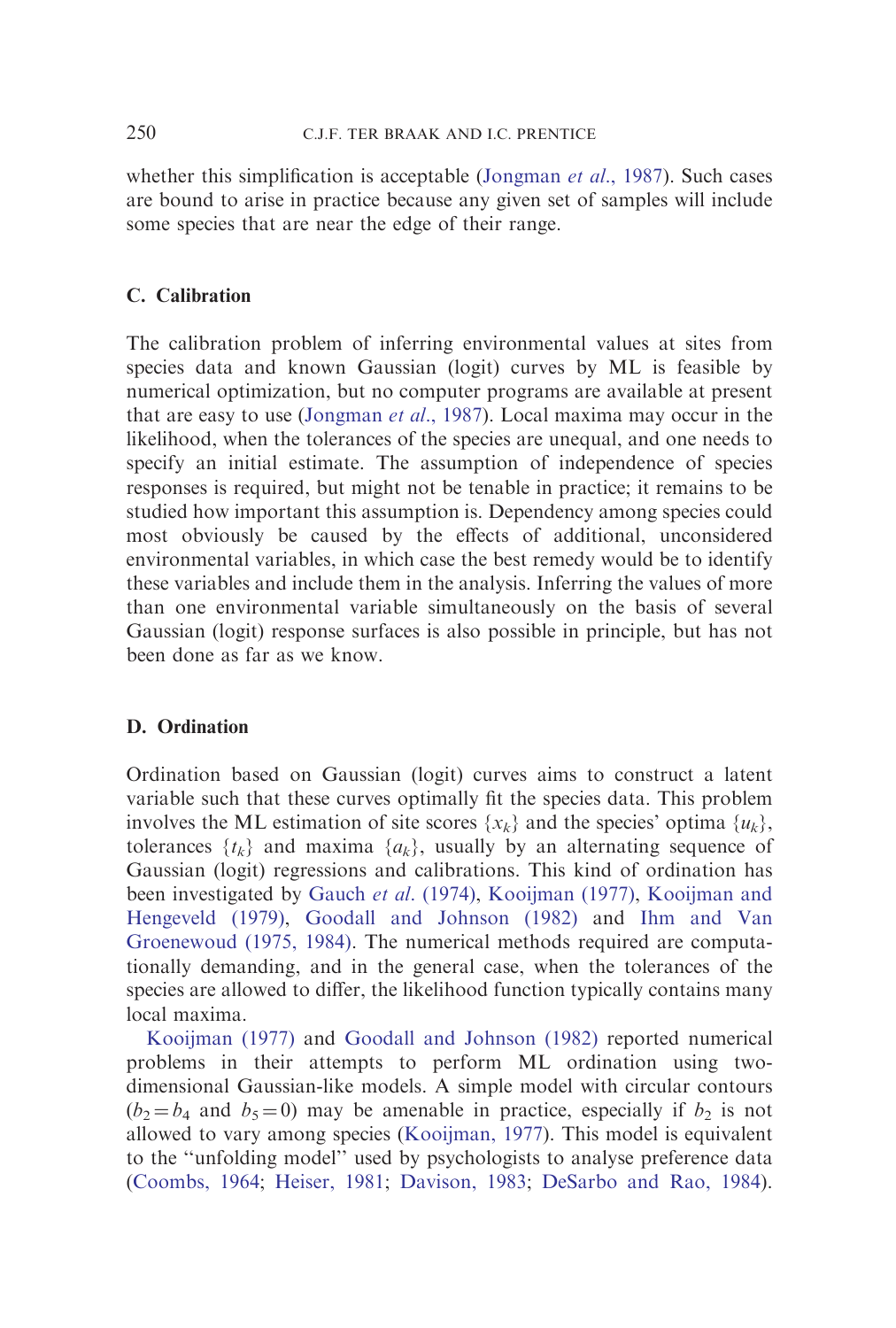whether this simplification is acceptable [\(Jongman](#page-41-0) *et al.*, 1987). Such cases are bound to arise in practice because any given set of samples will include some species that are near the edge of their range.

#### C. Calibration

The calibration problem of inferring environmental values at sites from species data and known Gaussian (logit) curves by ML is feasible by numerical optimization, but no computer programs are available at present that are easy to use [\(Jongman](#page-41-0) et al., 1987). Local maxima may occur in the likelihood, when the tolerances of the species are unequal, and one needs to specify an initial estimate. The assumption of independence of species responses is required, but might not be tenable in practice; it remains to be studied how important this assumption is. Dependency among species could most obviously be caused by the effects of additional, unconsidered environmental variables, in which case the best remedy would be to identify these variables and include them in the analysis. Inferring the values of more than one environmental variable simultaneously on the basis of several Gaussian (logit) response surfaces is also possible in principle, but has not been done as far as we know.

#### D. Ordination

Ordination based on Gaussian (logit) curves aims to construct a latent variable such that these curves optimally fit the species data. This problem involves the ML estimation of site scores  $\{x_k\}$  and the species' optima  $\{u_k\}$ , tolerances  $\{t_k\}$  and maxima  $\{a_k\}$ , usually by an alternating sequence of Gaussian (logit) regressions and calibrations. This kind of ordination has been investigated by [Gauch](#page-40-0) et al. (1974), [Kooijman \(1977\),](#page-41-0) [Kooijman and](#page-41-0) [Hengeveld \(1979\)](#page-41-0), [Goodall and Johnson \(1982\)](#page-40-0) and [Ihm and Van](#page-41-0) [Groenewoud \(1975, 1984\).](#page-41-0) The numerical methods required are computationally demanding, and in the general case, when the tolerances of the species are allowed to differ, the likelihood function typically contains many local maxima.

[Kooijman \(1977\)](#page-41-0) and [Goodall and Johnson \(1982\)](#page-40-0) reported numerical problems in their attempts to perform ML ordination using twodimensional Gaussian-like models. A simple model with circular contours  $(b_2 = b_4$  and  $b_5 = 0$ ) may be amenable in practice, especially if  $b_2$  is not allowed to vary among species ([Kooijman, 1977](#page-41-0)). This model is equivalent to the ''unfolding model'' used by psychologists to analyse preference data [\(Coombs, 1964;](#page-39-0) [Heiser, 1981](#page-40-0); [Davison, 1983;](#page-39-0) [DeSarbo and Rao, 1984\)](#page-39-0).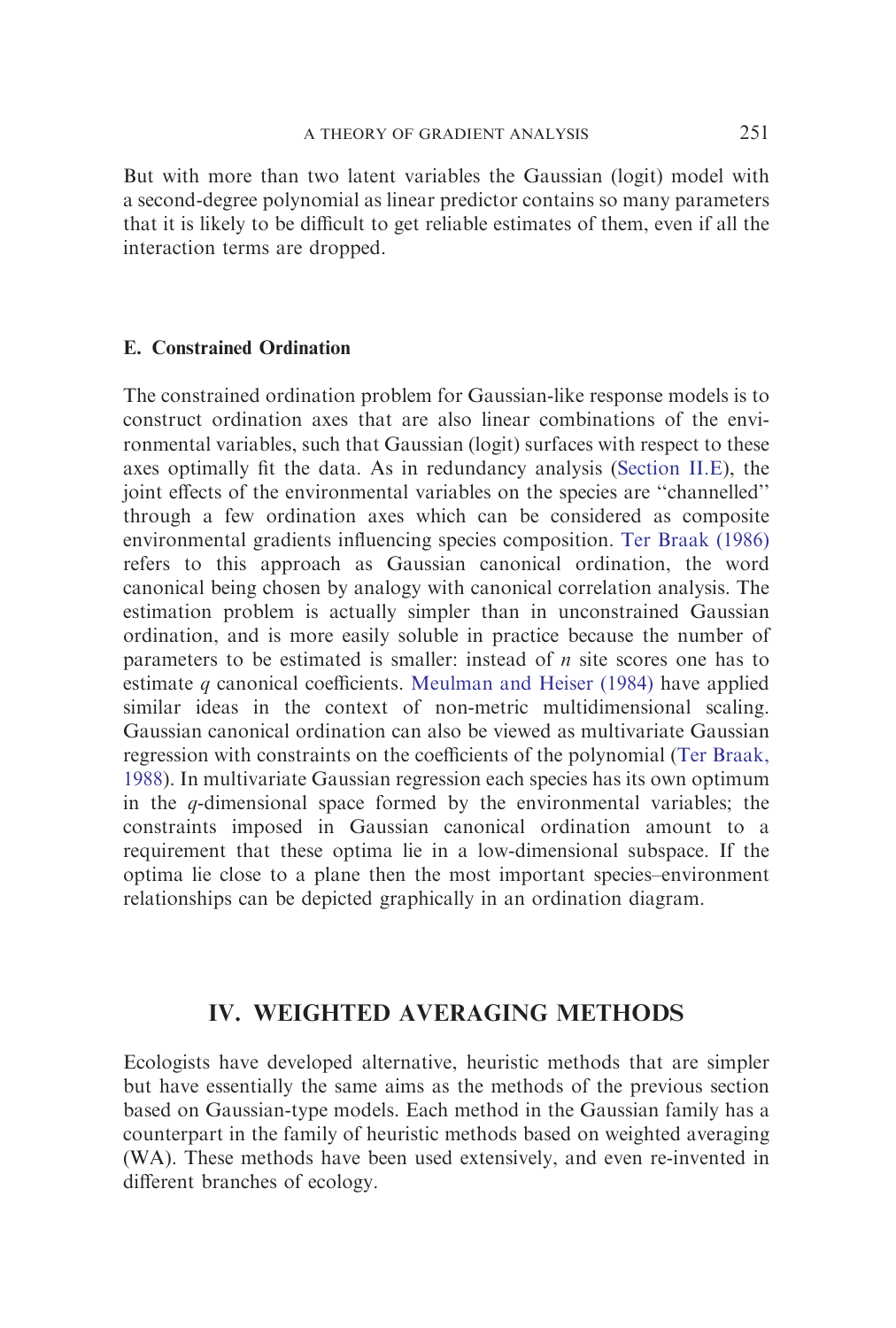But with more than two latent variables the Gaussian (logit) model with a second-degree polynomial as linear predictor contains so many parameters that it is likely to be difficult to get reliable estimates of them, even if all the interaction terms are dropped.

#### E. Constrained Ordination

The constrained ordination problem for Gaussian-like response models is to construct ordination axes that are also linear combinations of the environmental variables, such that Gaussian (logit) surfaces with respect to these axes optimally fit the data. As in redundancy analysis [\(Section II.E\)](#page-10-0), the joint effects of the environmental variables on the species are ''channelled'' through a few ordination axes which can be considered as composite environmental gradients influencing species composition. [Ter Braak \(1986\)](#page-42-0) refers to this approach as Gaussian canonical ordination, the word canonical being chosen by analogy with canonical correlation analysis. The estimation problem is actually simpler than in unconstrained Gaussian ordination, and is more easily soluble in practice because the number of parameters to be estimated is smaller: instead of  $n$  site scores one has to estimate q canonical coefficients. [Meulman and Heiser \(1984\)](#page-41-0) have applied similar ideas in the context of non-metric multidimensional scaling. Gaussian canonical ordination can also be viewed as multivariate Gaussian regression with constraints on the coefficients of the polynomial [\(Ter Braak,](#page-42-0) [1988](#page-42-0)). In multivariate Gaussian regression each species has its own optimum in the  $q$ -dimensional space formed by the environmental variables; the constraints imposed in Gaussian canonical ordination amount to a requirement that these optima lie in a low-dimensional subspace. If the optima lie close to a plane then the most important species–environment relationships can be depicted graphically in an ordination diagram.

# IV. WEIGHTED AVERAGING METHODS

Ecologists have developed alternative, heuristic methods that are simpler but have essentially the same aims as the methods of the previous section based on Gaussian-type models. Each method in the Gaussian family has a counterpart in the family of heuristic methods based on weighted averaging (WA). These methods have been used extensively, and even re-invented in different branches of ecology.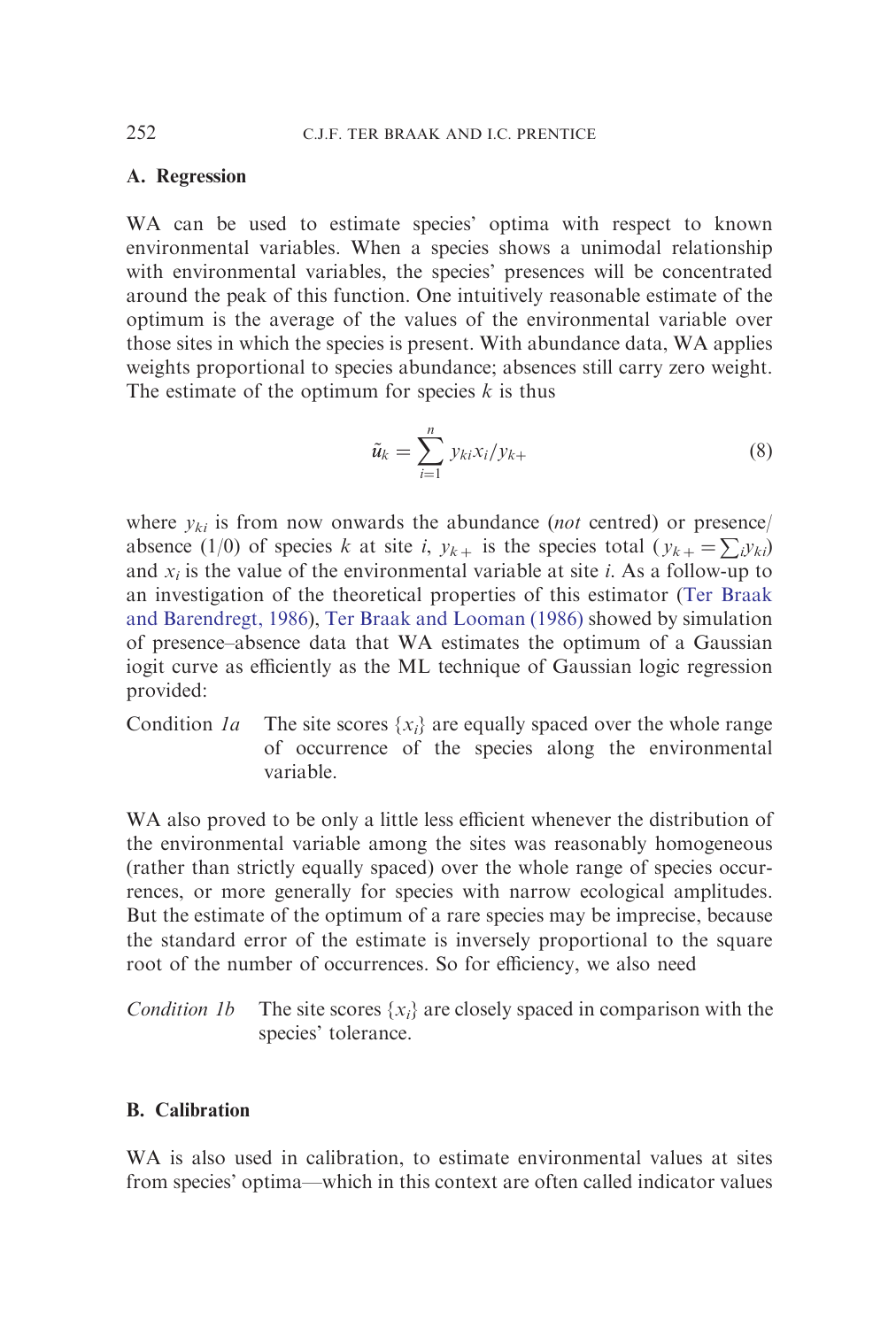#### <span id="page-17-0"></span>A. Regression

WA can be used to estimate species' optima with respect to known environmental variables. When a species shows a unimodal relationship with environmental variables, the species' presences will be concentrated around the peak of this function. One intuitively reasonable estimate of the optimum is the average of the values of the environmental variable over those sites in which the species is present. With abundance data, WA applies weights proportional to species abundance; absences still carry zero weight. The estimate of the optimum for species  $k$  is thus

$$
\tilde{u}_k = \sum_{i=1}^n y_{ki} x_i / y_{k+}
$$
\n(8)

where  $y_{ki}$  is from now onwards the abundance (*not* centred) or presence/ absence (1/0) of species k at site i,  $y_{k+}$  is the species total ( $y_{k+} = \sum_j y_{ki}$ ) and  $x_i$  is the value of the environmental variable at site *i*. As a follow-up to an investigation of the theoretical properties of this estimator [\(Ter Braak](#page-43-0) [and Barendregt, 1986\)](#page-43-0), [Ter Braak and Looman \(1986\)](#page-43-0) showed by simulation of presence–absence data that WA estimates the optimum of a Gaussian iogit curve as efficiently as the ML technique of Gaussian logic regression provided:

Condition  $1a$  The site scores  $\{x_i\}$  are equally spaced over the whole range of occurrence of the species along the environmental variable.

WA also proved to be only a little less efficient whenever the distribution of the environmental variable among the sites was reasonably homogeneous (rather than strictly equally spaced) over the whole range of species occurrences, or more generally for species with narrow ecological amplitudes. But the estimate of the optimum of a rare species may be imprecise, because the standard error of the estimate is inversely proportional to the square root of the number of occurrences. So for efficiency, we also need

*Condition 1b* The site scores  $\{x_i\}$  are closely spaced in comparison with the species' tolerance.

#### B. Calibration

WA is also used in calibration, to estimate environmental values at sites from species' optima—which in this context are often called indicator values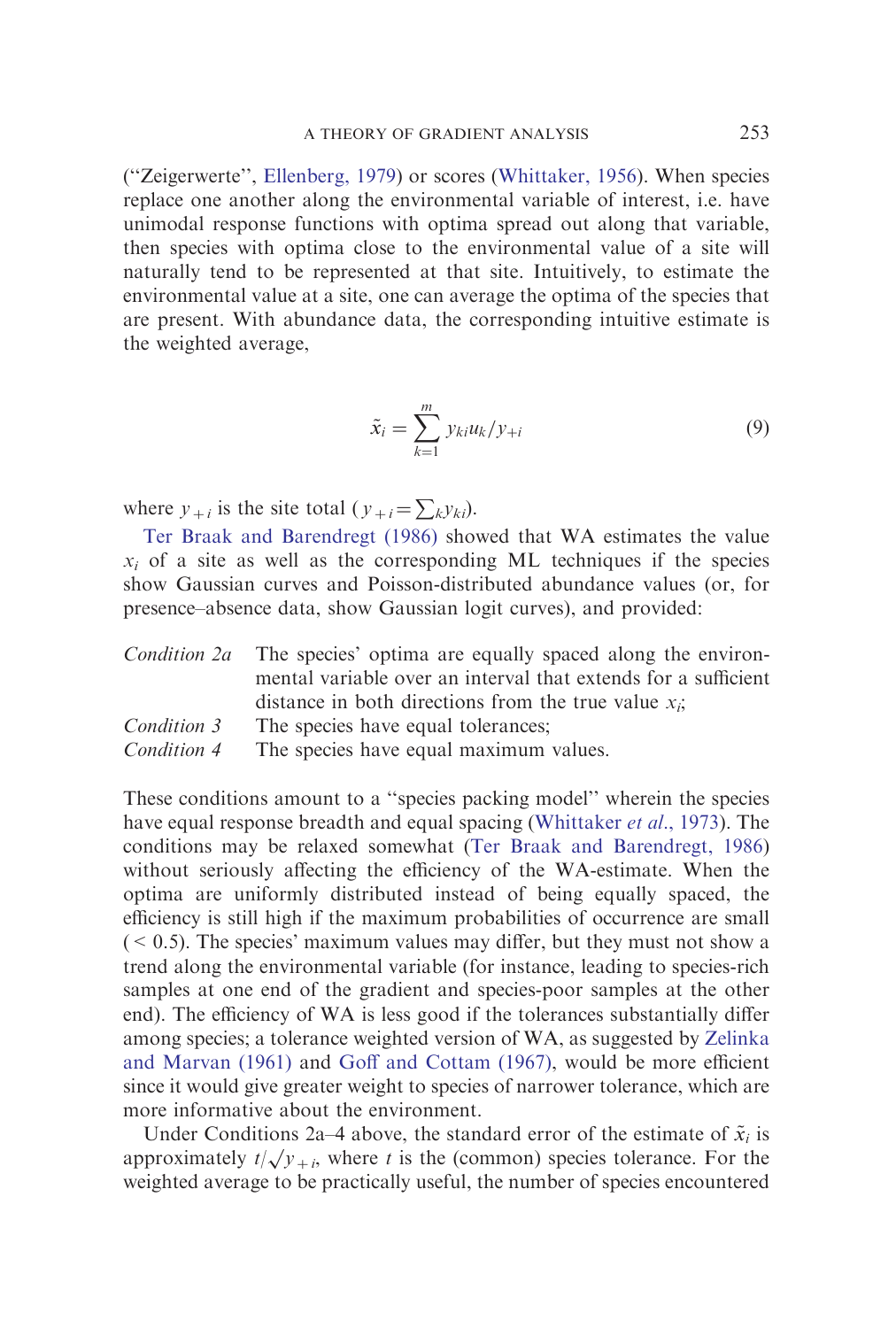<span id="page-18-0"></span>(''Zeigerwerte'', [Ellenberg, 1979\)](#page-39-0) or scores ([Whittaker, 1956\)](#page-43-0). When species replace one another along the environmental variable of interest, i.e. have unimodal response functions with optima spread out along that variable, then species with optima close to the environmental value of a site will naturally tend to be represented at that site. Intuitively, to estimate the environmental value at a site, one can average the optima of the species that are present. With abundance data, the corresponding intuitive estimate is the weighted average,

$$
\tilde{x}_i = \sum_{k=1}^m y_{ki} u_k / y_{+i} \tag{9}
$$

where  $y_{+i}$  is the site total  $(y_{+i} = \sum_{k} y_{ki})$ .

[Ter Braak and Barendregt \(1986\)](#page-43-0) showed that WA estimates the value  $x_i$  of a site as well as the corresponding ML techniques if the species show Gaussian curves and Poisson-distributed abundance values (or, for presence–absence data, show Gaussian logit curves), and provided:

|                    | <i>Condition 2a</i> The species' optima are equally spaced along the environ- |
|--------------------|-------------------------------------------------------------------------------|
|                    | mental variable over an interval that extends for a sufficient                |
|                    | distance in both directions from the true value $x_i$ .                       |
| Condition 3        | The species have equal tolerances;                                            |
| <i>Condition 4</i> | The species have equal maximum values.                                        |

These conditions amount to a ''species packing model'' wherein the species have equal response breadth and equal spacing ([Whittaker](#page-43-0) *et al.*, 1973). The conditions may be relaxed somewhat ([Ter Braak and Barendregt, 1986\)](#page-43-0) without seriously affecting the efficiency of the WA-estimate. When the optima are uniformly distributed instead of being equally spaced, the efficiency is still high if the maximum probabilities of occurrence are small  $( $0.5$ ). The species' maximum values may differ, but they must not show a$ trend along the environmental variable (for instance, leading to species-rich samples at one end of the gradient and species-poor samples at the other end). The efficiency of WA is less good if the tolerances substantially differ among species; a tolerance weighted version of WA, as suggested by [Zelinka](#page-43-0) [and Marvan \(1961\)](#page-43-0) and [Goff and Cottam \(1967\)](#page-40-0), would be more efficient since it would give greater weight to species of narrower tolerance, which are more informative about the environment.

Under Conditions 2a–4 above, the standard error of the estimate of  $\tilde{x}_i$  is Einder Conditions  $2a \rightarrow a$  above, the standard error of the estimate of  $x_i$  is approximately  $t/\sqrt{y_{+i}}$ , where t is the (common) species tolerance. For the weighted average to be practically useful, the number of species encountered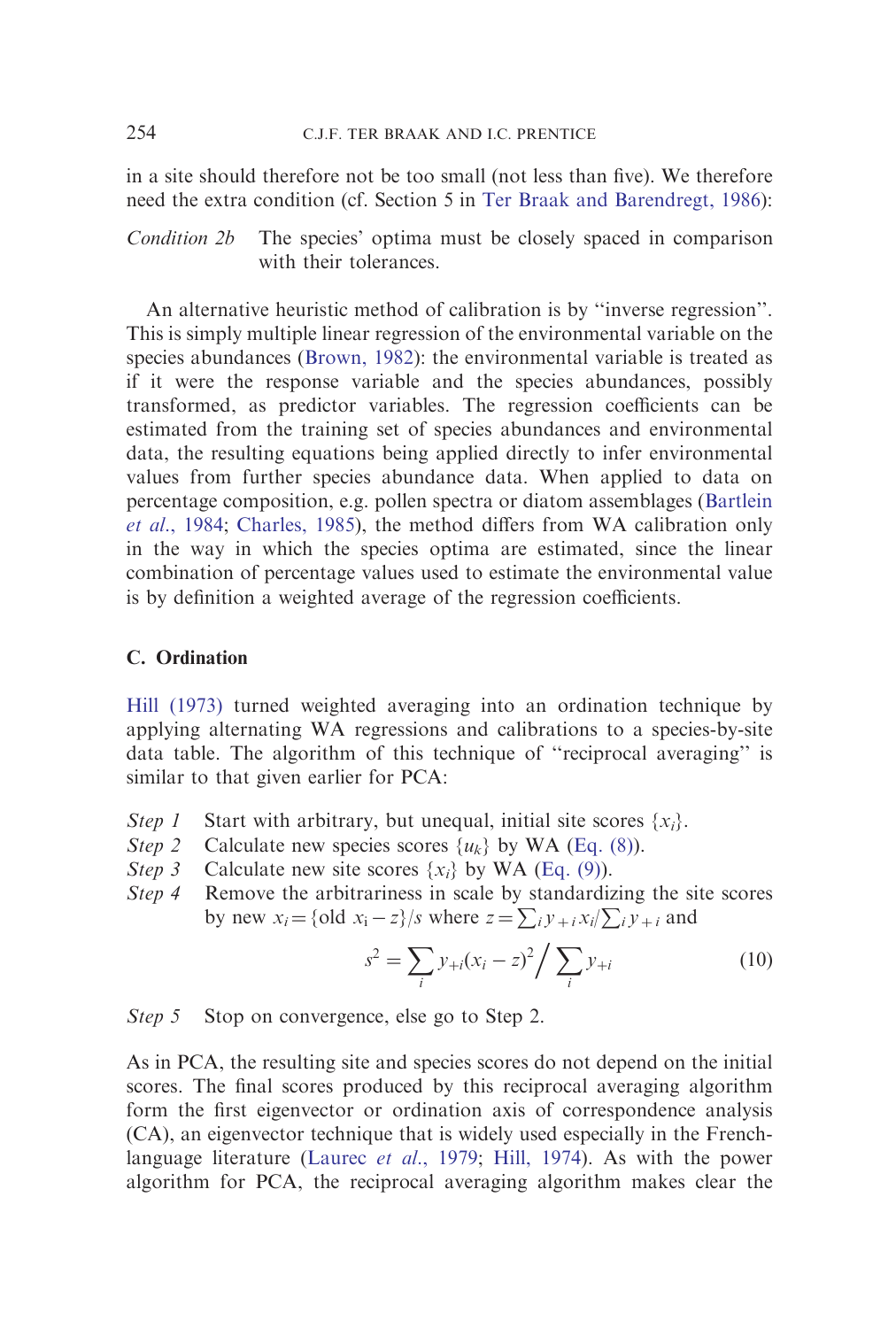<span id="page-19-0"></span>in a site should therefore not be too small (not less than five). We therefore need the extra condition (cf. Section 5 in [Ter Braak and Barendregt, 1986\)](#page-43-0):

Condition 2b The species' optima must be closely spaced in comparison with their tolerances.

An alternative heuristic method of calibration is by ''inverse regression''. This is simply multiple linear regression of the environmental variable on the species abundances ([Brown, 1982\)](#page-39-0): the environmental variable is treated as if it were the response variable and the species abundances, possibly transformed, as predictor variables. The regression coefficients can be estimated from the training set of species abundances and environmental data, the resulting equations being applied directly to infer environmental values from further species abundance data. When applied to data on percentage composition, e.g. pollen spectra or diatom assemblages ([Bartlein](#page-39-0) et al[., 1984;](#page-39-0) [Charles, 1985](#page-39-0)), the method differs from WA calibration only in the way in which the species optima are estimated, since the linear combination of percentage values used to estimate the environmental value is by definition a weighted average of the regression coefficients.

#### C. Ordination

[Hill \(1973\)](#page-40-0) turned weighted averaging into an ordination technique by applying alternating WA regressions and calibrations to a species-by-site data table. The algorithm of this technique of ''reciprocal averaging'' is similar to that given earlier for PCA:

- Step 1 Start with arbitrary, but unequal, initial site scores  $\{x_i\}$ .<br>Step 2 Calculate new species scores  $\{u_k\}$  by WA (Eq. (8)).
- Calculate new species scores  $\{u_k\}$  by WA [\(Eq. \(8\)](#page-17-0)).
- Step 3 Calculate new site scores  $\{x_i\}$  by WA [\(Eq. \(9\)](#page-18-0)).
- Step 4 Remove the arbitrariness in scale by standardizing the site scores by new  $x_i = \{\text{old } x_i - z\} / s \text{ where } z = \sum_i y_{+i} x_i / \sum_i y_{+i}$  and

$$
s^{2} = \sum_{i} y_{+i}(x_{i} - z)^{2} / \sum_{i} y_{+i}
$$
 (10)

Step 5 Stop on convergence, else go to Step 2.

As in PCA, the resulting site and species scores do not depend on the initial scores. The final scores produced by this reciprocal averaging algorithm form the first eigenvector or ordination axis of correspondence analysis (CA), an eigenvector technique that is widely used especially in the Frenchlanguage literature (Laurec et al[., 1979;](#page-41-0) [Hill, 1974](#page-40-0)). As with the power algorithm for PCA, the reciprocal averaging algorithm makes clear the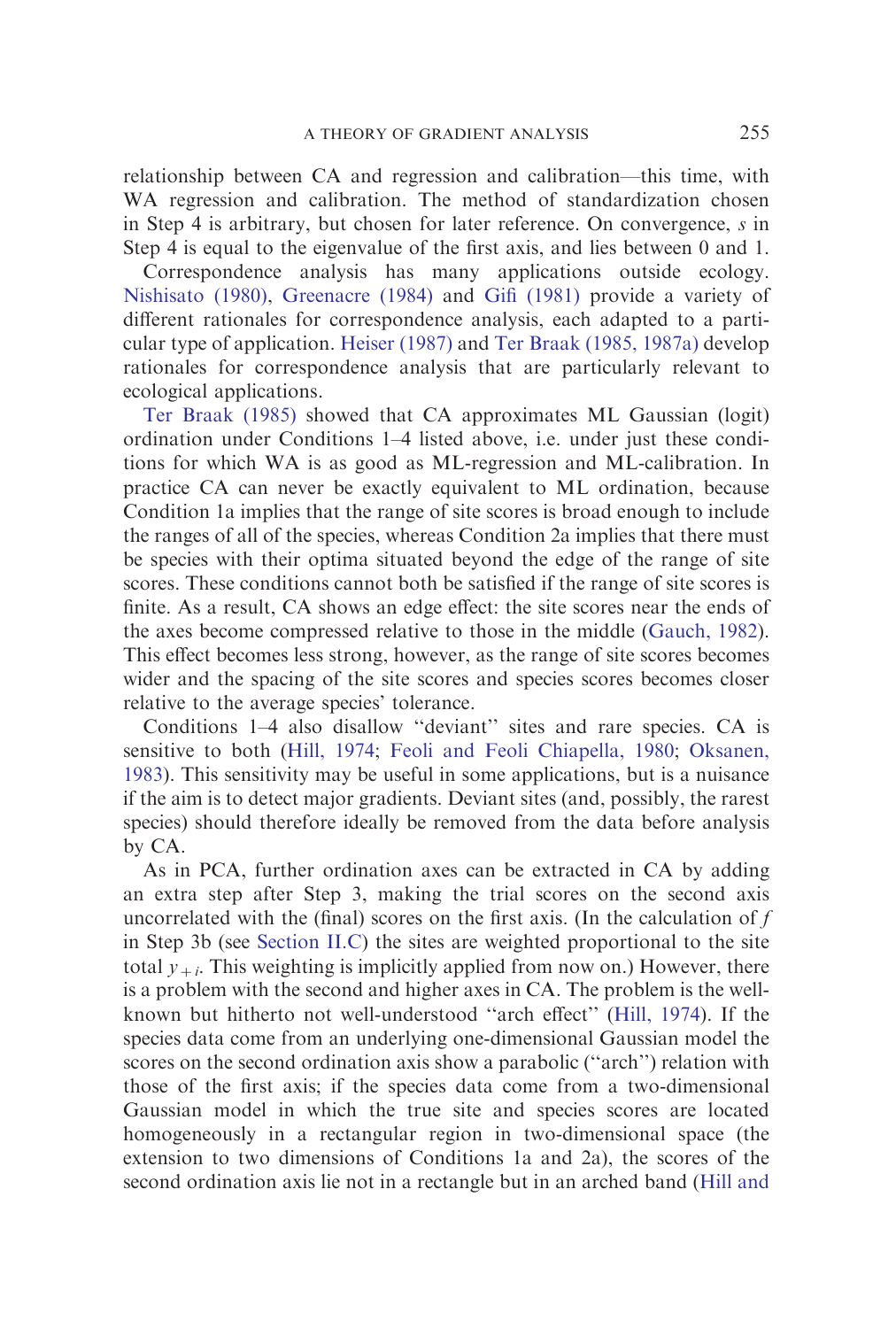relationship between CA and regression and calibration—this time, with WA regression and calibration. The method of standardization chosen in Step 4 is arbitrary, but chosen for later reference. On convergence, s in Step 4 is equal to the eigenvalue of the first axis, and lies between 0 and 1.

Correspondence analysis has many applications outside ecology. [Nishisato \(1980\),](#page-42-0) [Greenacre \(1984\)](#page-40-0) and [Gifi \(1981\)](#page-40-0) provide a variety of different rationales for correspondence analysis, each adapted to a particular type of application. [Heiser \(1987\)](#page-40-0) and [Ter Braak \(1985, 1987a\)](#page-42-0) develop rationales for correspondence analysis that are particularly relevant to ecological applications.

[Ter Braak \(1985\)](#page-42-0) showed that CA approximates ML Gaussian (logit) ordination under Conditions 1–4 listed above, i.e. under just these conditions for which WA is as good as ML-regression and ML-calibration. In practice CA can never be exactly equivalent to ML ordination, because Condition 1a implies that the range of site scores is broad enough to include the ranges of all of the species, whereas Condition 2a implies that there must be species with their optima situated beyond the edge of the range of site scores. These conditions cannot both be satisfied if the range of site scores is finite. As a result, CA shows an edge effect: the site scores near the ends of the axes become compressed relative to those in the middle ([Gauch, 1982](#page-40-0)). This effect becomes less strong, however, as the range of site scores becomes wider and the spacing of the site scores and species scores becomes closer relative to the average species' tolerance.

Conditions 1–4 also disallow ''deviant'' sites and rare species. CA is sensitive to both [\(Hill, 1974](#page-40-0); [Feoli and Feoli Chiapella, 1980;](#page-39-0) [Oksanen,](#page-42-0) [1983](#page-42-0)). This sensitivity may be useful in some applications, but is a nuisance if the aim is to detect major gradients. Deviant sites (and, possibly, the rarest species) should therefore ideally be removed from the data before analysis by CA.

As in PCA, further ordination axes can be extracted in CA by adding an extra step after Step 3, making the trial scores on the second axis uncorrelated with the (final) scores on the first axis. (In the calculation of  $f$ in Step 3b (see [Section II.C\)](#page-8-0) the sites are weighted proportional to the site total  $y_{+i}$ . This weighting is implicitly applied from now on.) However, there is a problem with the second and higher axes in CA. The problem is the wellknown but hitherto not well-understood ''arch effect'' [\(Hill, 1974\)](#page-40-0). If the species data come from an underlying one-dimensional Gaussian model the scores on the second ordination axis show a parabolic (''arch'') relation with those of the first axis; if the species data come from a two-dimensional Gaussian model in which the true site and species scores are located homogeneously in a rectangular region in two-dimensional space (the extension to two dimensions of Conditions 1a and 2a), the scores of the second ordination axis lie not in a rectangle but in an arched band [\(Hill and](#page-40-0)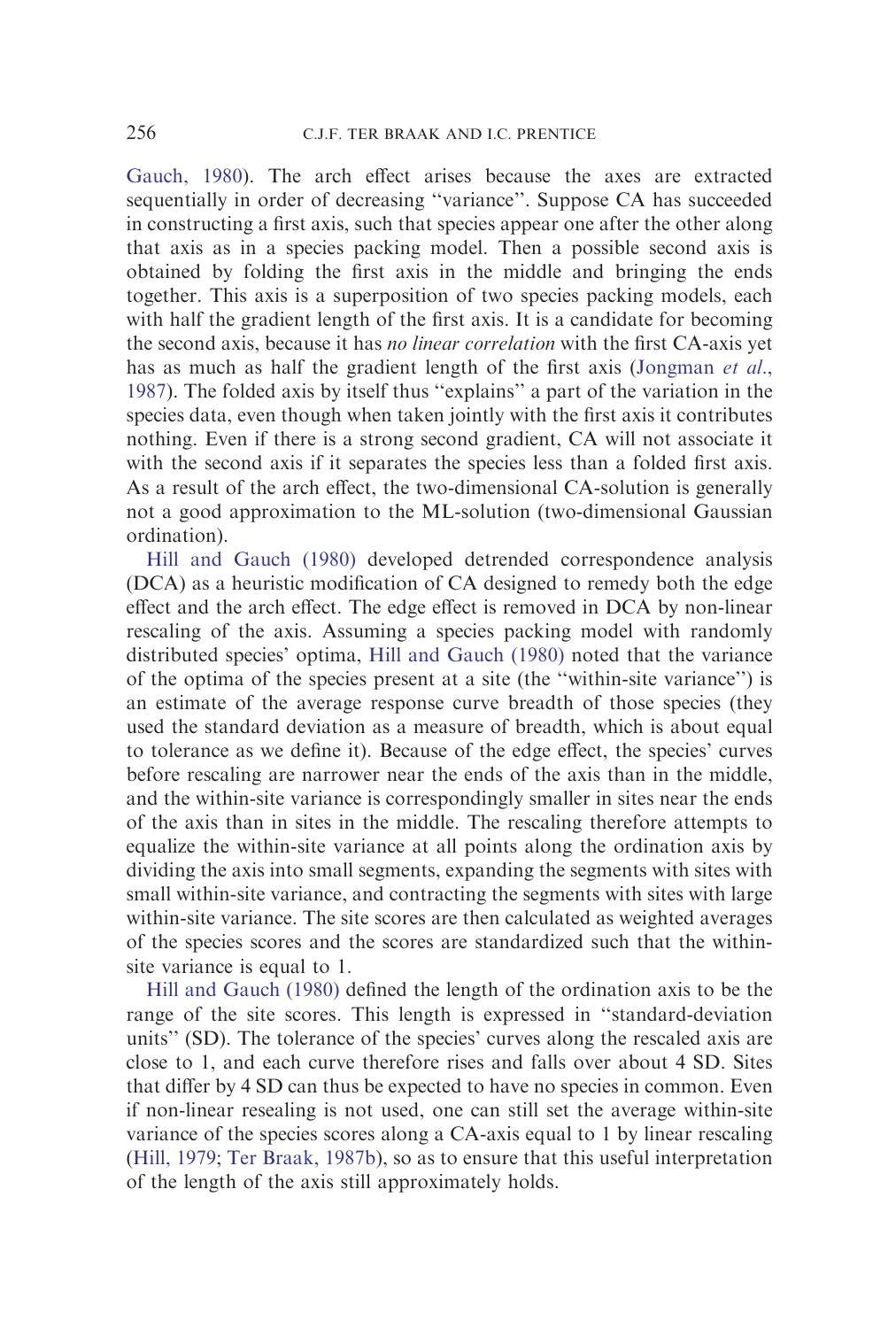[Gauch, 1980](#page-40-0)). The arch effect arises because the axes are extracted sequentially in order of decreasing ''variance''. Suppose CA has succeeded in constructing a first axis, such that species appear one after the other along that axis as in a species packing model. Then a possible second axis is obtained by folding the first axis in the middle and bringing the ends together. This axis is a superposition of two species packing models, each with half the gradient length of the first axis. It is a candidate for becoming the second axis, because it has *no linear correlation* with the first CA-axis yet has as much as half the gradient length of the first axis ([Jongman](#page-41-0) *et al.*, [1987\)](#page-41-0). The folded axis by itself thus ''explains'' a part of the variation in the species data, even though when taken jointly with the first axis it contributes nothing. Even if there is a strong second gradient, CA will not associate it with the second axis if it separates the species less than a folded first axis. As a result of the arch effect, the two-dimensional CA-solution is generally not a good approximation to the ML-solution (two-dimensional Gaussian ordination).

[Hill and Gauch \(1980\)](#page-40-0) developed detrended correspondence analysis (DCA) as a heuristic modification of CA designed to remedy both the edge effect and the arch effect. The edge effect is removed in DCA by non-linear rescaling of the axis. Assuming a species packing model with randomly distributed species' optima, [Hill and Gauch \(1980\)](#page-40-0) noted that the variance of the optima of the species present at a site (the ''within-site variance'') is an estimate of the average response curve breadth of those species (they used the standard deviation as a measure of breadth, which is about equal to tolerance as we define it). Because of the edge effect, the species' curves before rescaling are narrower near the ends of the axis than in the middle, and the within-site variance is correspondingly smaller in sites near the ends of the axis than in sites in the middle. The rescaling therefore attempts to equalize the within-site variance at all points along the ordination axis by dividing the axis into small segments, expanding the segments with sites with small within-site variance, and contracting the segments with sites with large within-site variance. The site scores are then calculated as weighted averages of the species scores and the scores are standardized such that the withinsite variance is equal to 1.

[Hill and Gauch \(1980\)](#page-40-0) defined the length of the ordination axis to be the range of the site scores. This length is expressed in ''standard-deviation units'' (SD). The tolerance of the species' curves along the rescaled axis are close to 1, and each curve therefore rises and falls over about 4 SD. Sites that differ by 4 SD can thus be expected to have no species in common. Even if non-linear resealing is not used, one can still set the average within-site variance of the species scores along a CA-axis equal to 1 by linear rescaling [\(Hill, 1979;](#page-40-0) [Ter Braak, 1987b\)](#page-42-0), so as to ensure that this useful interpretation of the length of the axis still approximately holds.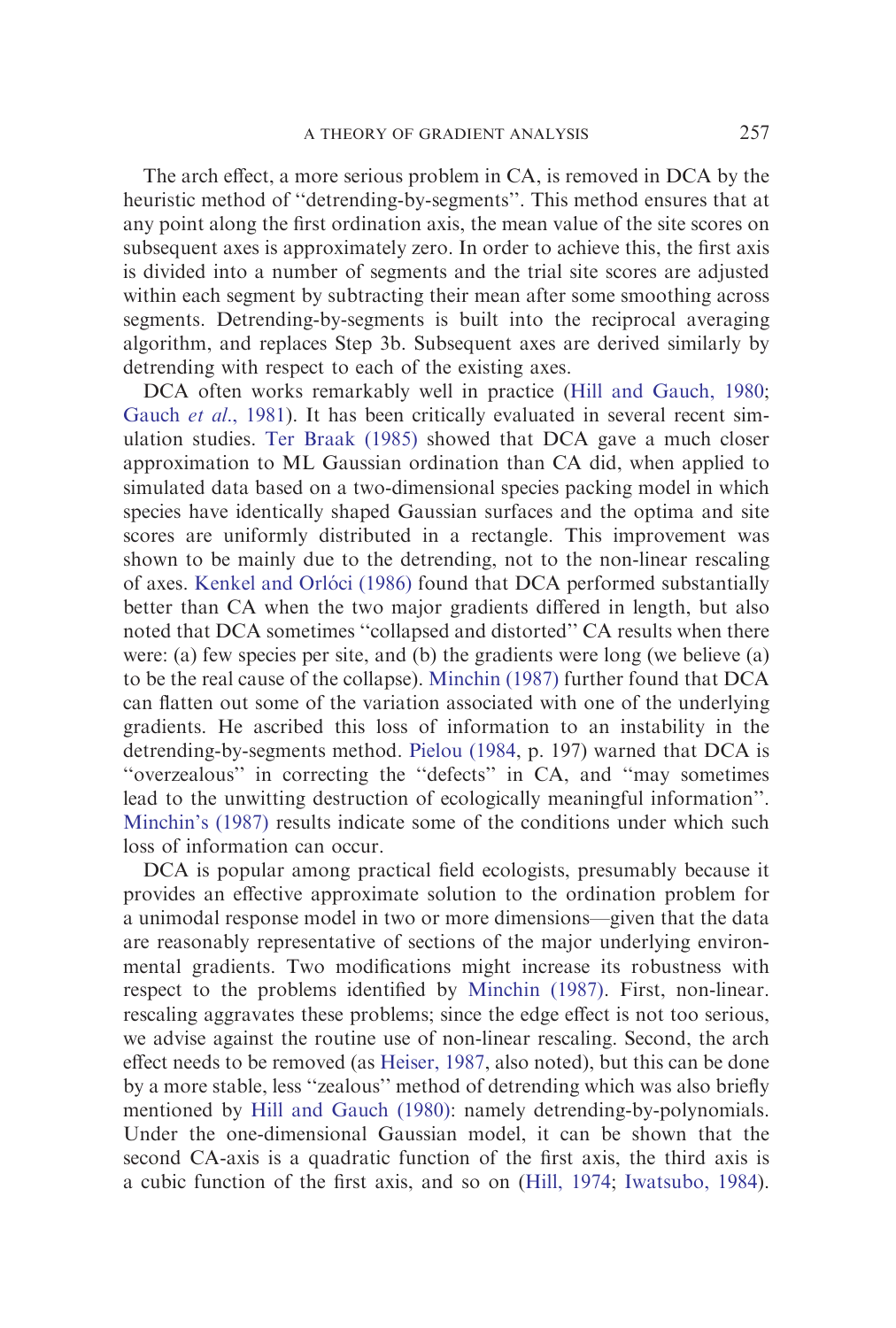The arch effect, a more serious problem in CA, is removed in DCA by the heuristic method of ''detrending-by-segments''. This method ensures that at any point along the first ordination axis, the mean value of the site scores on subsequent axes is approximately zero. In order to achieve this, the first axis is divided into a number of segments and the trial site scores are adjusted within each segment by subtracting their mean after some smoothing across segments. Detrending-by-segments is built into the reciprocal averaging algorithm, and replaces Step 3b. Subsequent axes are derived similarly by detrending with respect to each of the existing axes.

DCA often works remarkably well in practice ([Hill and Gauch, 1980;](#page-40-0) Gauch *et al.*, 1981). It has been critically evaluated in several recent simulation studies. [Ter Braak \(1985\)](#page-42-0) showed that DCA gave a much closer approximation to ML Gaussian ordination than CA did, when applied to simulated data based on a two-dimensional species packing model in which species have identically shaped Gaussian surfaces and the optima and site scores are uniformly distributed in a rectangle. This improvement was shown to be mainly due to the detrending, not to the non-linear rescaling of axes. Kenkel and Orlóci (1986) found that DCA performed substantially better than CA when the two major gradients differed in length, but also noted that DCA sometimes ''collapsed and distorted'' CA results when there were: (a) few species per site, and (b) the gradients were long (we believe (a) to be the real cause of the collapse). [Minchin \(1987\)](#page-41-0) further found that DCA can flatten out some of the variation associated with one of the underlying gradients. He ascribed this loss of information to an instability in the detrending-by-segments method. [Pielou \(1984,](#page-42-0) p. 197) warned that DCA is ''overzealous'' in correcting the ''defects'' in CA, and ''may sometimes lead to the unwitting destruction of ecologically meaningful information''. [Minchin's \(1987\)](#page-41-0) results indicate some of the conditions under which such loss of information can occur.

DCA is popular among practical field ecologists, presumably because it provides an effective approximate solution to the ordination problem for a unimodal response model in two or more dimensions—given that the data are reasonably representative of sections of the major underlying environmental gradients. Two modifications might increase its robustness with respect to the problems identified by [Minchin \(1987\)](#page-41-0). First, non-linear. rescaling aggravates these problems; since the edge effect is not too serious, we advise against the routine use of non-linear rescaling. Second, the arch effect needs to be removed (as [Heiser, 1987](#page-40-0), also noted), but this can be done by a more stable, less ''zealous'' method of detrending which was also briefly mentioned by [Hill and Gauch \(1980\):](#page-40-0) namely detrending-by-polynomials. Under the one-dimensional Gaussian model, it can be shown that the second CA-axis is a quadratic function of the first axis, the third axis is a cubic function of the first axis, and so on [\(Hill, 1974](#page-40-0); [Iwatsubo, 1984](#page-41-0)).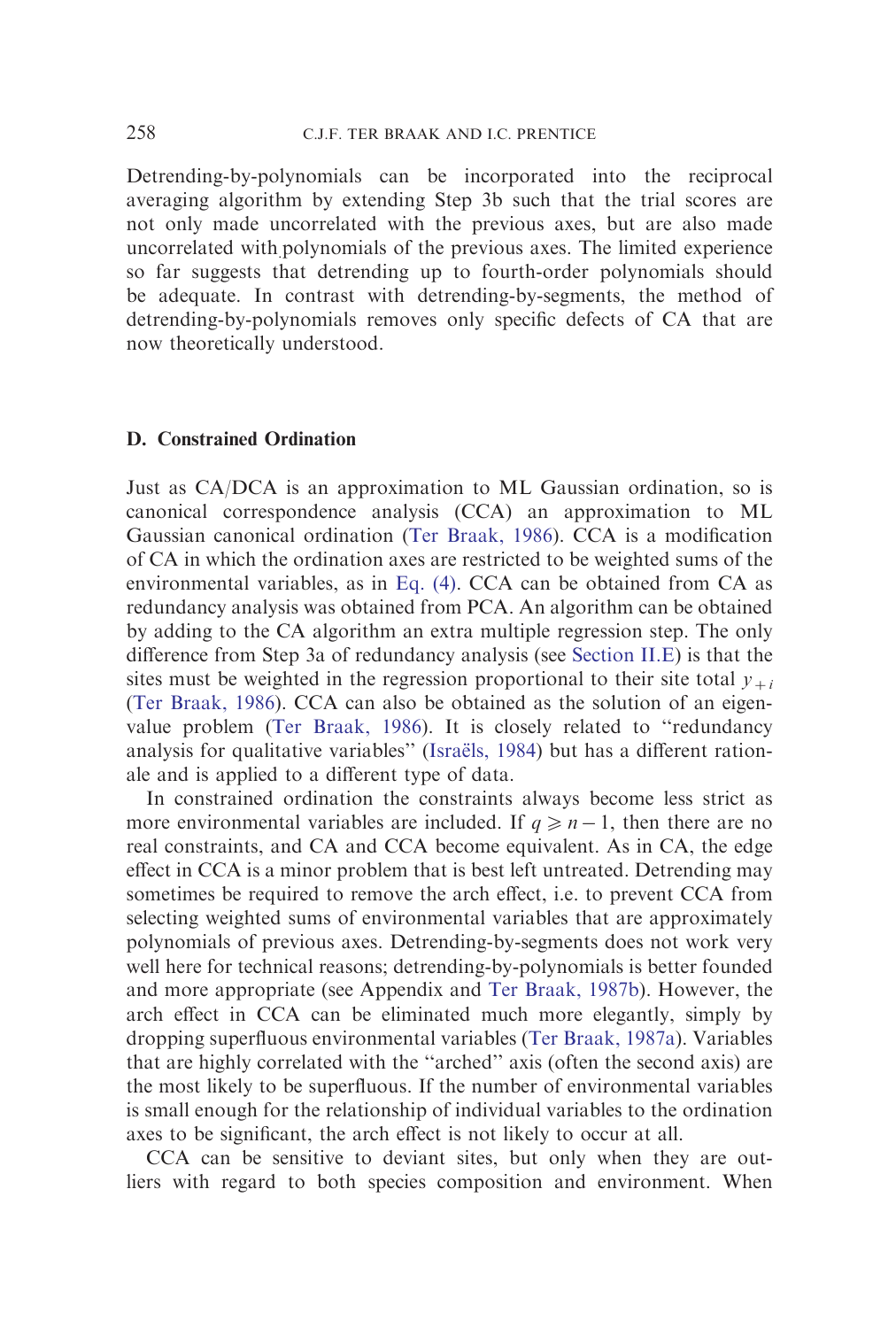Detrending-by-polynomials can be incorporated into the reciprocal averaging algorithm by extending Step 3b such that the trial scores are not only made uncorrelated with the previous axes, but are also made uncorrelated with polynomials of the previous axes. The limited experience so far suggests that detrending up to fourth-order polynomials should be adequate. In contrast with detrending-by-segments, the method of detrending-by-polynomials removes only specific defects of CA that are now theoretically understood.

#### D. Constrained Ordination

Just as CA/DCA is an approximation to ML Gaussian ordination, so is canonical correspondence analysis (CCA) an approximation to ML Gaussian canonical ordination [\(Ter Braak, 1986\)](#page-42-0). CCA is a modification of CA in which the ordination axes are restricted to be weighted sums of the environmental variables, as in [Eq. \(4\).](#page-9-0) CCA can be obtained from CA as redundancy analysis was obtained from PCA. An algorithm can be obtained by adding to the CA algorithm an extra multiple regression step. The only difference from Step 3a of redundancy analysis (see [Section II.E\)](#page-10-0) is that the sites must be weighted in the regression proportional to their site total  $y_{+i}$ [\(Ter Braak, 1986](#page-42-0)). CCA can also be obtained as the solution of an eigenvalue problem ([Ter Braak, 1986\)](#page-42-0). It is closely related to ''redundancy analysis for qualitative variables" (Israëls, 1984) but has a different rationale and is applied to a different type of data.

In constrained ordination the constraints always become less strict as more environmental variables are included. If  $q \ge n - 1$ , then there are no real constraints, and CA and CCA become equivalent. As in CA, the edge effect in CCA is a minor problem that is best left untreated. Detrending may sometimes be required to remove the arch effect, i.e. to prevent CCA from selecting weighted sums of environmental variables that are approximately polynomials of previous axes. Detrending-by-segments does not work very well here for technical reasons; detrending-by-polynomials is better founded and more appropriate (see Appendix and [Ter Braak, 1987b](#page-42-0)). However, the arch effect in CCA can be eliminated much more elegantly, simply by dropping superfluous environmental variables ([Ter Braak, 1987a](#page-42-0)). Variables that are highly correlated with the ''arched'' axis (often the second axis) are the most likely to be superfluous. If the number of environmental variables is small enough for the relationship of individual variables to the ordination axes to be significant, the arch effect is not likely to occur at all.

CCA can be sensitive to deviant sites, but only when they are outliers with regard to both species composition and environment. When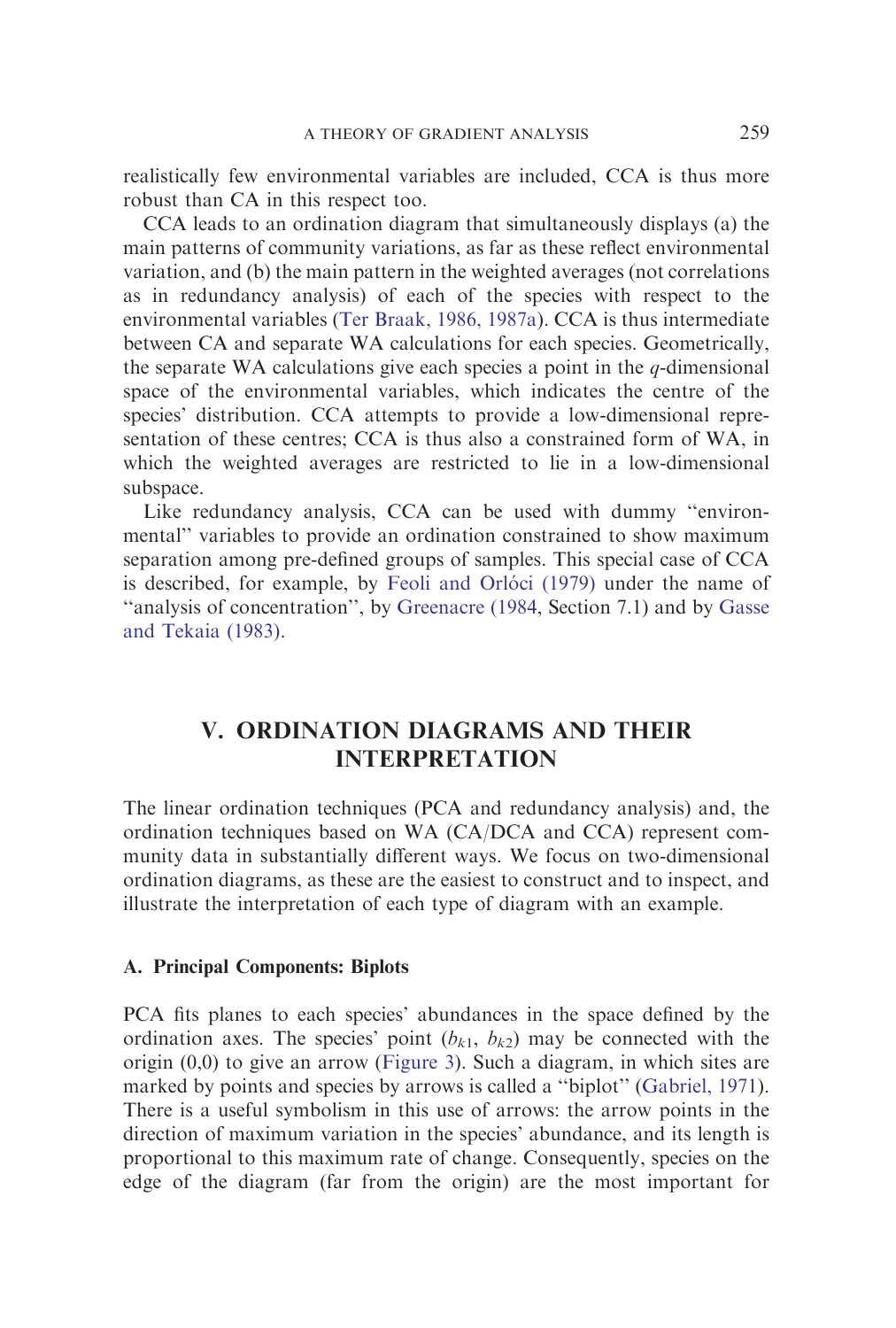realistically few environmental variables are included, CCA is thus more robust than CA in this respect too.

CCA leads to an ordination diagram that simultaneously displays (a) the main patterns of community variations, as far as these reflect environmental variation, and (b) the main pattern in the weighted averages (not correlations as in redundancy analysis) of each of the species with respect to the environmental variables [\(Ter Braak, 1986, 1987a](#page-42-0)). CCA is thus intermediate between CA and separate WA calculations for each species. Geometrically, the separate WA calculations give each species a point in the  $q$ -dimensional space of the environmental variables, which indicates the centre of the species' distribution. CCA attempts to provide a low-dimensional representation of these centres; CCA is thus also a constrained form of WA, in which the weighted averages are restricted to lie in a low-dimensional subspace.

Like redundancy analysis, CCA can be used with dummy ''environmental'' variables to provide an ordination constrained to show maximum separation among pre-defined groups of samples. This special case of CCA is described, for example, by Feoli and Orlóci (1979) under the name of "analysis of concentration", by [Greenacre \(1984](#page-40-0), Section 7.1) and by [Gasse](#page-40-0) [and Tekaia \(1983\).](#page-40-0)

# V. ORDINATION DIAGRAMS AND THEIR INTERPRETATION

The linear ordination techniques (PCA and redundancy analysis) and, the ordination techniques based on WA (CA/DCA and CCA) represent community data in substantially different ways. We focus on two-dimensional ordination diagrams, as these are the easiest to construct and to inspect, and illustrate the interpretation of each type of diagram with an example.

#### A. Principal Components: Biplots

PCA fits planes to each species' abundances in the space defined by the ordination axes. The species' point  $(b_{k1}, b_{k2})$  may be connected with the origin (0,0) to give an arrow ([Figure 3\)](#page-25-0). Such a diagram, in which sites are marked by points and species by arrows is called a ''biplot'' ([Gabriel, 1971](#page-40-0)). There is a useful symbolism in this use of arrows: the arrow points in the direction of maximum variation in the species' abundance, and its length is proportional to this maximum rate of change. Consequently, species on the edge of the diagram (far from the origin) are the most important for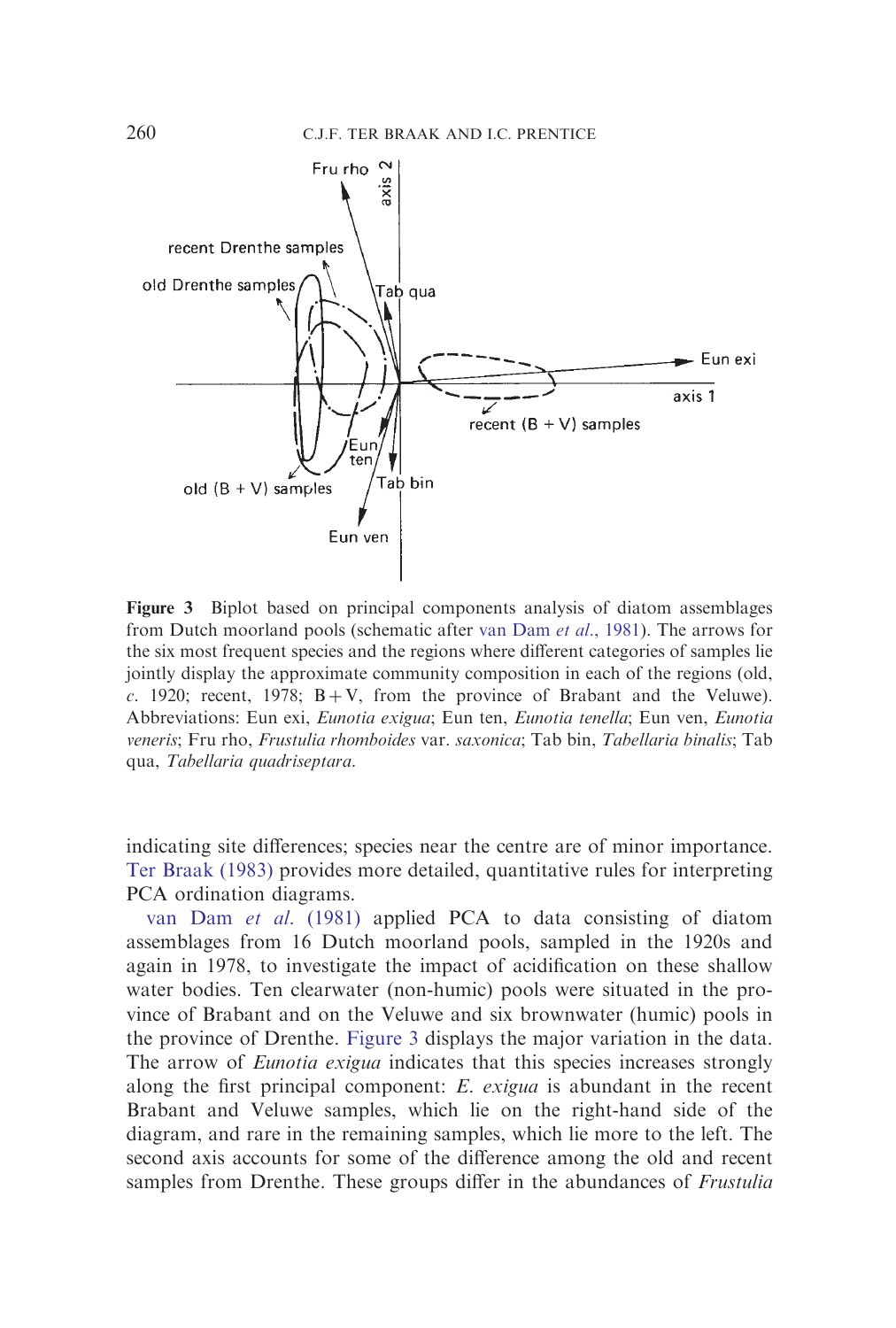<span id="page-25-0"></span>

Figure 3 Biplot based on principal components analysis of diatom assemblages from Dutch moorland pools (schematic after [van Dam](#page-43-0) et al., 1981). The arrows for the six most frequent species and the regions where different categories of samples lie jointly display the approximate community composition in each of the regions (old, c. 1920; recent, 1978;  $B + V$ , from the province of Brabant and the Veluwe). Abbreviations: Eun exi, Eunotia exigua; Eun ten, Eunotia tenella; Eun ven, Eunotia veneris; Fru rho, Frustulia rhomboides var. saxonica; Tab bin, Tabellaria binalis; Tab qua, Tabellaria quadriseptara.

indicating site differences; species near the centre are of minor importance. [Ter Braak \(1983\)](#page-42-0) provides more detailed, quantitative rules for interpreting PCA ordination diagrams.

[van Dam](#page-43-0) et al. (1981) applied PCA to data consisting of diatom assemblages from 16 Dutch moorland pools, sampled in the 1920s and again in 1978, to investigate the impact of acidification on these shallow water bodies. Ten clearwater (non-humic) pools were situated in the province of Brabant and on the Veluwe and six brownwater (humic) pools in the province of Drenthe. Figure 3 displays the major variation in the data. The arrow of *Eunotia exigua* indicates that this species increases strongly along the first principal component: E. exigua is abundant in the recent Brabant and Veluwe samples, which lie on the right-hand side of the diagram, and rare in the remaining samples, which lie more to the left. The second axis accounts for some of the difference among the old and recent samples from Drenthe. These groups differ in the abundances of *Frustulia*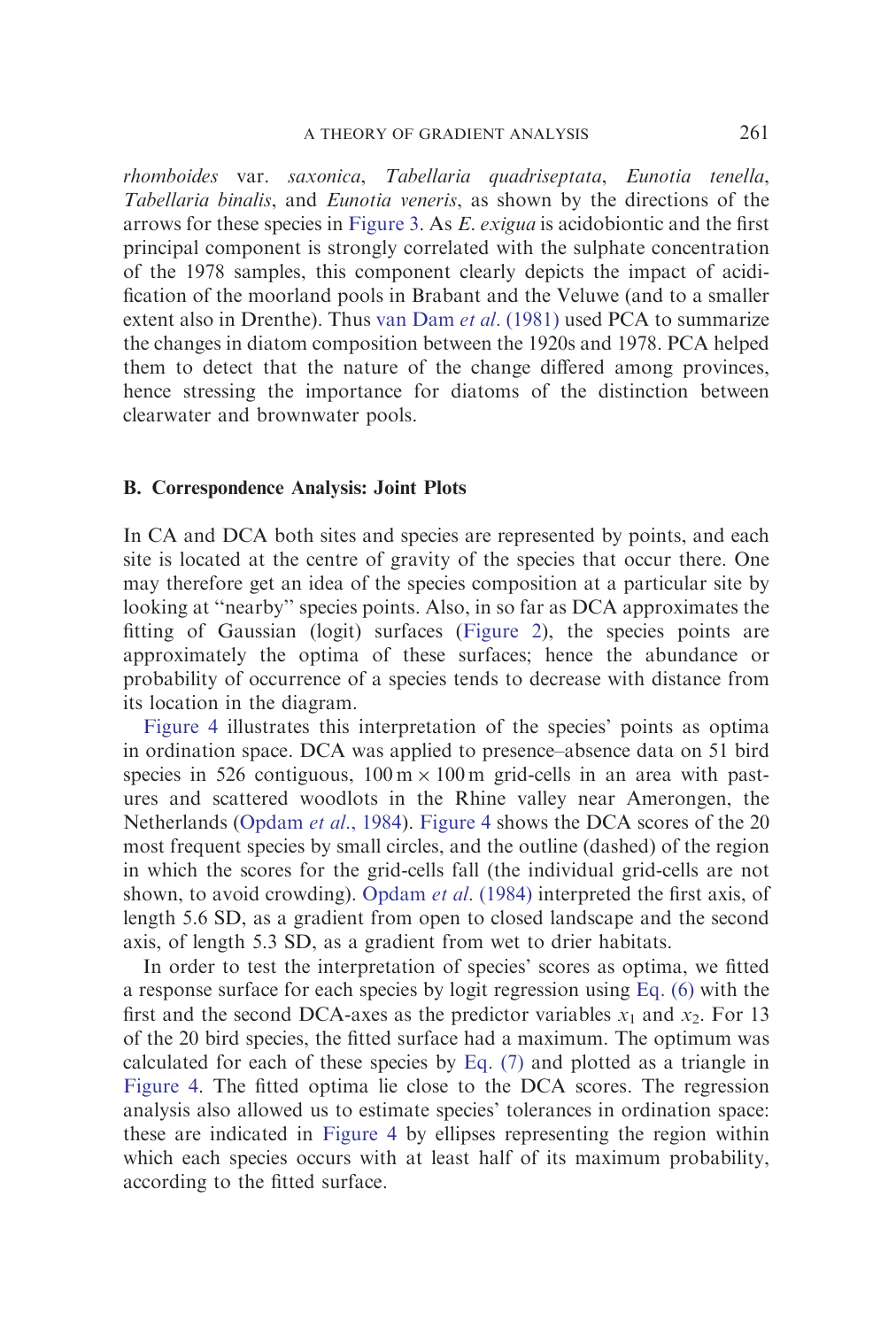#### A THEORY OF GRADIENT ANALYSIS 261

rhomboides var. saxonica, Tabellaria quadriseptata, Eunotia tenella, Tabellaria binalis, and Eunotia veneris, as shown by the directions of the arrows for these species in [Figure 3](#page-25-0). As E. exigua is acidobiontic and the first principal component is strongly correlated with the sulphate concentration of the 1978 samples, this component clearly depicts the impact of acidification of the moorland pools in Brabant and the Veluwe (and to a smaller extent also in Drenthe). Thus [van Dam](#page-43-0) et al. (1981) used PCA to summarize the changes in diatom composition between the 1920s and 1978. PCA helped them to detect that the nature of the change differed among provinces, hence stressing the importance for diatoms of the distinction between clearwater and brownwater pools.

#### B. Correspondence Analysis: Joint Plots

In CA and DCA both sites and species are represented by points, and each site is located at the centre of gravity of the species that occur there. One may therefore get an idea of the species composition at a particular site by looking at ''nearby'' species points. Also, in so far as DCA approximates the fitting of Gaussian (logit) surfaces ([Figure 2](#page-13-0)), the species points are approximately the optima of these surfaces; hence the abundance or probability of occurrence of a species tends to decrease with distance from its location in the diagram.

[Figure 4](#page-27-0) illustrates this interpretation of the species' points as optima in ordination space. DCA was applied to presence–absence data on 51 bird species in 526 contiguous,  $100 \text{ m} \times 100 \text{ m}$  grid-cells in an area with pastures and scattered woodlots in the Rhine valley near Amerongen, the Netherlands ([Opdam](#page-42-0) et al., 1984). [Figure 4](#page-27-0) shows the DCA scores of the 20 most frequent species by small circles, and the outline (dashed) of the region in which the scores for the grid-cells fall (the individual grid-cells are not shown, to avoid crowding). Opdam et al[. \(1984\)](#page-42-0) interpreted the first axis, of length 5.6 SD, as a gradient from open to closed landscape and the second axis, of length 5.3 SD, as a gradient from wet to drier habitats.

In order to test the interpretation of species' scores as optima, we fitted a response surface for each species by logit regression using [Eq. \(6\)](#page-13-0) with the first and the second DCA-axes as the predictor variables  $x_1$  and  $x_2$ . For 13 of the 20 bird species, the fitted surface had a maximum. The optimum was calculated for each of these species by [Eq. \(7\)](#page-13-0) and plotted as a triangle in [Figure 4](#page-27-0). The fitted optima lie close to the DCA scores. The regression analysis also allowed us to estimate species' tolerances in ordination space: these are indicated in [Figure 4](#page-27-0) by ellipses representing the region within which each species occurs with at least half of its maximum probability, according to the fitted surface.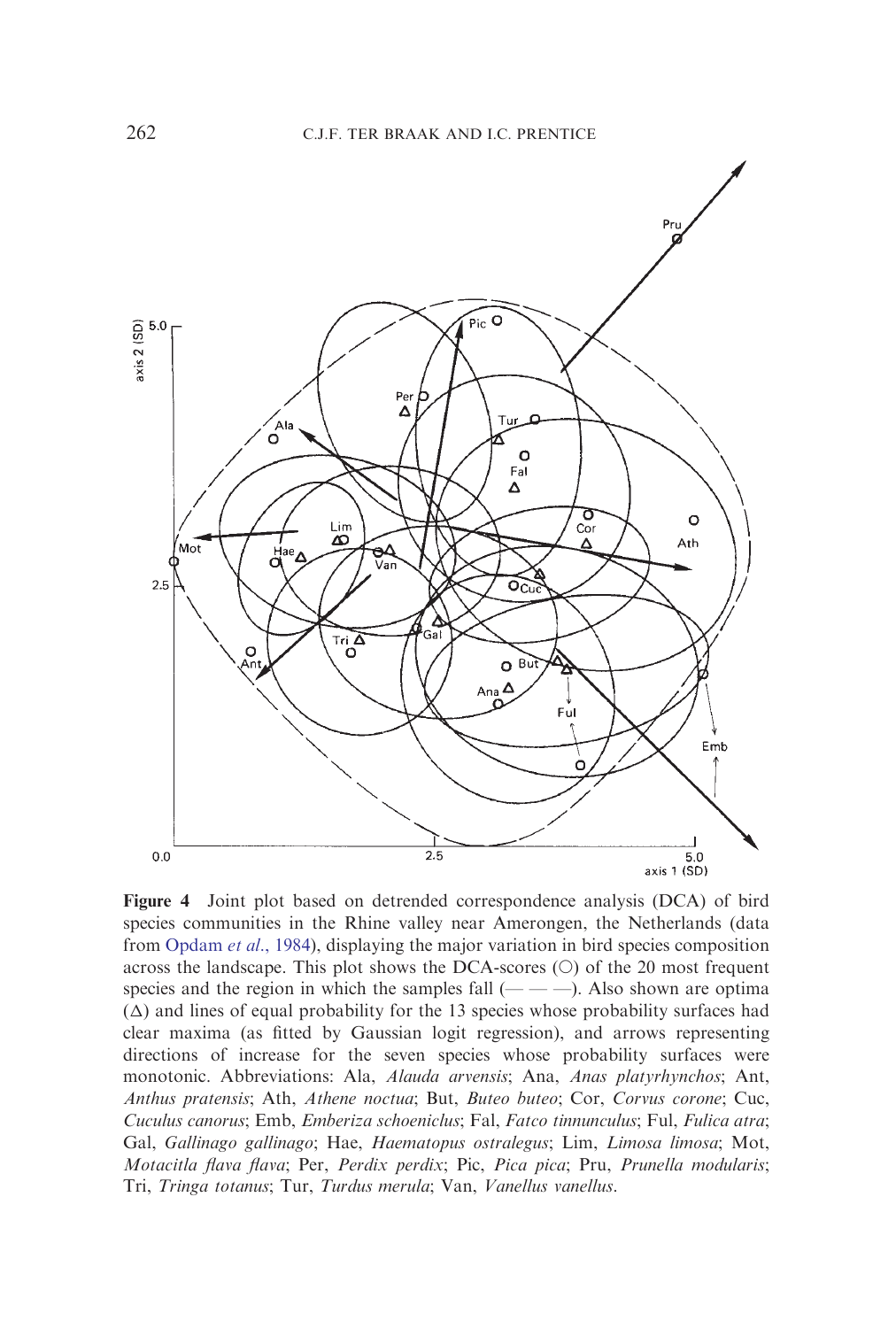<span id="page-27-0"></span>

Figure 4 Joint plot based on detrended correspondence analysis (DCA) of bird species communities in the Rhine valley near Amerongen, the Netherlands (data from [Opdam](#page-42-0) et al., 1984), displaying the major variation in bird species composition across the landscape. This plot shows the DCA-scores  $(\circ)$  of the 20 most frequent species and the region in which the samples fall  $(- - -)$ . Also shown are optima  $(\Delta)$  and lines of equal probability for the 13 species whose probability surfaces had clear maxima (as fitted by Gaussian logit regression), and arrows representing directions of increase for the seven species whose probability surfaces were monotonic. Abbreviations: Ala, Alauda arvensis; Ana, Anas platyrhynchos; Ant, Anthus pratensis; Ath, Athene noctua; But, Buteo buteo; Cor, Corvus corone; Cuc, Cuculus canorus; Emb, Emberiza schoeniclus; Fal, Fatco tinnunculus; Ful, Fulica atra; Gal, Gallinago gallinago; Hae, Haematopus ostralegus; Lim, Limosa limosa; Mot, Motacitla flava flava; Per, Perdix perdix; Pic, Pica pica; Pru, Prunella modularis; Tri, Tringa totanus; Tur, Turdus merula; Van, Vanellus vanellus.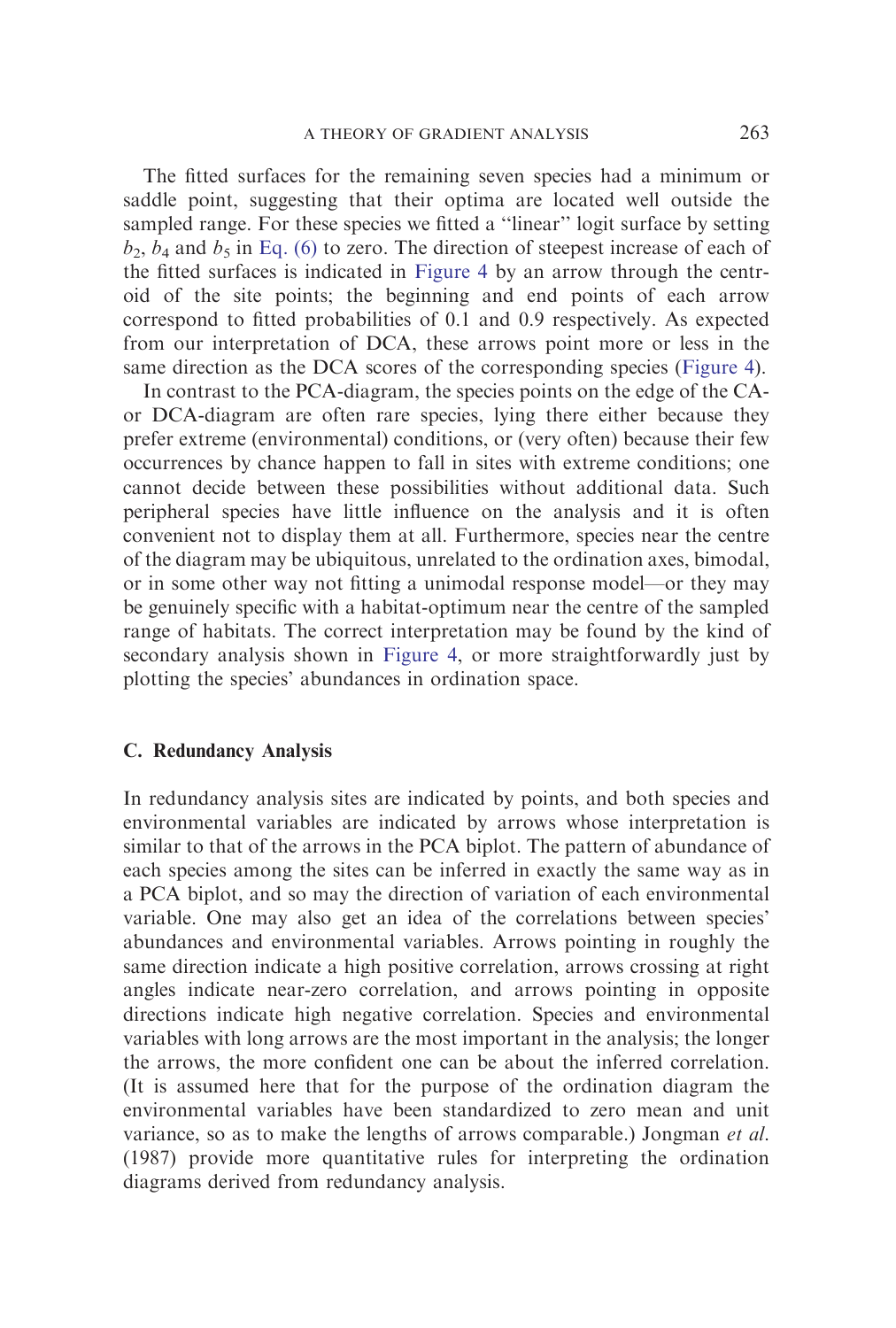<span id="page-28-0"></span>The fitted surfaces for the remaining seven species had a minimum or saddle point, suggesting that their optima are located well outside the sampled range. For these species we fitted a ''linear'' logit surface by setting  $b_2$ ,  $b_4$  and  $b_5$  in [Eq. \(6\)](#page-13-0) to zero. The direction of steepest increase of each of the fitted surfaces is indicated in [Figure 4](#page-27-0) by an arrow through the centroid of the site points; the beginning and end points of each arrow correspond to fitted probabilities of 0.1 and 0.9 respectively. As expected from our interpretation of DCA, these arrows point more or less in the same direction as the DCA scores of the corresponding species [\(Figure 4\)](#page-27-0).

In contrast to the PCA-diagram, the species points on the edge of the CAor DCA-diagram are often rare species, lying there either because they prefer extreme (environmental) conditions, or (very often) because their few occurrences by chance happen to fall in sites with extreme conditions; one cannot decide between these possibilities without additional data. Such peripheral species have little influence on the analysis and it is often convenient not to display them at all. Furthermore, species near the centre of the diagram may be ubiquitous, unrelated to the ordination axes, bimodal, or in some other way not fitting a unimodal response model—or they may be genuinely specific with a habitat-optimum near the centre of the sampled range of habitats. The correct interpretation may be found by the kind of secondary analysis shown in [Figure 4](#page-27-0), or more straightforwardly just by plotting the species' abundances in ordination space.

#### C. Redundancy Analysis

In redundancy analysis sites are indicated by points, and both species and environmental variables are indicated by arrows whose interpretation is similar to that of the arrows in the PCA biplot. The pattern of abundance of each species among the sites can be inferred in exactly the same way as in a PCA biplot, and so may the direction of variation of each environmental variable. One may also get an idea of the correlations between species' abundances and environmental variables. Arrows pointing in roughly the same direction indicate a high positive correlation, arrows crossing at right angles indicate near-zero correlation, and arrows pointing in opposite directions indicate high negative correlation. Species and environmental variables with long arrows are the most important in the analysis; the longer the arrows, the more confident one can be about the inferred correlation. (It is assumed here that for the purpose of the ordination diagram the environmental variables have been standardized to zero mean and unit variance, so as to make the lengths of arrows comparable.) Jongman et al. (1987) provide more quantitative rules for interpreting the ordination diagrams derived from redundancy analysis.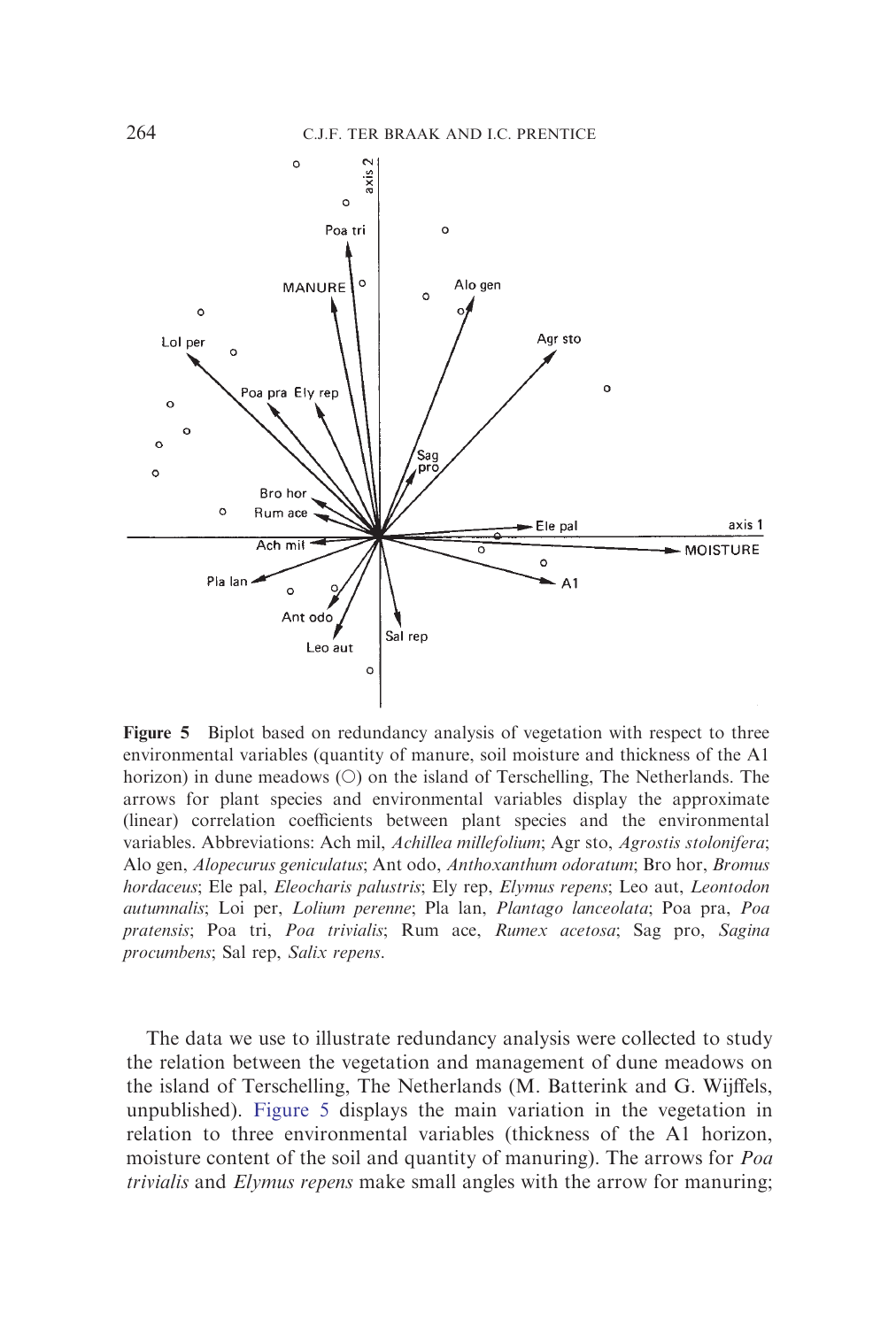

Figure 5 Biplot based on redundancy analysis of vegetation with respect to three environmental variables (quantity of manure, soil moisture and thickness of the A1 horizon) in dune meadows  $(O)$  on the island of Terschelling, The Netherlands. The arrows for plant species and environmental variables display the approximate (linear) correlation coefficients between plant species and the environmental variables. Abbreviations: Ach mil, Achillea millefolium; Agr sto, Agrostis stolonifera; Alo gen, Alopecurus geniculatus; Ant odo, Anthoxanthum odoratum; Bro hor, Bromus hordaceus; Ele pal, Eleocharis palustris; Ely rep, Elymus repens; Leo aut, Leontodon autumnalis; Loi per, Lolium perenne; Pla lan, Plantago lanceolata; Poa pra, Poa pratensis; Poa tri, Poa trivialis; Rum ace, Rumex acetosa; Sag pro, Sagina procumbens; Sal rep, Salix repens.

The data we use to illustrate redundancy analysis were collected to study the relation between the vegetation and management of dune meadows on the island of Terschelling, The Netherlands (M. Batterink and G. Wijffels, unpublished). Figure 5 displays the main variation in the vegetation in relation to three environmental variables (thickness of the A1 horizon, moisture content of the soil and quantity of manuring). The arrows for Poa trivialis and Elymus repens make small angles with the arrow for manuring;

<span id="page-29-0"></span>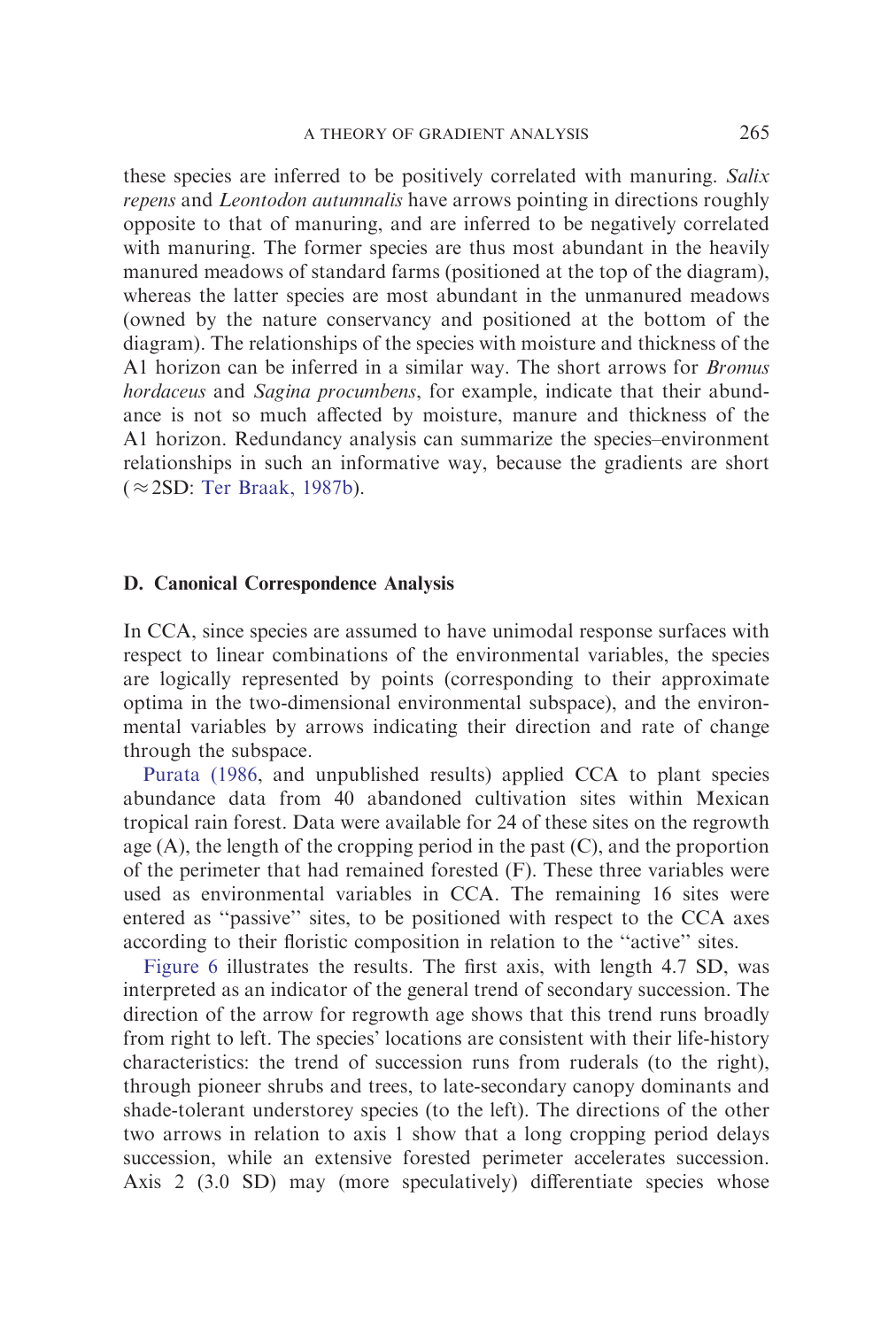<span id="page-30-0"></span>these species are inferred to be positively correlated with manuring. Salix repens and Leontodon autumnalis have arrows pointing in directions roughly opposite to that of manuring, and are inferred to be negatively correlated with manuring. The former species are thus most abundant in the heavily manured meadows of standard farms (positioned at the top of the diagram), whereas the latter species are most abundant in the unmanured meadows (owned by the nature conservancy and positioned at the bottom of the diagram). The relationships of the species with moisture and thickness of the A1 horizon can be inferred in a similar way. The short arrows for Bromus hordaceus and Sagina procumbens, for example, indicate that their abundance is not so much affected by moisture, manure and thickness of the A1 horizon. Redundancy analysis can summarize the species–environment relationships in such an informative way, because the gradients are short  $(\approx 2SD:$  [Ter Braak, 1987b](#page-42-0)).

#### D. Canonical Correspondence Analysis

In CCA, since species are assumed to have unimodal response surfaces with respect to linear combinations of the environmental variables, the species are logically represented by points (corresponding to their approximate optima in the two-dimensional environmental subspace), and the environmental variables by arrows indicating their direction and rate of change through the subspace.

[Purata \(1986,](#page-42-0) and unpublished results) applied CCA to plant species abundance data from 40 abandoned cultivation sites within Mexican tropical rain forest. Data were available for 24 of these sites on the regrowth age (A), the length of the cropping period in the past (C), and the proportion of the perimeter that had remained forested (F). These three variables were used as environmental variables in CCA. The remaining 16 sites were entered as ''passive'' sites, to be positioned with respect to the CCA axes according to their floristic composition in relation to the ''active'' sites.

[Figure 6](#page-31-0) illustrates the results. The first axis, with length 4.7 SD, was interpreted as an indicator of the general trend of secondary succession. The direction of the arrow for regrowth age shows that this trend runs broadly from right to left. The species' locations are consistent with their life-history characteristics: the trend of succession runs from ruderals (to the right), through pioneer shrubs and trees, to late-secondary canopy dominants and shade-tolerant understorey species (to the left). The directions of the other two arrows in relation to axis 1 show that a long cropping period delays succession, while an extensive forested perimeter accelerates succession. Axis 2 (3.0 SD) may (more speculatively) differentiate species whose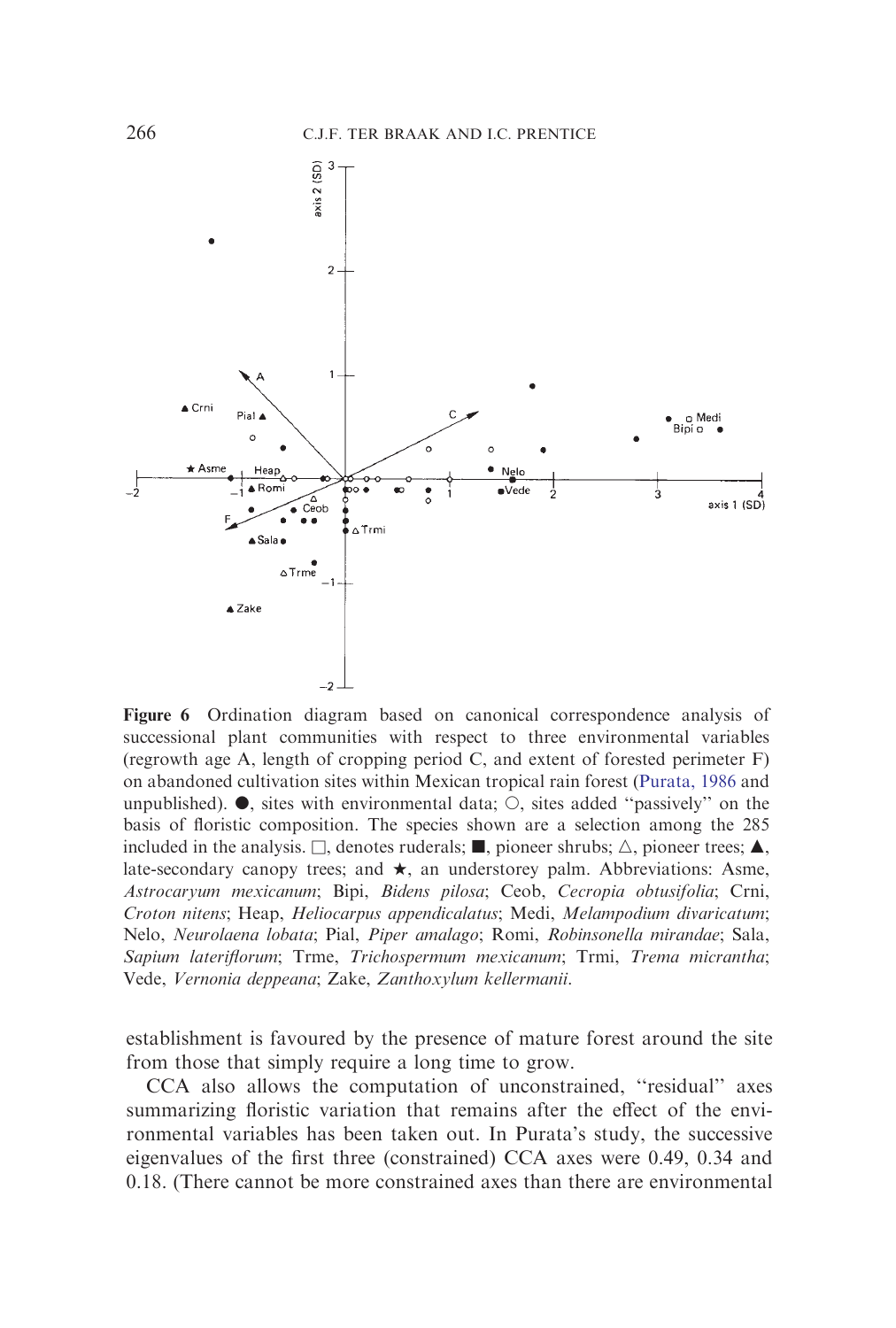

Figure 6 Ordination diagram based on canonical correspondence analysis of successional plant communities with respect to three environmental variables (regrowth age A, length of cropping period C, and extent of forested perimeter F) on abandoned cultivation sites within Mexican tropical rain forest [\(Purata, 1986](#page-42-0) and unpublished).  $\bullet$ , sites with environmental data;  $\circ$ , sites added "passively" on the basis of floristic composition. The species shown are a selection among the 285 included in the analysis.  $\Box$ , denotes ruderals;  $\blacksquare$ , pioneer shrubs;  $\triangle$ , pioneer trees;  $\blacktriangle$ , late-secondary canopy trees; and  $\star$ , an understorey palm. Abbreviations: Asme, Astrocaryum mexicanum; Bipi, Bidens pilosa; Ceob, Cecropia obtusifolia; Crni, Croton nitens; Heap, Heliocarpus appendicalatus; Medi, Melampodium divaricatum; Nelo, Neurolaena lobata; Pial, Piper amalago; Romi, Robinsonella mirandae; Sala, Sapium lateriflorum; Trme, Trichospermum mexicanum; Trmi, Trema micrantha; Vede, Vernonia deppeana; Zake, Zanthoxylum kellermanii.

establishment is favoured by the presence of mature forest around the site from those that simply require a long time to grow.

CCA also allows the computation of unconstrained, ''residual'' axes summarizing floristic variation that remains after the effect of the environmental variables has been taken out. In Purata's study, the successive eigenvalues of the first three (constrained) CCA axes were 0.49, 0.34 and 0.18. (There cannot be more constrained axes than there are environmental

<span id="page-31-0"></span>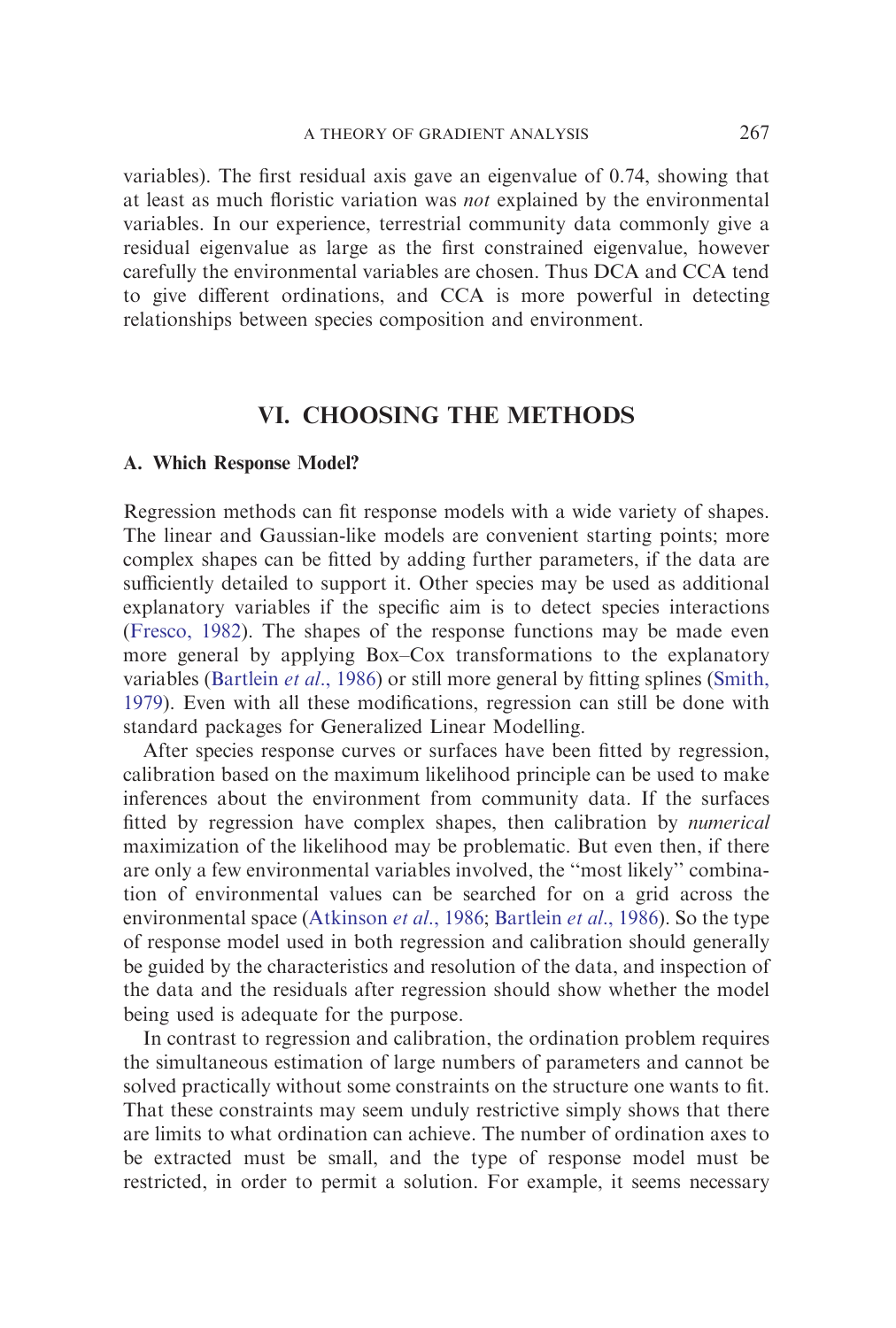variables). The first residual axis gave an eigenvalue of 0.74, showing that at least as much floristic variation was not explained by the environmental variables. In our experience, terrestrial community data commonly give a residual eigenvalue as large as the first constrained eigenvalue, however carefully the environmental variables are chosen. Thus DCA and CCA tend to give different ordinations, and CCA is more powerful in detecting relationships between species composition and environment.

# VI. CHOOSING THE METHODS

#### A. Which Response Model?

Regression methods can fit response models with a wide variety of shapes. The linear and Gaussian-like models are convenient starting points; more complex shapes can be fitted by adding further parameters, if the data are sufficiently detailed to support it. Other species may be used as additional explanatory variables if the specific aim is to detect species interactions ([Fresco, 1982](#page-40-0)). The shapes of the response functions may be made even more general by applying Box–Cox transformations to the explanatory variables [\(Bartlein](#page-39-0) et al., 1986) or still more general by fitting splines [\(Smith,](#page-42-0) [1979](#page-42-0)). Even with all these modifications, regression can still be done with standard packages for Generalized Linear Modelling.

After species response curves or surfaces have been fitted by regression, calibration based on the maximum likelihood principle can be used to make inferences about the environment from community data. If the surfaces fitted by regression have complex shapes, then calibration by numerical maximization of the likelihood may be problematic. But even then, if there are only a few environmental variables involved, the ''most likely'' combination of environmental values can be searched for on a grid across the environmental space [\(Atkinson](#page-38-0) et al., 1986; [Bartlein](#page-39-0) et al., 1986). So the type of response model used in both regression and calibration should generally be guided by the characteristics and resolution of the data, and inspection of the data and the residuals after regression should show whether the model being used is adequate for the purpose.

In contrast to regression and calibration, the ordination problem requires the simultaneous estimation of large numbers of parameters and cannot be solved practically without some constraints on the structure one wants to fit. That these constraints may seem unduly restrictive simply shows that there are limits to what ordination can achieve. The number of ordination axes to be extracted must be small, and the type of response model must be restricted, in order to permit a solution. For example, it seems necessary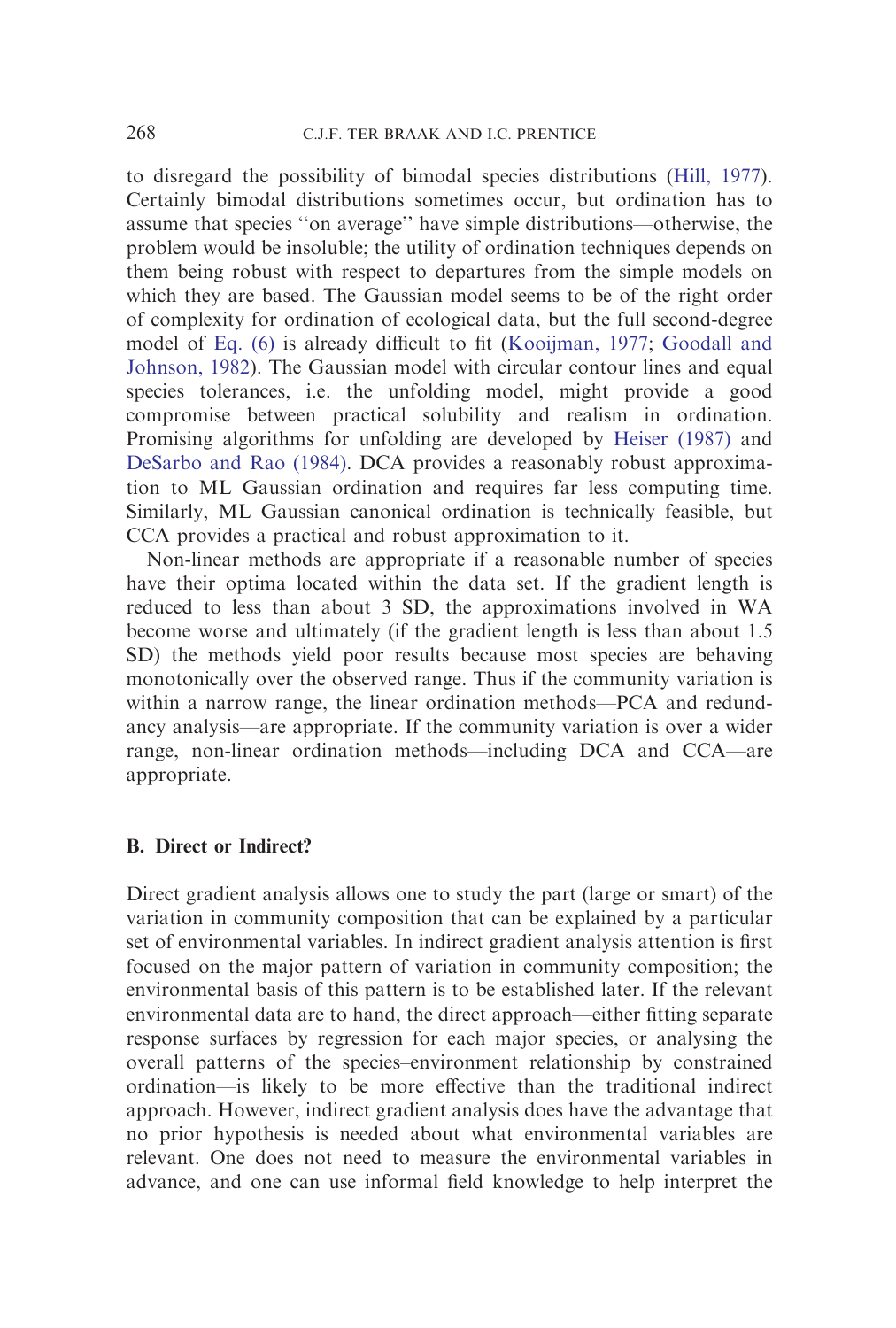to disregard the possibility of bimodal species distributions [\(Hill, 1977\)](#page-40-0). Certainly bimodal distributions sometimes occur, but ordination has to assume that species ''on average'' have simple distributions—otherwise, the problem would be insoluble; the utility of ordination techniques depends on them being robust with respect to departures from the simple models on which they are based. The Gaussian model seems to be of the right order of complexity for ordination of ecological data, but the full second-degree model of [Eq. \(6\)](#page-13-0) is already difficult to fit [\(Kooijman, 1977;](#page-41-0) [Goodall and](#page-40-0) [Johnson, 1982\)](#page-40-0). The Gaussian model with circular contour lines and equal species tolerances, i.e. the unfolding model, might provide a good compromise between practical solubility and realism in ordination. Promising algorithms for unfolding are developed by [Heiser \(1987\)](#page-40-0) and [DeSarbo and Rao \(1984\)](#page-39-0). DCA provides a reasonably robust approximation to ML Gaussian ordination and requires far less computing time. Similarly, ML Gaussian canonical ordination is technically feasible, but CCA provides a practical and robust approximation to it.

Non-linear methods are appropriate if a reasonable number of species have their optima located within the data set. If the gradient length is reduced to less than about 3 SD, the approximations involved in WA become worse and ultimately (if the gradient length is less than about 1.5 SD) the methods yield poor results because most species are behaving monotonically over the observed range. Thus if the community variation is within a narrow range, the linear ordination methods—PCA and redundancy analysis—are appropriate. If the community variation is over a wider range, non-linear ordination methods—including DCA and CCA—are appropriate.

#### B. Direct or Indirect?

Direct gradient analysis allows one to study the part (large or smart) of the variation in community composition that can be explained by a particular set of environmental variables. In indirect gradient analysis attention is first focused on the major pattern of variation in community composition; the environmental basis of this pattern is to be established later. If the relevant environmental data are to hand, the direct approach—either fitting separate response surfaces by regression for each major species, or analysing the overall patterns of the species–environment relationship by constrained ordination—is likely to be more effective than the traditional indirect approach. However, indirect gradient analysis does have the advantage that no prior hypothesis is needed about what environmental variables are relevant. One does not need to measure the environmental variables in advance, and one can use informal field knowledge to help interpret the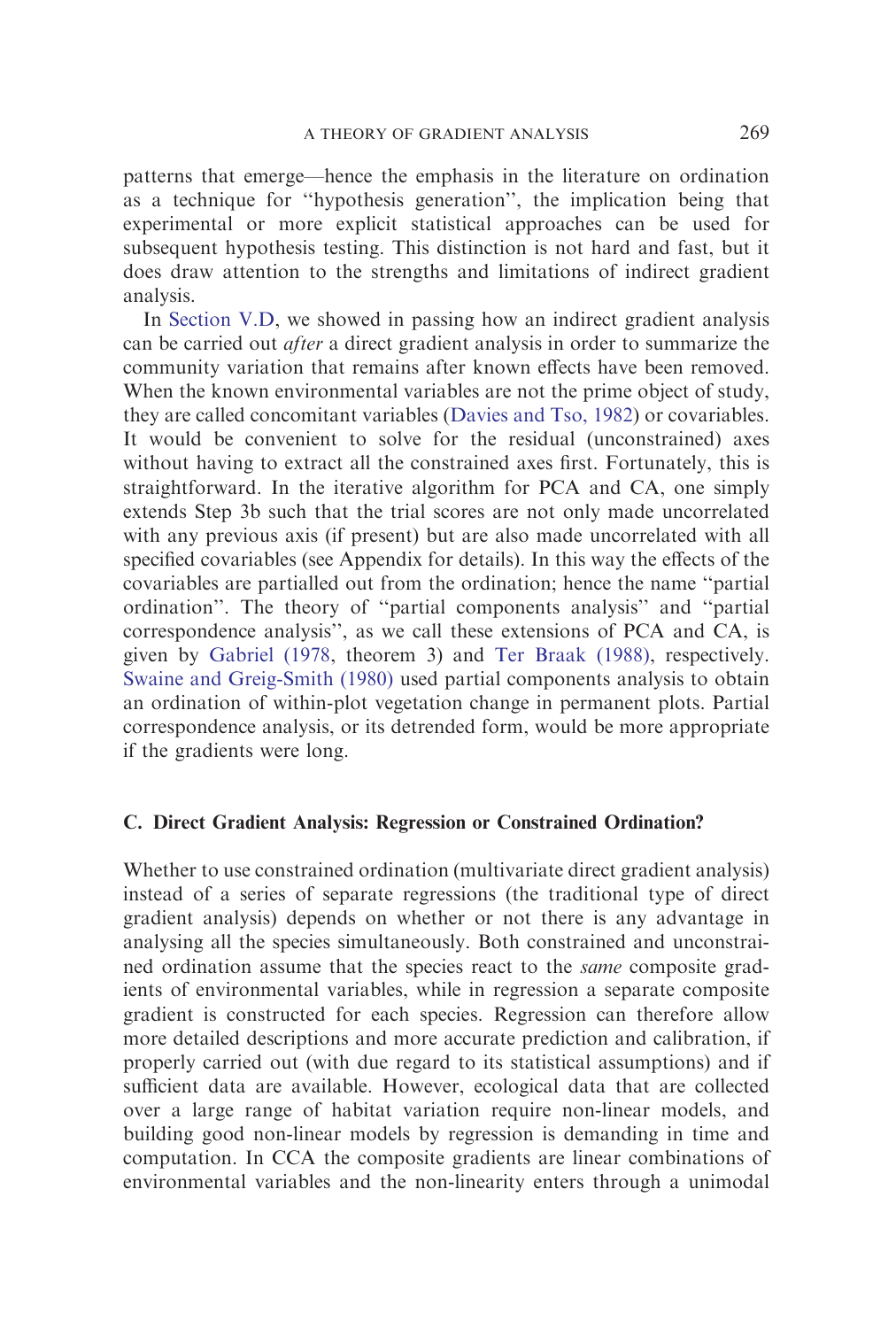patterns that emerge—hence the emphasis in the literature on ordination as a technique for ''hypothesis generation'', the implication being that experimental or more explicit statistical approaches can be used for subsequent hypothesis testing. This distinction is not hard and fast, but it does draw attention to the strengths and limitations of indirect gradient analysis.

In [Section V.D](#page-30-0), we showed in passing how an indirect gradient analysis can be carried out after a direct gradient analysis in order to summarize the community variation that remains after known effects have been removed. When the known environmental variables are not the prime object of study, they are called concomitant variables ([Davies and Tso, 1982](#page-39-0)) or covariables. It would be convenient to solve for the residual (unconstrained) axes without having to extract all the constrained axes first. Fortunately, this is straightforward. In the iterative algorithm for PCA and CA, one simply extends Step 3b such that the trial scores are not only made uncorrelated with any previous axis (if present) but are also made uncorrelated with all specified covariables (see Appendix for details). In this way the effects of the covariables are partialled out from the ordination; hence the name ''partial ordination''. The theory of ''partial components analysis'' and ''partial correspondence analysis'', as we call these extensions of PCA and CA, is given by [Gabriel \(1978](#page-40-0), theorem 3) and [Ter Braak \(1988\)](#page-42-0), respectively. [Swaine and Greig-Smith \(1980\)](#page-42-0) used partial components analysis to obtain an ordination of within-plot vegetation change in permanent plots. Partial correspondence analysis, or its detrended form, would be more appropriate if the gradients were long.

#### C. Direct Gradient Analysis: Regression or Constrained Ordination?

Whether to use constrained ordination (multivariate direct gradient analysis) instead of a series of separate regressions (the traditional type of direct gradient analysis) depends on whether or not there is any advantage in analysing all the species simultaneously. Both constrained and unconstrained ordination assume that the species react to the same composite gradients of environmental variables, while in regression a separate composite gradient is constructed for each species. Regression can therefore allow more detailed descriptions and more accurate prediction and calibration, if properly carried out (with due regard to its statistical assumptions) and if sufficient data are available. However, ecological data that are collected over a large range of habitat variation require non-linear models, and building good non-linear models by regression is demanding in time and computation. In CCA the composite gradients are linear combinations of environmental variables and the non-linearity enters through a unimodal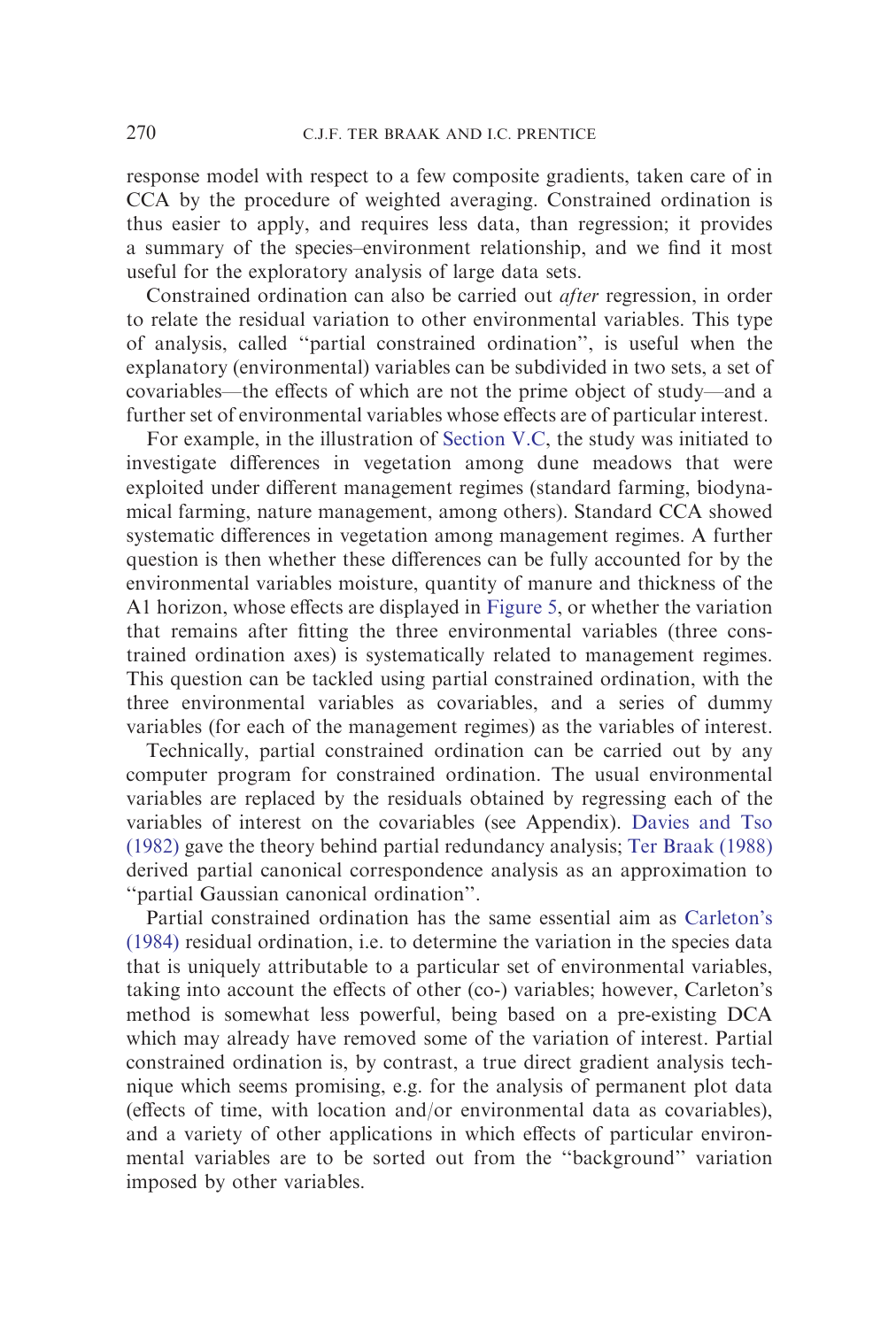response model with respect to a few composite gradients, taken care of in CCA by the procedure of weighted averaging. Constrained ordination is thus easier to apply, and requires less data, than regression; it provides a summary of the species–environment relationship, and we find it most useful for the exploratory analysis of large data sets.

Constrained ordination can also be carried out after regression, in order to relate the residual variation to other environmental variables. This type of analysis, called ''partial constrained ordination'', is useful when the explanatory (environmental) variables can be subdivided in two sets, a set of covariables—the effects of which are not the prime object of study—and a further set of environmental variables whose effects are of particular interest.

For example, in the illustration of [Section V.C](#page-28-0), the study was initiated to investigate differences in vegetation among dune meadows that were exploited under different management regimes (standard farming, biodynamical farming, nature management, among others). Standard CCA showed systematic differences in vegetation among management regimes. A further question is then whether these differences can be fully accounted for by the environmental variables moisture, quantity of manure and thickness of the A1 horizon, whose effects are displayed in [Figure 5](#page-29-0), or whether the variation that remains after fitting the three environmental variables (three constrained ordination axes) is systematically related to management regimes. This question can be tackled using partial constrained ordination, with the three environmental variables as covariables, and a series of dummy variables (for each of the management regimes) as the variables of interest.

Technically, partial constrained ordination can be carried out by any computer program for constrained ordination. The usual environmental variables are replaced by the residuals obtained by regressing each of the variables of interest on the covariables (see Appendix). [Davies and Tso](#page-39-0) [\(1982\)](#page-39-0) gave the theory behind partial redundancy analysis; [Ter Braak \(1988\)](#page-42-0) derived partial canonical correspondence analysis as an approximation to ''partial Gaussian canonical ordination''.

Partial constrained ordination has the same essential aim as [Carleton's](#page-39-0) [\(1984\)](#page-39-0) residual ordination, i.e. to determine the variation in the species data that is uniquely attributable to a particular set of environmental variables, taking into account the effects of other (co-) variables; however, Carleton's method is somewhat less powerful, being based on a pre-existing DCA which may already have removed some of the variation of interest. Partial constrained ordination is, by contrast, a true direct gradient analysis technique which seems promising, e.g. for the analysis of permanent plot data (effects of time, with location and/or environmental data as covariables), and a variety of other applications in which effects of particular environmental variables are to be sorted out from the ''background'' variation imposed by other variables.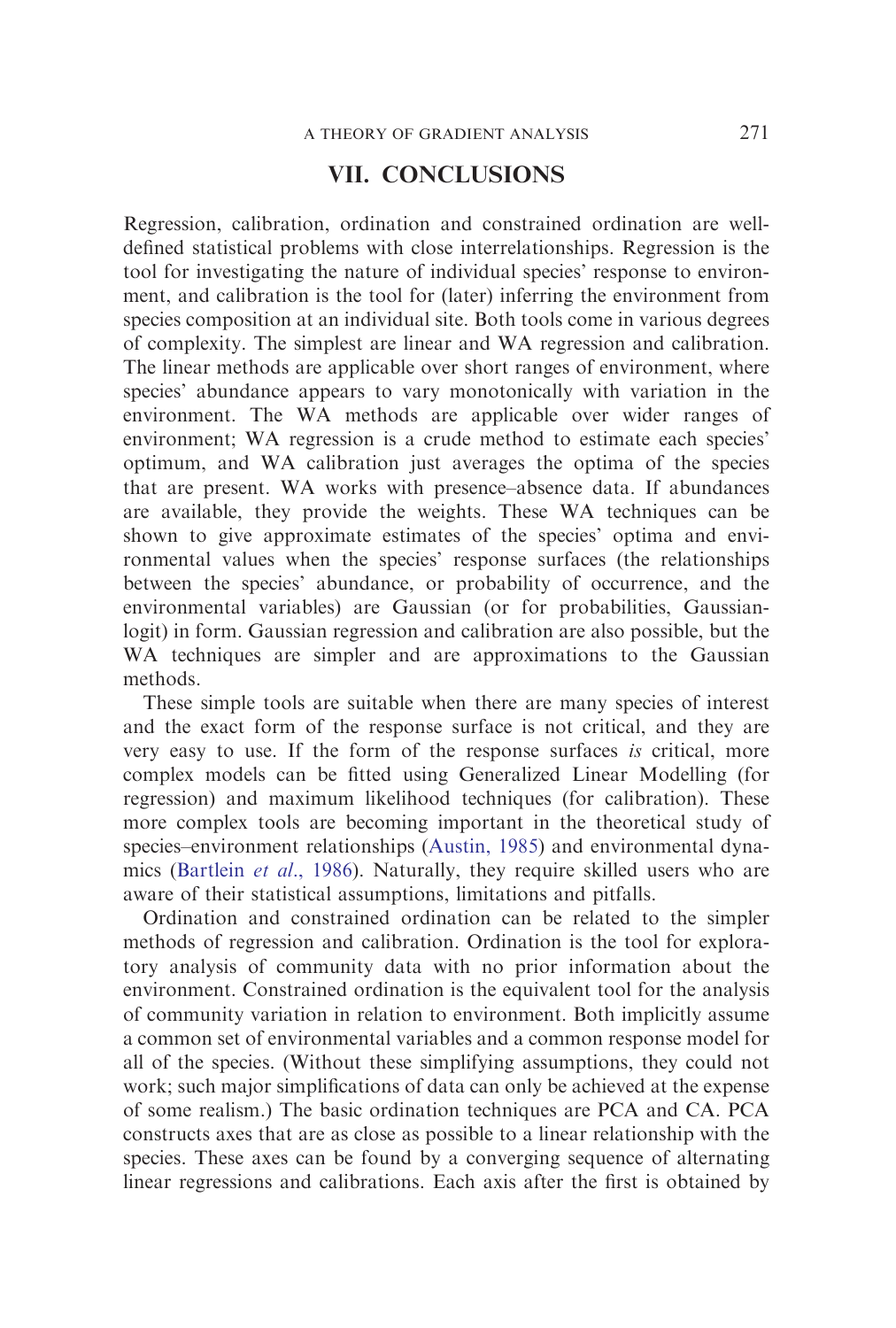# VII. CONCLUSIONS

Regression, calibration, ordination and constrained ordination are welldefined statistical problems with close interrelationships. Regression is the tool for investigating the nature of individual species' response to environment, and calibration is the tool for (later) inferring the environment from species composition at an individual site. Both tools come in various degrees of complexity. The simplest are linear and WA regression and calibration. The linear methods are applicable over short ranges of environment, where species' abundance appears to vary monotonically with variation in the environment. The WA methods are applicable over wider ranges of environment; WA regression is a crude method to estimate each species' optimum, and WA calibration just averages the optima of the species that are present. WA works with presence–absence data. If abundances are available, they provide the weights. These WA techniques can be shown to give approximate estimates of the species' optima and environmental values when the species' response surfaces (the relationships between the species' abundance, or probability of occurrence, and the environmental variables) are Gaussian (or for probabilities, Gaussianlogit) in form. Gaussian regression and calibration are also possible, but the WA techniques are simpler and are approximations to the Gaussian methods.

These simple tools are suitable when there are many species of interest and the exact form of the response surface is not critical, and they are very easy to use. If the form of the response surfaces is critical, more complex models can be fitted using Generalized Linear Modelling (for regression) and maximum likelihood techniques (for calibration). These more complex tools are becoming important in the theoretical study of species–environment relationships ([Austin, 1985\)](#page-38-0) and environmental dyna-mics [\(Bartlein](#page-39-0) et al., 1986). Naturally, they require skilled users who are aware of their statistical assumptions, limitations and pitfalls.

Ordination and constrained ordination can be related to the simpler methods of regression and calibration. Ordination is the tool for exploratory analysis of community data with no prior information about the environment. Constrained ordination is the equivalent tool for the analysis of community variation in relation to environment. Both implicitly assume a common set of environmental variables and a common response model for all of the species. (Without these simplifying assumptions, they could not work; such major simplifications of data can only be achieved at the expense of some realism.) The basic ordination techniques are PCA and CA. PCA constructs axes that are as close as possible to a linear relationship with the species. These axes can be found by a converging sequence of alternating linear regressions and calibrations. Each axis after the first is obtained by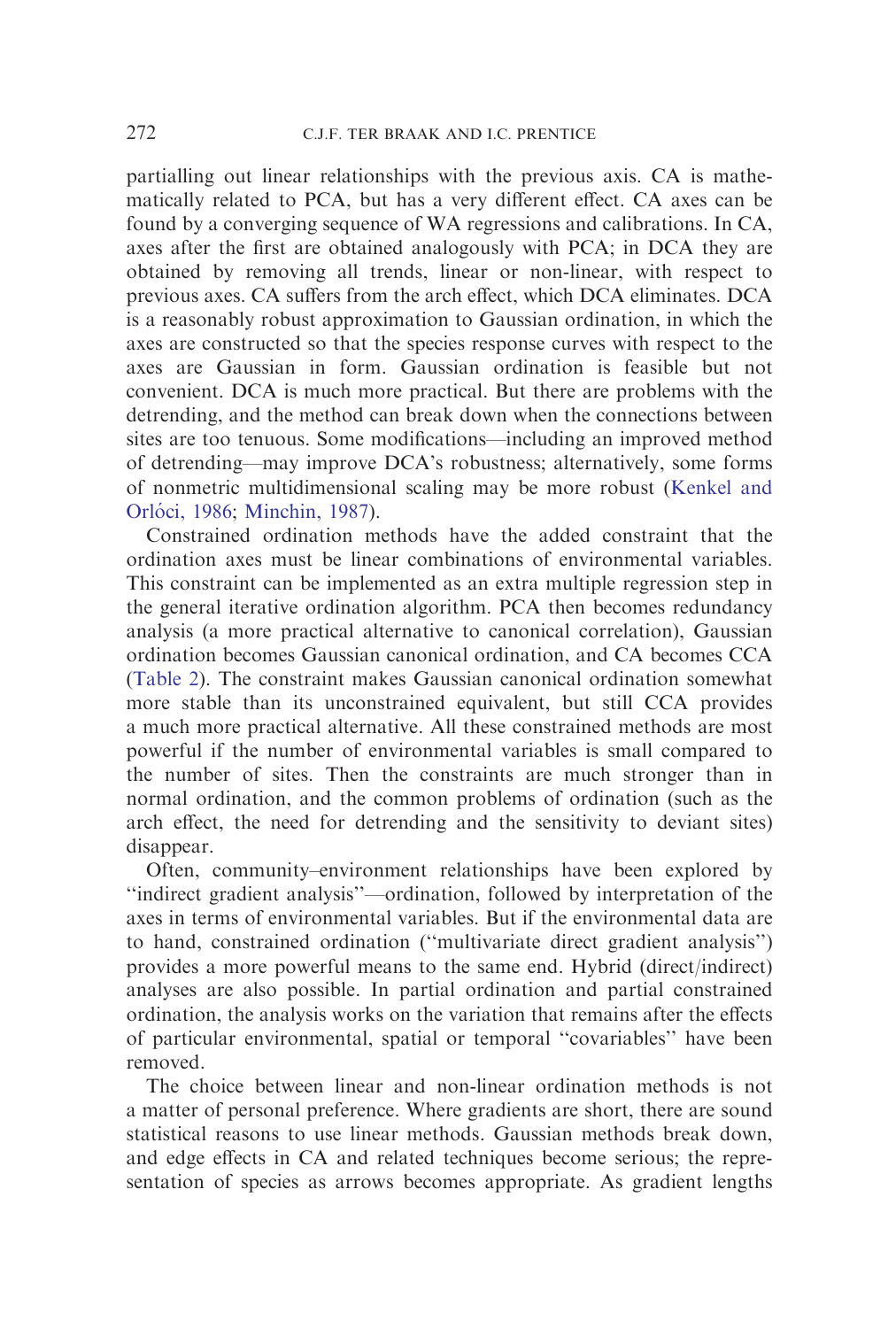partialling out linear relationships with the previous axis. CA is mathematically related to PCA, but has a very different effect. CA axes can be found by a converging sequence of WA regressions and calibrations. In CA, axes after the first are obtained analogously with PCA; in DCA they are obtained by removing all trends, linear or non-linear, with respect to previous axes. CA suffers from the arch effect, which DCA eliminates. DCA is a reasonably robust approximation to Gaussian ordination, in which the axes are constructed so that the species response curves with respect to the axes are Gaussian in form. Gaussian ordination is feasible but not convenient. DCA is much more practical. But there are problems with the detrending, and the method can break down when the connections between sites are too tenuous. Some modifications—including an improved method of detrending—may improve DCA's robustness; alternatively, some forms of nonmetric multidimensional scaling may be more robust ([Kenkel and](#page-41-0) Orló[ci, 1986;](#page-41-0) [Minchin, 1987](#page-41-0)).

Constrained ordination methods have the added constraint that the ordination axes must be linear combinations of environmental variables. This constraint can be implemented as an extra multiple regression step in the general iterative ordination algorithm. PCA then becomes redundancy analysis (a more practical alternative to canonical correlation), Gaussian ordination becomes Gaussian canonical ordination, and CA becomes CCA [\(Table 2](#page-5-0)). The constraint makes Gaussian canonical ordination somewhat more stable than its unconstrained equivalent, but still CCA provides a much more practical alternative. All these constrained methods are most powerful if the number of environmental variables is small compared to the number of sites. Then the constraints are much stronger than in normal ordination, and the common problems of ordination (such as the arch effect, the need for detrending and the sensitivity to deviant sites) disappear.

Often, community–environment relationships have been explored by ''indirect gradient analysis''—ordination, followed by interpretation of the axes in terms of environmental variables. But if the environmental data are to hand, constrained ordination (''multivariate direct gradient analysis'') provides a more powerful means to the same end. Hybrid (direct/indirect) analyses are also possible. In partial ordination and partial constrained ordination, the analysis works on the variation that remains after the effects of particular environmental, spatial or temporal ''covariables'' have been removed.

The choice between linear and non-linear ordination methods is not a matter of personal preference. Where gradients are short, there are sound statistical reasons to use linear methods. Gaussian methods break down, and edge effects in CA and related techniques become serious; the representation of species as arrows becomes appropriate. As gradient lengths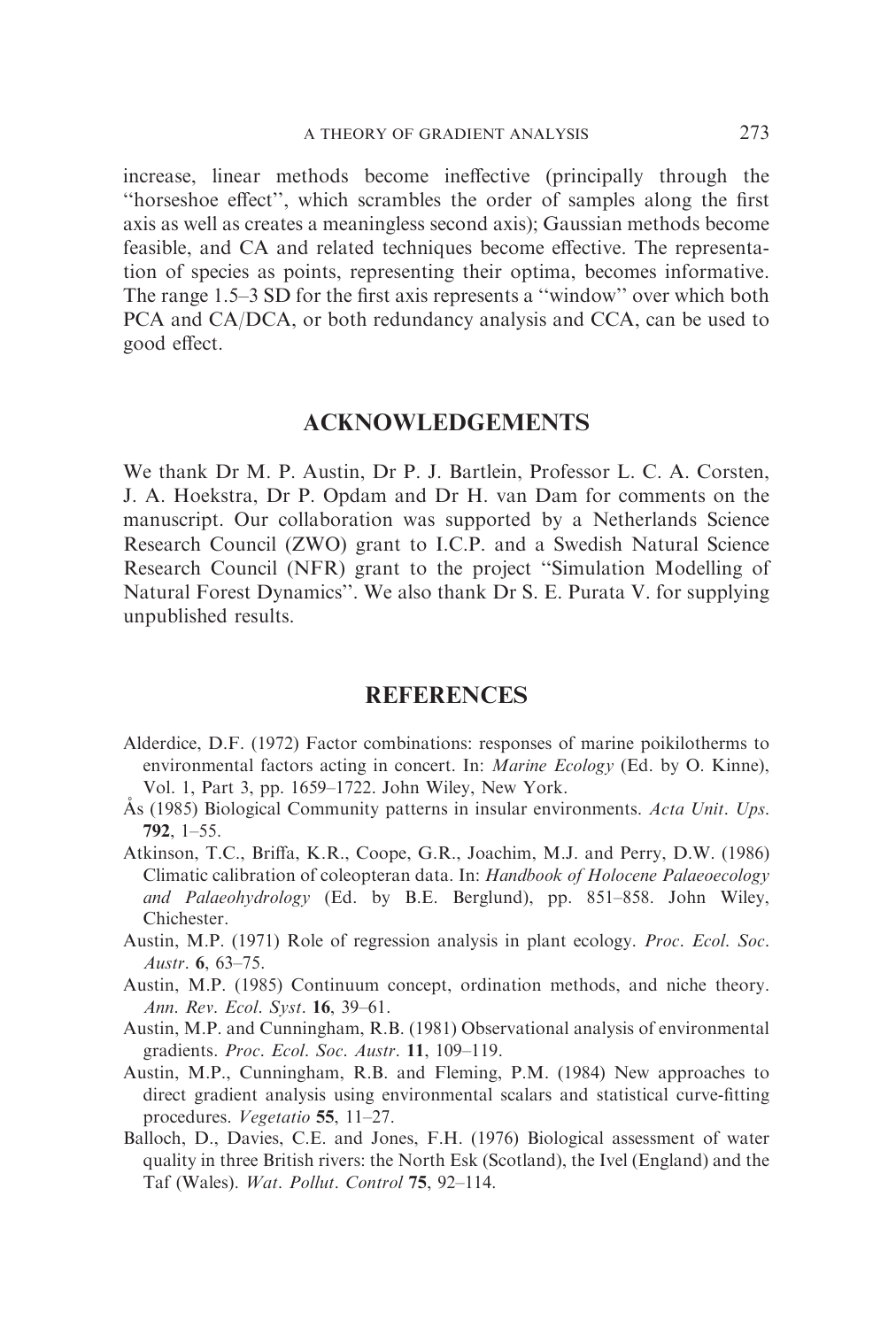<span id="page-38-0"></span>increase, linear methods become ineffective (principally through the ''horseshoe effect'', which scrambles the order of samples along the first axis as well as creates a meaningless second axis); Gaussian methods become feasible, and CA and related techniques become effective. The representation of species as points, representing their optima, becomes informative. The range 1.5–3 SD for the first axis represents a ''window'' over which both PCA and CA/DCA, or both redundancy analysis and CCA, can be used to good effect.

# ACKNOWLEDGEMENTS

We thank Dr M. P. Austin, Dr P. J. Bartlein, Professor L. C. A. Corsten, J. A. Hoekstra, Dr P. Opdam and Dr H. van Dam for comments on the manuscript. Our collaboration was supported by a Netherlands Science Research Council (ZWO) grant to I.C.P. and a Swedish Natural Science Research Council (NFR) grant to the project ''Simulation Modelling of Natural Forest Dynamics''. We also thank Dr S. E. Purata V. for supplying unpublished results.

#### **REFERENCES**

- Alderdice, D.F. (1972) Factor combinations: responses of marine poikilotherms to environmental factors acting in concert. In: Marine Ecology (Ed. by O. Kinne), Vol. 1, Part 3, pp. 1659–1722. John Wiley, New York.
- As (1985) Biological Community patterns in insular environments. Acta Unit. Ups. 792, 1–55.
- Atkinson, T.C., Briffa, K.R., Coope, G.R., Joachim, M.J. and Perry, D.W. (1986) Climatic calibration of coleopteran data. In: Handbook of Holocene Palaeoecology and Palaeohydrology (Ed. by B.E. Berglund), pp. 851–858. John Wiley, Chichester.
- Austin, M.P. (1971) Role of regression analysis in plant ecology. Proc. Ecol. Soc. Austr. 6, 63–75.
- Austin, M.P. (1985) Continuum concept, ordination methods, and niche theory. Ann. Rev. Ecol. Syst. 16, 39–61.
- Austin, M.P. and Cunningham, R.B. (1981) Observational analysis of environmental gradients. Proc. Ecol. Soc. Austr. 11, 109–119.
- Austin, M.P., Cunningham, R.B. and Fleming, P.M. (1984) New approaches to direct gradient analysis using environmental scalars and statistical curve-fitting procedures. Vegetatio 55, 11–27.
- Balloch, D., Davies, C.E. and Jones, F.H. (1976) Biological assessment of water quality in three British rivers: the North Esk (Scotland), the Ivel (England) and the Taf (Wales). Wat. Pollut. Control 75, 92–114.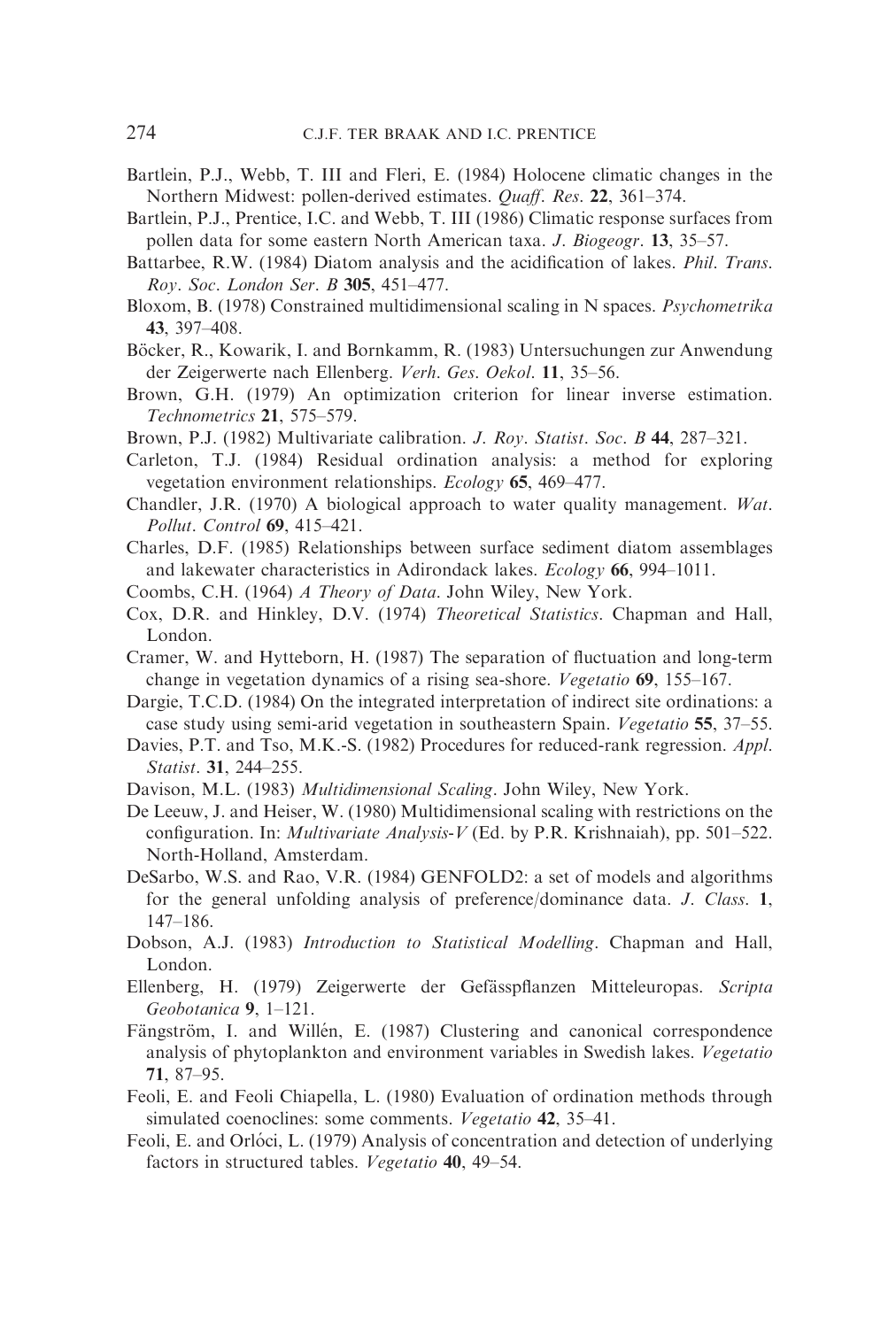- <span id="page-39-0"></span>Bartlein, P.J., Webb, T. III and Fleri, E. (1984) Holocene climatic changes in the Northern Midwest: pollen-derived estimates. Quaff. Res. 22, 361–374.
- Bartlein, P.J., Prentice, I.C. and Webb, T. III (1986) Climatic response surfaces from pollen data for some eastern North American taxa. J. Biogeogr. 13, 35–57.
- Battarbee, R.W. (1984) Diatom analysis and the acidification of lakes. Phil. Trans. Roy. Soc. London Ser. B 305, 451–477.
- Bloxom, B. (1978) Constrained multidimensional scaling in N spaces. Psychometrika 43, 397–408.
- Böcker, R., Kowarik, I. and Bornkamm, R. (1983) Untersuchungen zur Anwendung der Zeigerwerte nach Ellenberg. Verh. Ges. Oekol. 11, 35–56.
- Brown, G.H. (1979) An optimization criterion for linear inverse estimation. Technometrics 21, 575–579.
- Brown, P.J. (1982) Multivariate calibration. J. Roy. Statist. Soc. B 44, 287–321.
- Carleton, T.J. (1984) Residual ordination analysis: a method for exploring vegetation environment relationships. Ecology 65, 469–477.
- Chandler, J.R. (1970) A biological approach to water quality management. Wat. Pollut. Control 69, 415–421.
- Charles, D.F. (1985) Relationships between surface sediment diatom assemblages and lakewater characteristics in Adirondack lakes. Ecology 66, 994–1011.
- Coombs, C.H. (1964) A Theory of Data. John Wiley, New York.
- Cox, D.R. and Hinkley, D.V. (1974) Theoretical Statistics. Chapman and Hall, London.
- Cramer, W. and Hytteborn, H. (1987) The separation of fluctuation and long-term change in vegetation dynamics of a rising sea-shore. Vegetatio 69, 155–167.
- Dargie, T.C.D. (1984) On the integrated interpretation of indirect site ordinations: a case study using semi-arid vegetation in southeastern Spain. Vegetatio 55, 37–55.
- Davies, P.T. and Tso, M.K.-S. (1982) Procedures for reduced-rank regression. Appl. Statist. 31, 244–255.
- Davison, M.L. (1983) Multidimensional Scaling. John Wiley, New York.
- De Leeuw, J. and Heiser, W. (1980) Multidimensional scaling with restrictions on the configuration. In: Multivariate Analysis-V (Ed. by P.R. Krishnaiah), pp. 501–522. North-Holland, Amsterdam.
- DeSarbo, W.S. and Rao, V.R. (1984) GENFOLD2: a set of models and algorithms for the general unfolding analysis of preference/dominance data. J. Class. 1, 147–186.
- Dobson, A.J. (1983) Introduction to Statistical Modelling. Chapman and Hall, London.
- Ellenberg, H. (1979) Zeigerwerte der Gefässpflanzen Mitteleuropas. Scripta Geobotanica 9, 1–121.
- Fängström, I. and Willén, E. (1987) Clustering and canonical correspondence analysis of phytoplankton and environment variables in Swedish lakes. Vegetatio 71, 87–95.
- Feoli, E. and Feoli Chiapella, L. (1980) Evaluation of ordination methods through simulated coenoclines: some comments. *Vegetatio* **42**, 35–41.
- Feoli, E. and Orlóci, L. (1979) Analysis of concentration and detection of underlying factors in structured tables. Vegetatio 40, 49–54.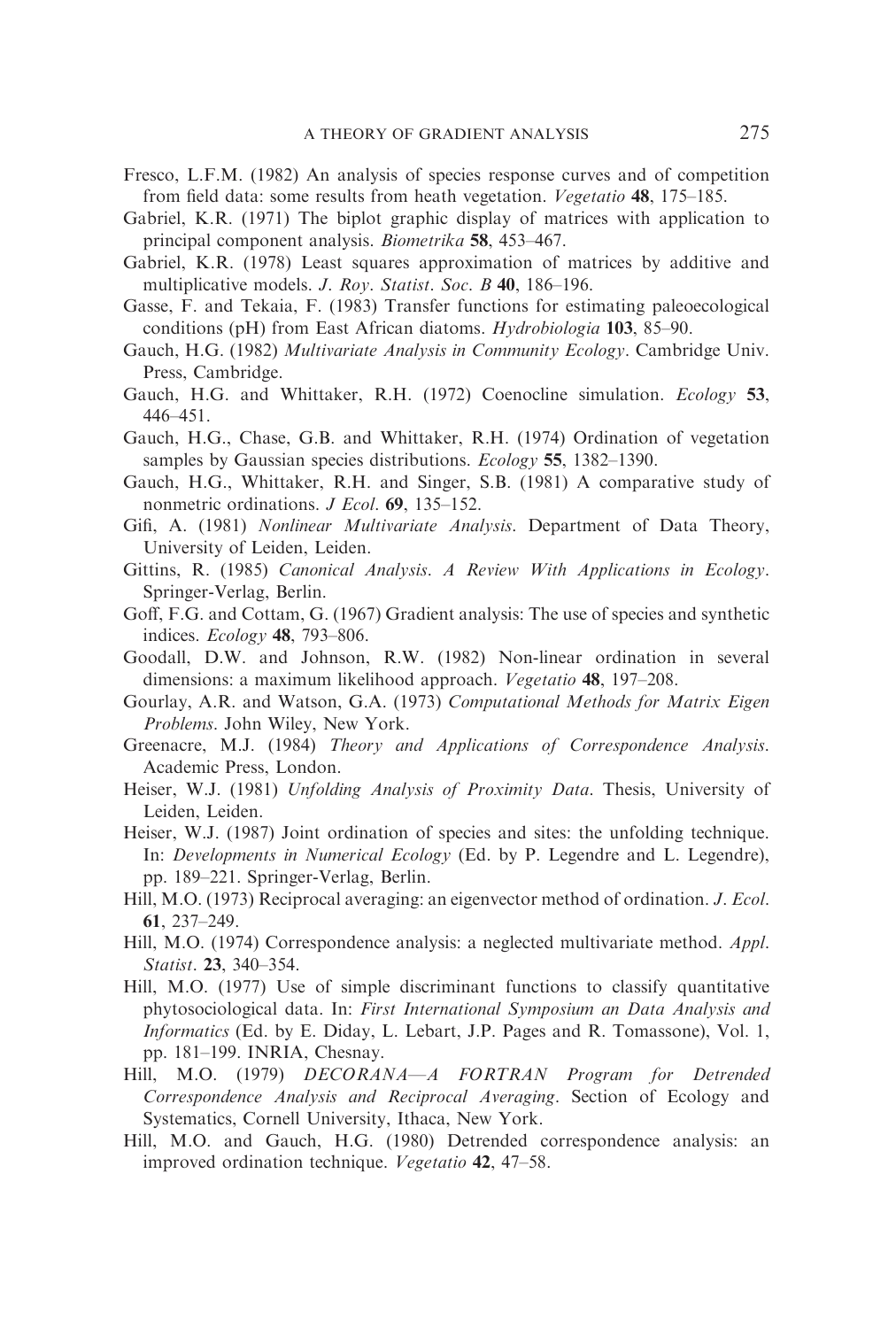- <span id="page-40-0"></span>Fresco, L.F.M. (1982) An analysis of species response curves and of competition from field data: some results from heath vegetation. Vegetatio 48, 175-185.
- Gabriel, K.R. (1971) The biplot graphic display of matrices with application to principal component analysis. Biometrika 58, 453–467.
- Gabriel, K.R. (1978) Least squares approximation of matrices by additive and multiplicative models. J. Roy. Statist. Soc. B 40, 186–196.
- Gasse, F. and Tekaia, F. (1983) Transfer functions for estimating paleoecological conditions (pH) from East African diatoms. Hydrobiologia 103, 85–90.
- Gauch, H.G. (1982) Multivariate Analysis in Community Ecology. Cambridge Univ. Press, Cambridge.
- Gauch, H.G. and Whittaker, R.H. (1972) Coenocline simulation. Ecology 53, 446–451.
- Gauch, H.G., Chase, G.B. and Whittaker, R.H. (1974) Ordination of vegetation samples by Gaussian species distributions. *Ecology* 55, 1382–1390.
- Gauch, H.G., Whittaker, R.H. and Singer, S.B. (1981) A comparative study of nonmetric ordinations. *J Ecol*. **69**, 135–152.
- Gifi, A. (1981) Nonlinear Multivariate Analysis. Department of Data Theory, University of Leiden, Leiden.
- Gittins, R. (1985) Canonical Analysis. A Review With Applications in Ecology. Springer-Verlag, Berlin.
- Goff, F.G. and Cottam, G. (1967) Gradient analysis: The use of species and synthetic indices. Ecology 48, 793–806.
- Goodall, D.W. and Johnson, R.W. (1982) Non-linear ordination in several dimensions: a maximum likelihood approach. Vegetatio 48, 197–208.
- Gourlay, A.R. and Watson, G.A. (1973) Computational Methods for Matrix Eigen Problems. John Wiley, New York.
- Greenacre, M.J. (1984) Theory and Applications of Correspondence Analysis. Academic Press, London.
- Heiser, W.J. (1981) Unfolding Analysis of Proximity Data. Thesis, University of Leiden, Leiden.
- Heiser, W.J. (1987) Joint ordination of species and sites: the unfolding technique. In: Developments in Numerical Ecology (Ed. by P. Legendre and L. Legendre), pp. 189–221. Springer-Verlag, Berlin.
- Hill, M.O. (1973) Reciprocal averaging: an eigenvector method of ordination. J. Ecol. 61, 237–249.
- Hill, M.O. (1974) Correspondence analysis: a neglected multivariate method. Appl. Statist. 23, 340–354.
- Hill, M.O. (1977) Use of simple discriminant functions to classify quantitative phytosociological data. In: First International Symposium an Data Analysis and Informatics (Ed. by E. Diday, L. Lebart, J.P. Pages and R. Tomassone), Vol. 1, pp. 181–199. INRIA, Chesnay.
- Hill, M.O. (1979) DECORANA—A FORTRAN Program for Detrended Correspondence Analysis and Reciprocal Averaging. Section of Ecology and Systematics, Cornell University, Ithaca, New York.
- Hill, M.O. and Gauch, H.G. (1980) Detrended correspondence analysis: an improved ordination technique. Vegetatio 42, 47-58.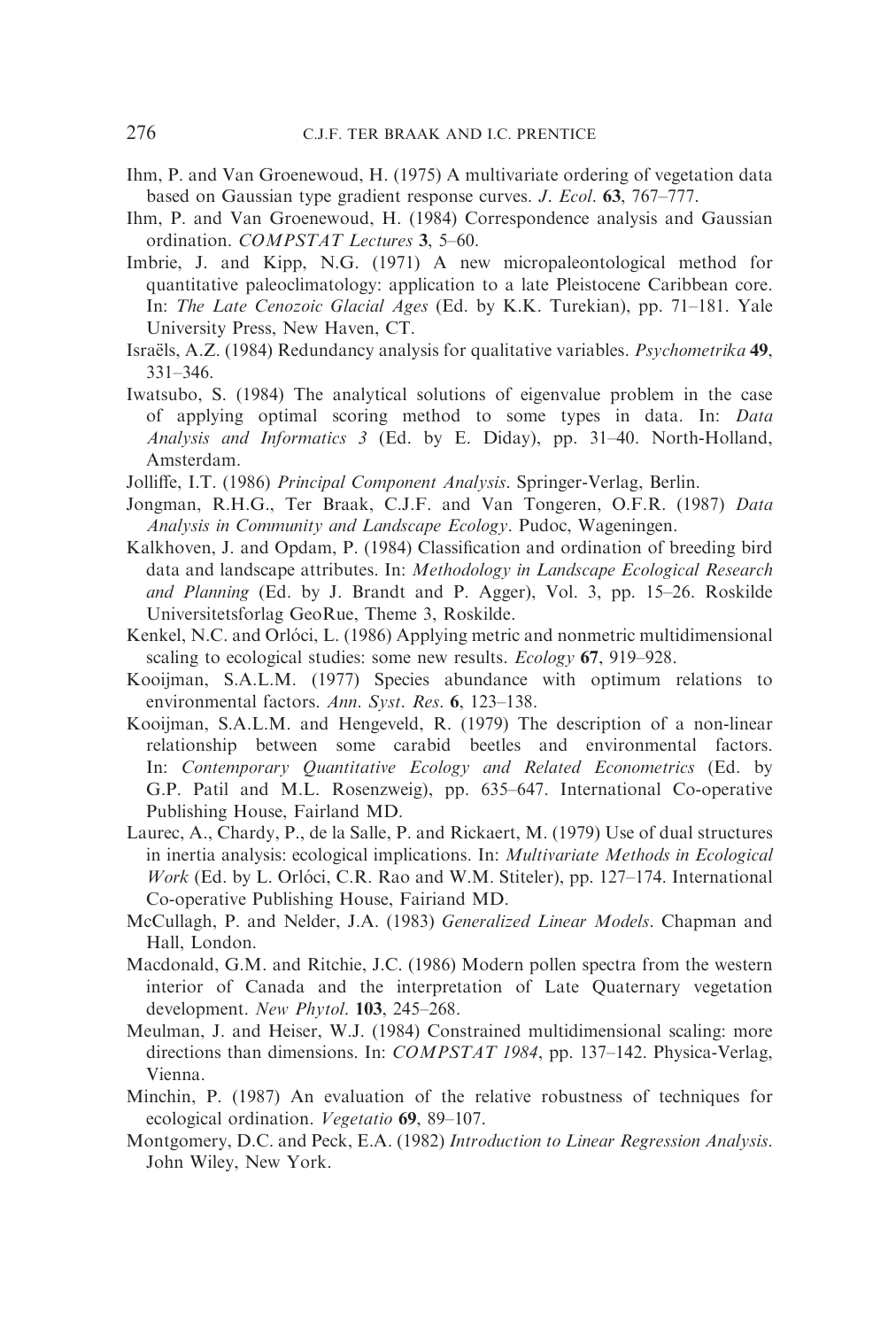- <span id="page-41-0"></span>Ihm, P. and Van Groenewoud, H. (1975) A multivariate ordering of vegetation data based on Gaussian type gradient response curves. J. Ecol. 63, 767–777.
- Ihm, P. and Van Groenewoud, H. (1984) Correspondence analysis and Gaussian ordination. COMPSTAT Lectures 3, 5–60.
- Imbrie, J. and Kipp, N.G. (1971) A new micropaleontological method for quantitative paleoclimatology: application to a late Pleistocene Caribbean core. In: The Late Cenozoic Glacial Ages (Ed. by K.K. Turekian), pp. 71–181. Yale University Press, New Haven, CT.
- Israëls, A.Z. (1984) Redundancy analysis for qualitative variables. *Psychometrika* 49, 331–346.
- Iwatsubo, S. (1984) The analytical solutions of eigenvalue problem in the case of applying optimal scoring method to some types in data. In: Data Analysis and Informatics 3 (Ed. by E. Diday), pp. 31–40. North-Holland, Amsterdam.
- Jolliffe, I.T. (1986) Principal Component Analysis. Springer-Verlag, Berlin.
- Jongman, R.H.G., Ter Braak, C.J.F. and Van Tongeren, O.F.R. (1987) Data Analysis in Community and Landscape Ecology. Pudoc, Wageningen.
- Kalkhoven, J. and Opdam, P. (1984) Classification and ordination of breeding bird data and landscape attributes. In: Methodology in Landscape Ecological Research and Planning (Ed. by J. Brandt and P. Agger), Vol. 3, pp. 15–26. Roskilde Universitetsforlag GeoRue, Theme 3, Roskilde.
- Kenkel, N.C. and Orlóci, L. (1986) Applying metric and nonmetric multidimensional scaling to ecological studies: some new results. *Ecology* 67, 919–928.
- Kooijman, S.A.L.M. (1977) Species abundance with optimum relations to environmental factors. Ann. Syst. Res. 6, 123–138.
- Kooijman, S.A.L.M. and Hengeveld, R. (1979) The description of a non-linear relationship between some carabid beetles and environmental factors. In: Contemporary Quantitative Ecology and Related Econometrics (Ed. by G.P. Patil and M.L. Rosenzweig), pp. 635–647. International Co-operative Publishing House, Fairland MD.
- Laurec, A., Chardy, P., de la Salle, P. and Rickaert, M. (1979) Use of dual structures in inertia analysis: ecological implications. In: Multivariate Methods in Ecological Work (Ed. by L. Orlóci, C.R. Rao and W.M. Stiteler), pp. 127–174. International Co-operative Publishing House, Fairiand MD.
- McCullagh, P. and Nelder, J.A. (1983) Generalized Linear Models. Chapman and Hall, London.
- Macdonald, G.M. and Ritchie, J.C. (1986) Modern pollen spectra from the western interior of Canada and the interpretation of Late Quaternary vegetation development. New Phytol. 103, 245-268.
- Meulman, J. and Heiser, W.J. (1984) Constrained multidimensional scaling: more directions than dimensions. In: *COMPSTAT 1984*, pp. 137–142. Physica-Verlag, Vienna.
- Minchin, P. (1987) An evaluation of the relative robustness of techniques for ecological ordination. Vegetatio 69, 89–107.
- Montgomery, D.C. and Peck, E.A. (1982) Introduction to Linear Regression Analysis. John Wiley, New York.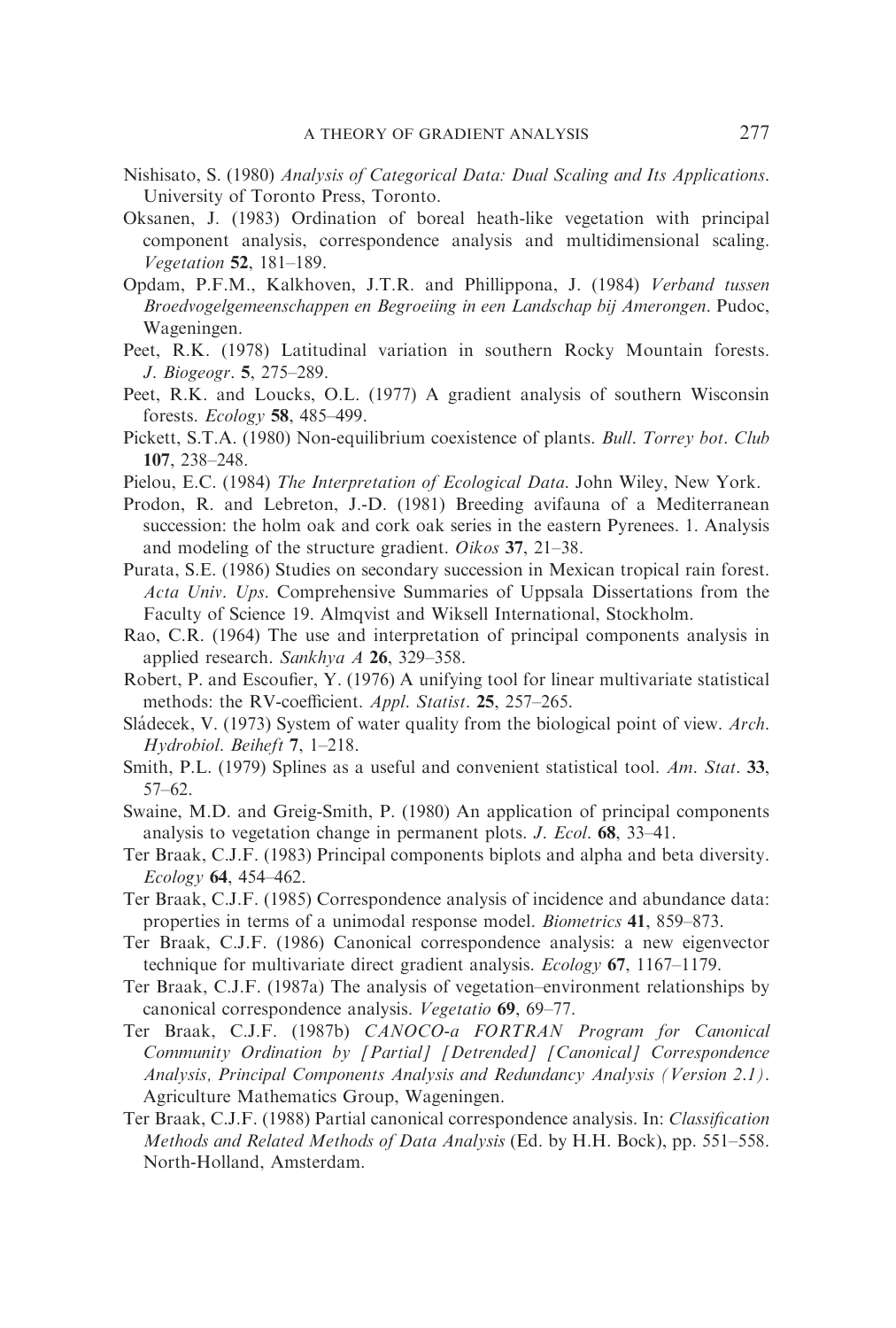- <span id="page-42-0"></span>Nishisato, S. (1980) Analysis of Categorical Data: Dual Scaling and Its Applications. University of Toronto Press, Toronto.
- Oksanen, J. (1983) Ordination of boreal heath-like vegetation with principal component analysis, correspondence analysis and multidimensional scaling. Vegetation 52, 181–189.
- Opdam, P.F.M., Kalkhoven, J.T.R. and Phillippona, J. (1984) Verband tussen Broedvogelgemeenschappen en Begroeiing in een Landschap bij Amerongen. Pudoc, Wageningen.
- Peet, R.K. (1978) Latitudinal variation in southern Rocky Mountain forests. J. Biogeogr. 5, 275–289.
- Peet, R.K. and Loucks, O.L. (1977) A gradient analysis of southern Wisconsin forests. Ecology 58, 485–499.
- Pickett, S.T.A. (1980) Non-equilibrium coexistence of plants. Bull. Torrey bot. Club 107, 238–248.
- Pielou, E.C. (1984) The Interpretation of Ecological Data. John Wiley, New York.
- Prodon, R. and Lebreton, J.-D. (1981) Breeding avifauna of a Mediterranean succession: the holm oak and cork oak series in the eastern Pyrenees. 1. Analysis and modeling of the structure gradient. Oikos 37, 21–38.
- Purata, S.E. (1986) Studies on secondary succession in Mexican tropical rain forest. Acta Univ. Ups. Comprehensive Summaries of Uppsala Dissertations from the Faculty of Science 19. Almqvist and Wiksell International, Stockholm.
- Rao, C.R. (1964) The use and interpretation of principal components analysis in applied research. Sankhya A 26, 329–358.
- Robert, P. and Escoufier, Y. (1976) A unifying tool for linear multivariate statistical methods: the RV-coefficient. Appl. Statist. 25, 257–265.
- Sládecek, V. (1973) System of water quality from the biological point of view. Arch. Hydrobiol. Beiheft 7, 1–218.
- Smith, P.L. (1979) Splines as a useful and convenient statistical tool. Am. Stat. 33, 57–62.
- Swaine, M.D. and Greig-Smith, P. (1980) An application of principal components analysis to vegetation change in permanent plots. J. Ecol. 68, 33–41.
- Ter Braak, C.J.F. (1983) Principal components biplots and alpha and beta diversity. Ecology 64, 454–462.
- Ter Braak, C.J.F. (1985) Correspondence analysis of incidence and abundance data: properties in terms of a unimodal response model. Biometrics 41, 859–873.
- Ter Braak, C.J.F. (1986) Canonical correspondence analysis: a new eigenvector technique for multivariate direct gradient analysis. Ecology 67, 1167–1179.
- Ter Braak, C.J.F. (1987a) The analysis of vegetation–environment relationships by canonical correspondence analysis. Vegetatio 69, 69–77.
- Ter Braak, C.J.F. (1987b) CANOCO-a FORTRAN Program for Canonical Community Ordination by [Partial] [Detrended] [Canonical] Correspondence Analysis, Principal Components Analysis and Redundancy Analysis (Version 2.1). Agriculture Mathematics Group, Wageningen.
- Ter Braak, C.J.F. (1988) Partial canonical correspondence analysis. In: Classification Methods and Related Methods of Data Analysis (Ed. by H.H. Bock), pp. 551–558. North-Holland, Amsterdam.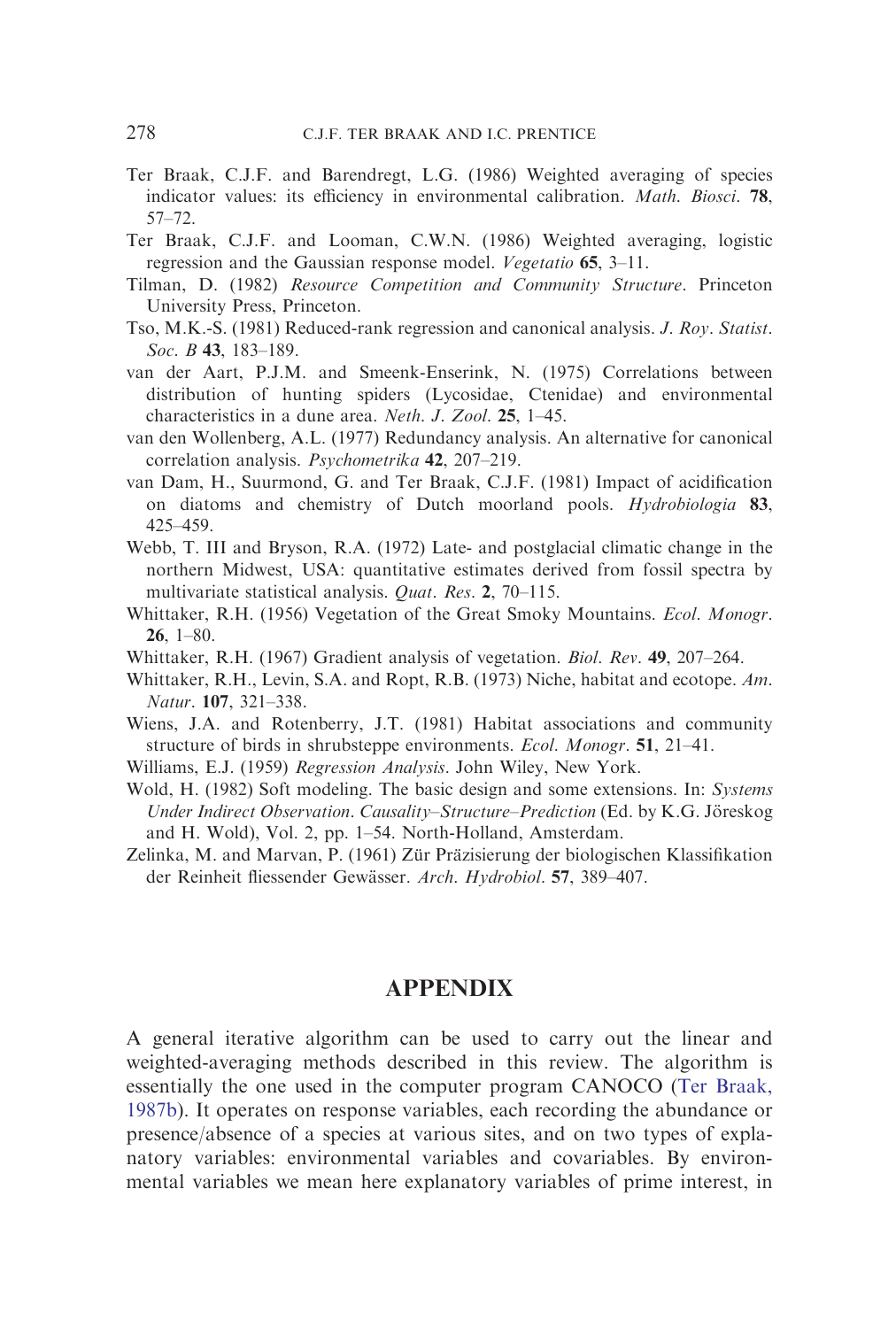- <span id="page-43-0"></span>Ter Braak, C.J.F. and Barendregt, L.G. (1986) Weighted averaging of species indicator values: its efficiency in environmental calibration. Math. Biosci. 78, 57–72.
- Ter Braak, C.J.F. and Looman, C.W.N. (1986) Weighted averaging, logistic regression and the Gaussian response model. Vegetatio 65, 3–11.
- Tilman, D. (1982) Resource Competition and Community Structure. Princeton University Press, Princeton.
- Tso, M.K.-S. (1981) Reduced-rank regression and canonical analysis. J. Roy. Statist. Soc. **B** 43, 183-189.
- van der Aart, P.J.M. and Smeenk-Enserink, N. (1975) Correlations between distribution of hunting spiders (Lycosidae, Ctenidae) and environmental characteristics in a dune area. Neth. J. Zool. 25, 1–45.
- van den Wollenberg, A.L. (1977) Redundancy analysis. An alternative for canonical correlation analysis. Psychometrika 42, 207–219.
- van Dam, H., Suurmond, G. and Ter Braak, C.J.F. (1981) Impact of acidification on diatoms and chemistry of Dutch moorland pools. Hydrobiologia 83, 425–459.
- Webb, T. III and Bryson, R.A. (1972) Late- and postglacial climatic change in the northern Midwest, USA: quantitative estimates derived from fossil spectra by multivariate statistical analysis. Quat. Res. 2, 70–115.
- Whittaker, R.H. (1956) Vegetation of the Great Smoky Mountains. Ecol. Monogr. 26, 1–80.
- Whittaker, R.H. (1967) Gradient analysis of vegetation. Biol. Rev. 49, 207–264.
- Whittaker, R.H., Levin, S.A. and Ropt, R.B. (1973) Niche, habitat and ecotope. Am. Natur. 107, 321–338.
- Wiens, J.A. and Rotenberry, J.T. (1981) Habitat associations and community structure of birds in shrubsteppe environments. Ecol. Monogr. 51, 21–41.
- Williams, E.J. (1959) Regression Analysis. John Wiley, New York.
- Wold, H. (1982) Soft modeling. The basic design and some extensions. In: Systems Under Indirect Observation. Causality–Structure–Prediction (Ed. by K.G. Jöreskog and H. Wold), Vol. 2, pp. 1–54. North-Holland, Amsterdam.
- Zelinka, M. and Marvan, P. (1961) Zür Präzisierung der biologischen Klassifikation der Reinheit fliessender Gewässer. Arch. Hydrobiol. 57, 389–407.

# APPENDIX

A general iterative algorithm can be used to carry out the linear and weighted-averaging methods described in this review. The algorithm is essentially the one used in the computer program CANOCO [\(Ter Braak,](#page-42-0) [1987b](#page-42-0)). It operates on response variables, each recording the abundance or presence/absence of a species at various sites, and on two types of explanatory variables: environmental variables and covariables. By environmental variables we mean here explanatory variables of prime interest, in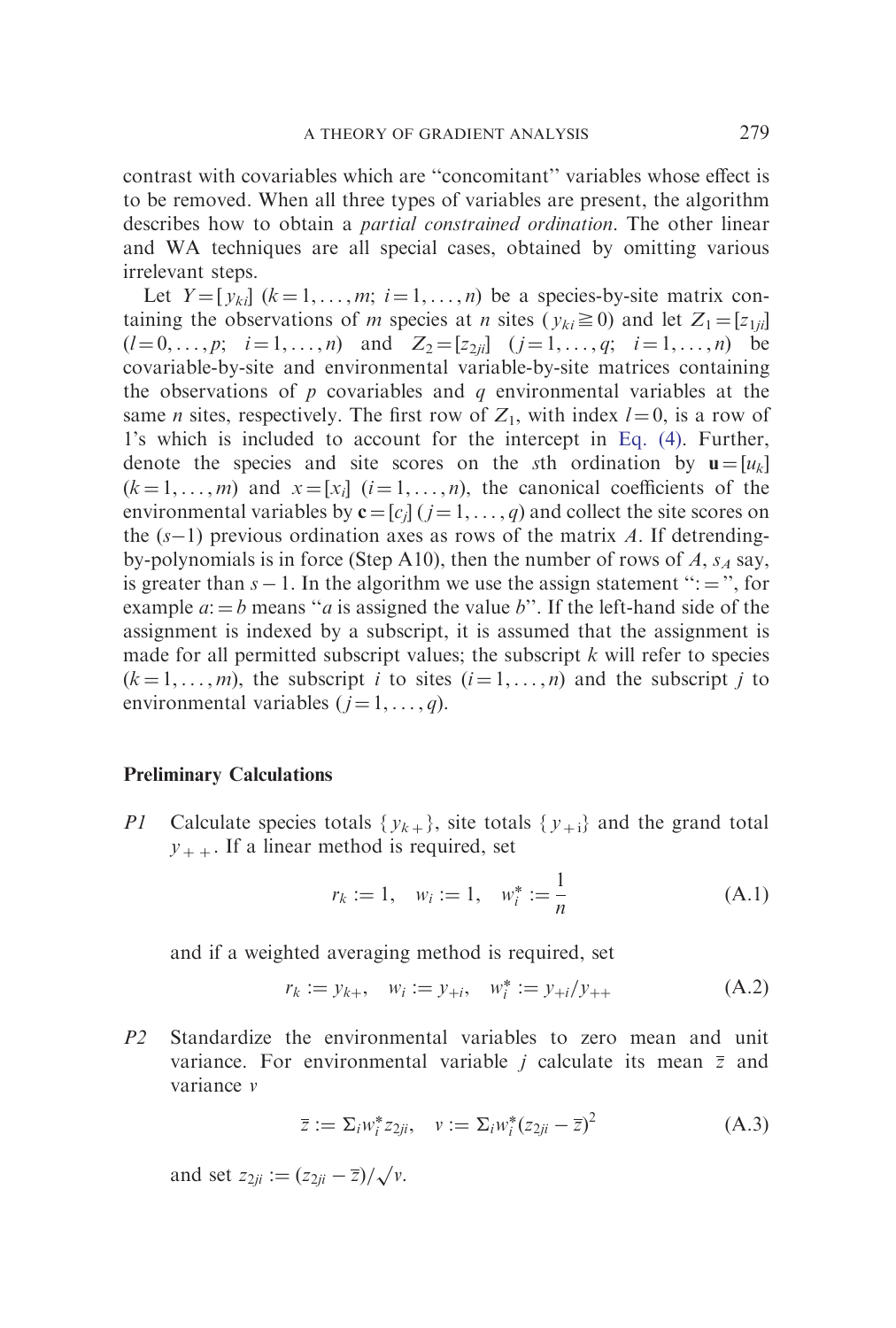contrast with covariables which are ''concomitant'' variables whose effect is to be removed. When all three types of variables are present, the algorithm describes how to obtain a partial constrained ordination. The other linear and WA techniques are all special cases, obtained by omitting various irrelevant steps.

Let  $Y = [y_{ki}]$   $(k = 1, ..., m; i = 1, ..., n)$  be a species-by-site matrix containing the observations of *m* species at *n* sites ( $y_{ki} \ge 0$ ) and let  $Z_1 = [z_{1ij}]$  $(l = 0, \ldots, p; i = 1, \ldots, n)$  and  $Z_2 = [z_{2ij}]$   $(j = 1, \ldots, q; i = 1, \ldots, n)$  be covariable-by-site and environmental variable-by-site matrices containing the observations of  $p$  covariables and  $q$  environmental variables at the same *n* sites, respectively. The first row of  $Z_1$ , with index  $l = 0$ , is a row of 1's which is included to account for the intercept in [Eq. \(4\)](#page-9-0). Further, denote the species and site scores on the sth ordination by  $\mathbf{u} = [u_k]$  $(k = 1, \ldots, m)$  and  $x = [x_i]$   $(i = 1, \ldots, n)$ , the canonical coefficients of the environmental variables by  $\mathbf{c} = [c_i]$  ( $i = 1, \ldots, q$ ) and collect the site scores on the  $(s-1)$  previous ordination axes as rows of the matrix A. If detrendingby-polynomials is in force (Step A10), then the number of rows of  $A$ ,  $s_A$  say, is greater than  $s - 1$ . In the algorithm we use the assign statement ": = ", for example  $a = b$  means "*a* is assigned the value *b*". If the left-hand side of the assignment is indexed by a subscript, it is assumed that the assignment is made for all permitted subscript values; the subscript  $k$  will refer to species  $(k = 1, \ldots, m)$ , the subscript i to sites  $(i = 1, \ldots, n)$  and the subscript j to environmental variables  $(j = 1, \ldots, q)$ .

#### Preliminary Calculations

P1 Calculate species totals  $\{y_{k+}\}\$ , site totals  $\{y_{+i}\}\$  and the grand total  $y_{++}$ . If a linear method is required, set

$$
r_k := 1, \quad w_i := 1, \quad w_i^* := \frac{1}{n} \tag{A.1}
$$

and if a weighted averaging method is required, set

$$
r_k := y_{k+}, \quad w_i := y_{+i}, \quad w_i^* := y_{+i}/y_{++} \tag{A.2}
$$

P2 Standardize the environmental variables to zero mean and unit variance. For environmental variable *j* calculate its mean  $\overline{z}$  and variance v

$$
\overline{z} := \Sigma_i w_i^* z_{2ji}, \quad v := \Sigma_i w_i^* (z_{2ji} - \overline{z})^2 \tag{A.3}
$$

and set  $z_{2ji} := (z_{2ji} - \overline{z})/\sqrt{v}$ .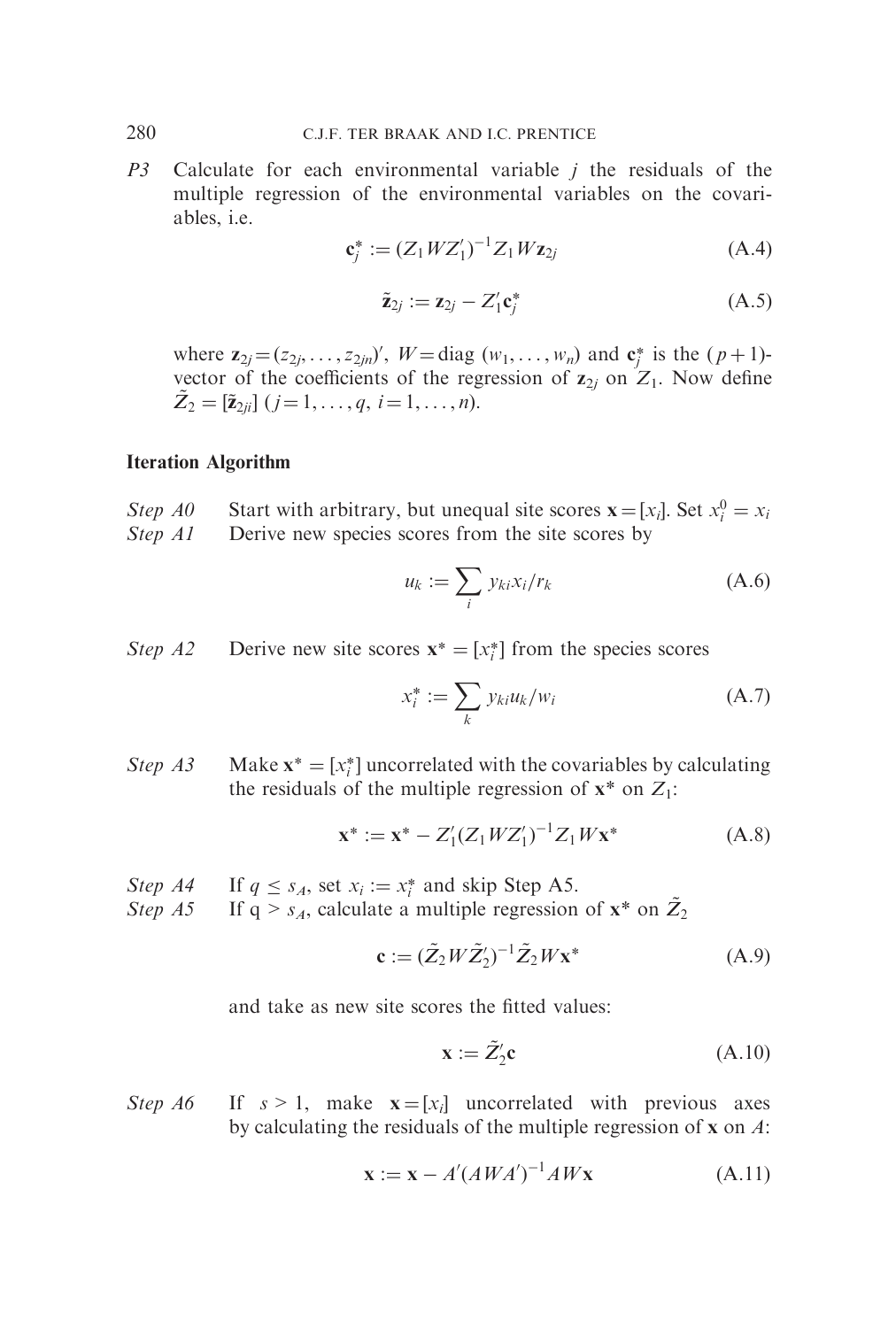$P3$  Calculate for each environmental variable *j* the residuals of the multiple regression of the environmental variables on the covariables, i.e.

$$
\mathbf{c}_{j}^{*} := (Z_{1}WZ_{1}')^{-1}Z_{1}W\mathbf{z}_{2j} \tag{A.4}
$$

$$
\tilde{\mathbf{z}}_{2j} := \mathbf{z}_{2j} - Z_1' \mathbf{c}_j^* \tag{A.5}
$$

where  $z_{2j} = (z_{2j}, \ldots, z_{2jn})'$ ,  $W = \text{diag}(w_1, \ldots, w_n)$  and  $c_j^*$  is the  $(p+1)$ vector of the coefficients of the regression of  $z_{2j}$  on  $Z_1$ . Now define  $Z_2 = [\tilde{\mathbf{z}}_{2ii}]$   $(j = 1, \ldots, q, i = 1, \ldots, n).$ 

#### Iteration Algorithm

Step A0 Start with arbitrary, but unequal site scores  $\mathbf{x} = [x_i]$ . Set  $x_i^0 = x_i$ Step A1 Derive new species scores from the site scores by

$$
u_k := \sum_i y_{ki} x_i / r_k \tag{A.6}
$$

Step A2 Derive new site scores  $\mathbf{x}^* = [x_i^*]$  from the species scores

$$
x_i^* := \sum_k y_{ki} u_k / w_i \tag{A.7}
$$

Step A3 Make  $\mathbf{x}^* = [x_i^*]$  uncorrelated with the covariables by calculating the residuals of the multiple regression of  $x^*$  on  $Z_1$ :

$$
\mathbf{x}^* := \mathbf{x}^* - Z_1'(Z_1 W Z_1')^{-1} Z_1 W \mathbf{x}^* \tag{A.8}
$$

Step A4 If  $q \leq s_A$ , set  $x_i := x_i^*$  and skip Step A5. Step A5 If q >  $s_A$ , calculate a multiple regression of  $x^*$  on  $Z_2$ 

$$
\mathbf{c} := (\tilde{Z}_2 W \tilde{Z}'_2)^{-1} \tilde{Z}_2 W \mathbf{x}^*
$$
 (A.9)

and take as new site scores the fitted values:

$$
\mathbf{x} := \tilde{Z}_2' \mathbf{c} \tag{A.10}
$$

Step A6 If  $s > 1$ , make  $\mathbf{x} = [x_i]$  uncorrelated with previous axes by calculating the residuals of the multiple regression of  $x$  on  $A$ :

$$
\mathbf{x} := \mathbf{x} - A'(AWA')^{-1}AW\mathbf{x}
$$
 (A.11)

<span id="page-45-0"></span>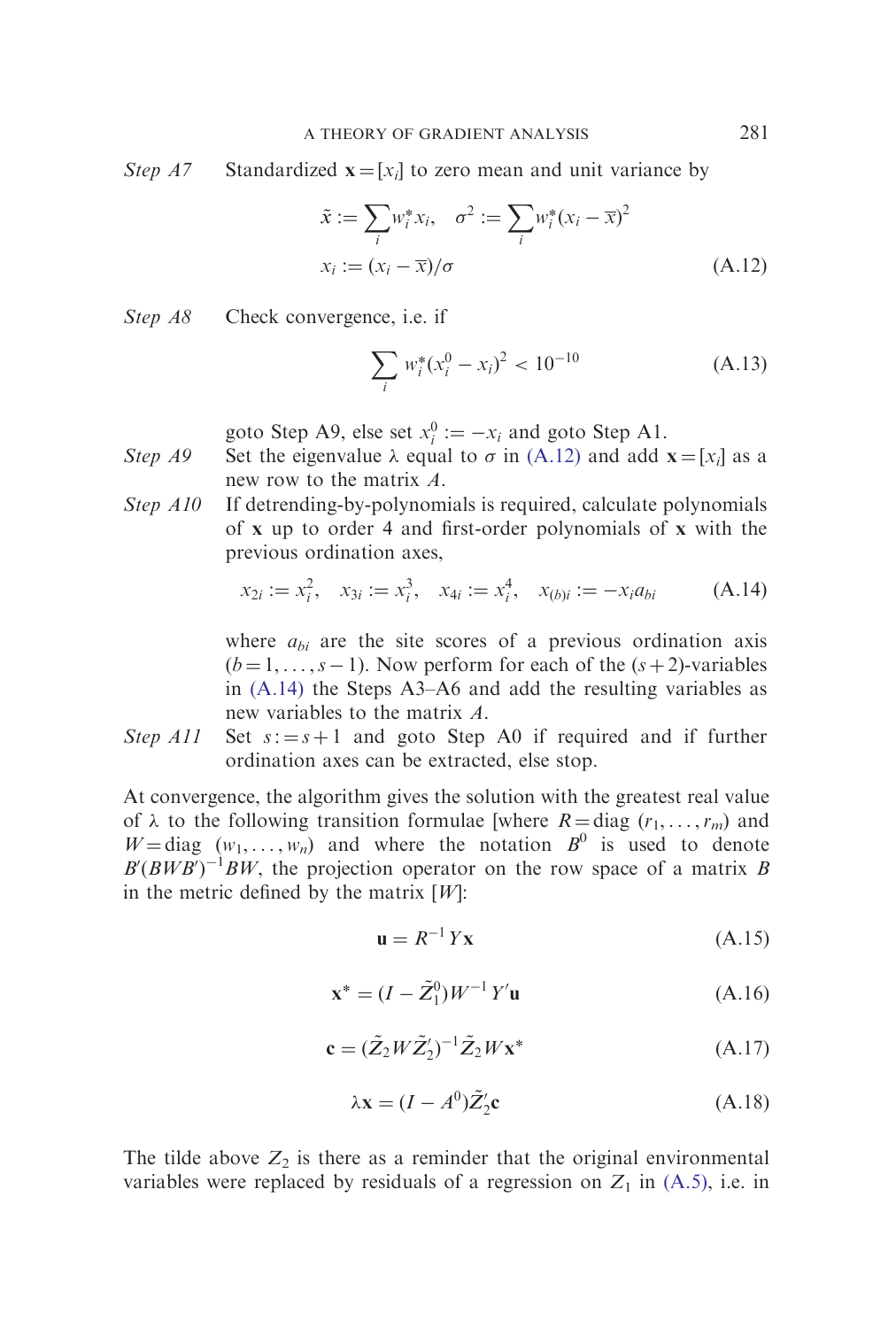<span id="page-46-0"></span>Step A7 Standardized  $\mathbf{x} = [x_i]$  to zero mean and unit variance by

$$
\tilde{x} := \sum_{i} w_i^* x_i, \quad \sigma^2 := \sum_{i} w_i^* (x_i - \overline{x})^2
$$

$$
x_i := (x_i - \overline{x})/\sigma
$$
(A.12)

Step A8 Check convergence, i.e. if

$$
\sum_{i} w_i^*(x_i^0 - x_i)^2 < 10^{-10} \tag{A.13}
$$

goto Step A9, else set  $x_i^0 := -x_i$  and goto Step A1.

- Step A9 Set the eigenvalue  $\lambda$  equal to  $\sigma$  in (A.12) and add  $\mathbf{x} = [x_i]$  as a new row to the matrix A.
- Step A10 If detrending-by-polynomials is required, calculate polynomials of x up to order 4 and first-order polynomials of x with the previous ordination axes,

$$
x_{2i} := x_i^2, \quad x_{3i} := x_i^3, \quad x_{4i} := x_i^4, \quad x_{(b)i} := -x_i a_{bi} \tag{A.14}
$$

where  $a_{bi}$  are the site scores of a previous ordination axis  $(b = 1, \ldots, s - 1)$ . Now perform for each of the  $(s + 2)$ -variables in (A.14) the Steps A3–A6 and add the resulting variables as new variables to the matrix A.

Step A11 Set  $s := s + 1$  and goto Step A0 if required and if further ordination axes can be extracted, else stop.

At convergence, the algorithm gives the solution with the greatest real value of  $\lambda$  to the following transition formulae [where  $R = diag(r_1, \ldots, r_m)$  and  $W = \text{diag}(w_1, \ldots, w_n)$  and where the notation  $B^0$  is used to denote  $B(BWB')^{-1}BW$ , the projection operator on the row space of a matrix B in the metric defined by the matrix  $[W]$ :

$$
\mathbf{u} = R^{-1} Y \mathbf{x} \tag{A.15}
$$

$$
\mathbf{x}^* = (I - \tilde{Z}_1^0) W^{-1} Y' \mathbf{u}
$$
 (A.16)

$$
\mathbf{c} = (\tilde{Z}_2 W \tilde{Z}'_2)^{-1} \tilde{Z}_2 W \mathbf{x}^*
$$
 (A.17)

$$
\lambda \mathbf{x} = (I - A^0) \tilde{Z}'_2 \mathbf{c}
$$
 (A.18)

The tilde above  $Z_2$  is there as a reminder that the original environmental variables were replaced by residuals of a regression on  $Z_1$  in [\(A.5\)](#page-45-0), i.e. in